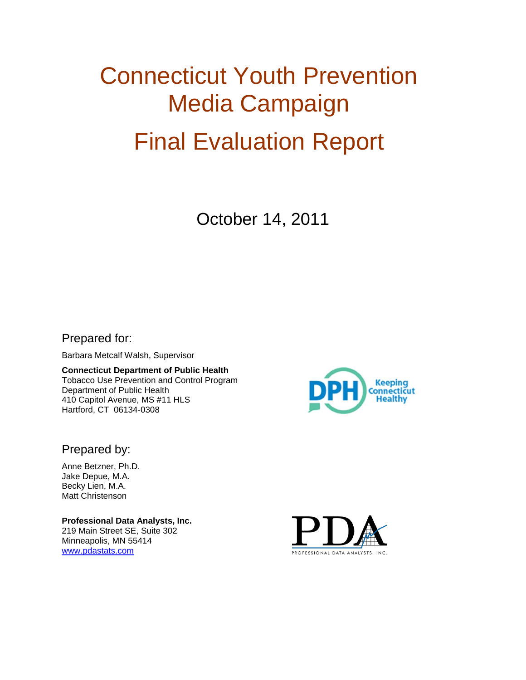# Connecticut Youth Prevention Media Campaign Final Evaluation Report

October 14, 2011

Prepared for:

Barbara Metcalf Walsh, Supervisor

**Connecticut Department of Public Health** Tobacco Use Prevention and Control Program Department of Public Health 410 Capitol Avenue, MS #11 HLS Hartford, CT 06134-0308



Prepared by:

Anne Betzner, Ph.D. Jake Depue, M.A. Becky Lien, M.A. Matt Christenson

**Professional Data Analysts, Inc.** 219 Main Street SE, Suite 302 Minneapolis, MN 55414 [www.pdastats.com](http://www.pdastats.com/)

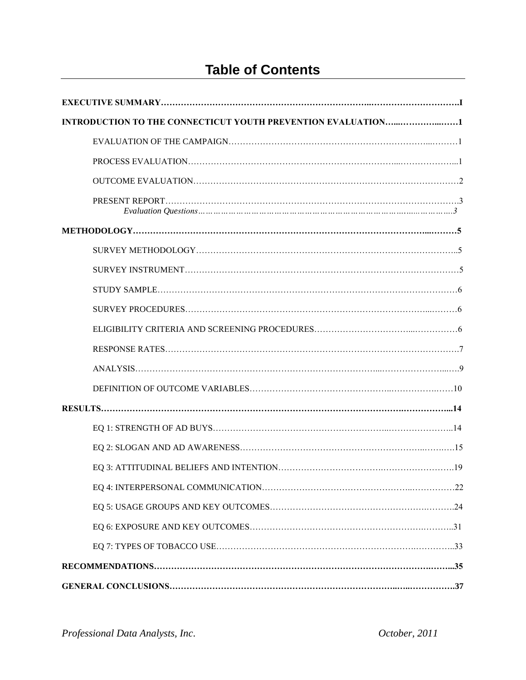# **Table of Contents**

| INTRODUCTION TO THE CONNECTICUT YOUTH PREVENTION EVALUATION1 |  |
|--------------------------------------------------------------|--|
|                                                              |  |
|                                                              |  |
|                                                              |  |
|                                                              |  |
|                                                              |  |
|                                                              |  |
|                                                              |  |
|                                                              |  |
|                                                              |  |
|                                                              |  |
|                                                              |  |
|                                                              |  |
|                                                              |  |
|                                                              |  |
|                                                              |  |
|                                                              |  |
|                                                              |  |
|                                                              |  |
|                                                              |  |
|                                                              |  |
|                                                              |  |
|                                                              |  |
|                                                              |  |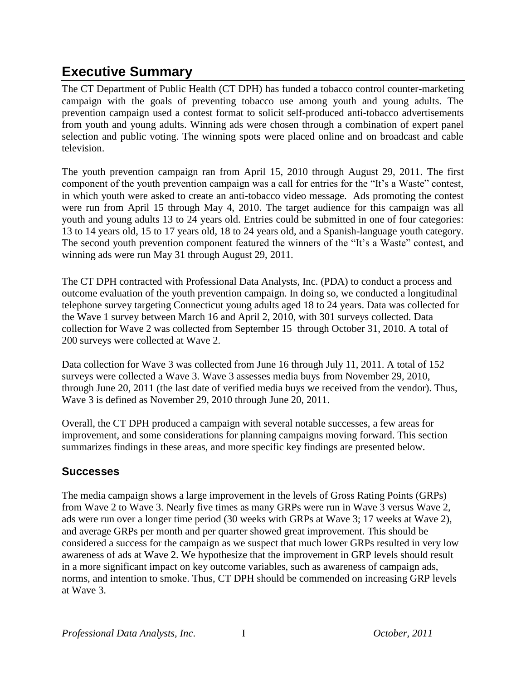# **Executive Summary**

The CT Department of Public Health (CT DPH) has funded a tobacco control counter-marketing campaign with the goals of preventing tobacco use among youth and young adults. The prevention campaign used a contest format to solicit self-produced anti-tobacco advertisements from youth and young adults. Winning ads were chosen through a combination of expert panel selection and public voting. The winning spots were placed online and on broadcast and cable television.

The youth prevention campaign ran from April 15, 2010 through August 29, 2011. The first component of the youth prevention campaign was a call for entries for the "It"s a Waste" contest, in which youth were asked to create an anti-tobacco video message. Ads promoting the contest were run from April 15 through May 4, 2010. The target audience for this campaign was all youth and young adults 13 to 24 years old. Entries could be submitted in one of four categories: 13 to 14 years old, 15 to 17 years old, 18 to 24 years old, and a Spanish-language youth category. The second youth prevention component featured the winners of the "It's a Waste" contest, and winning ads were run May 31 through August 29, 2011.

The CT DPH contracted with Professional Data Analysts, Inc. (PDA) to conduct a process and outcome evaluation of the youth prevention campaign. In doing so, we conducted a longitudinal telephone survey targeting Connecticut young adults aged 18 to 24 years. Data was collected for the Wave 1 survey between March 16 and April 2, 2010, with 301 surveys collected. Data collection for Wave 2 was collected from September 15 through October 31, 2010. A total of 200 surveys were collected at Wave 2.

Data collection for Wave 3 was collected from June 16 through July 11, 2011. A total of 152 surveys were collected a Wave 3. Wave 3 assesses media buys from November 29, 2010, through June 20, 2011 (the last date of verified media buys we received from the vendor). Thus, Wave 3 is defined as November 29, 2010 through June 20, 2011.

Overall, the CT DPH produced a campaign with several notable successes, a few areas for improvement, and some considerations for planning campaigns moving forward. This section summarizes findings in these areas, and more specific key findings are presented below.

# **Successes**

The media campaign shows a large improvement in the levels of Gross Rating Points (GRPs) from Wave 2 to Wave 3. Nearly five times as many GRPs were run in Wave 3 versus Wave 2, ads were run over a longer time period (30 weeks with GRPs at Wave 3; 17 weeks at Wave 2), and average GRPs per month and per quarter showed great improvement. This should be considered a success for the campaign as we suspect that much lower GRPs resulted in very low awareness of ads at Wave 2. We hypothesize that the improvement in GRP levels should result in a more significant impact on key outcome variables, such as awareness of campaign ads, norms, and intention to smoke. Thus, CT DPH should be commended on increasing GRP levels at Wave 3.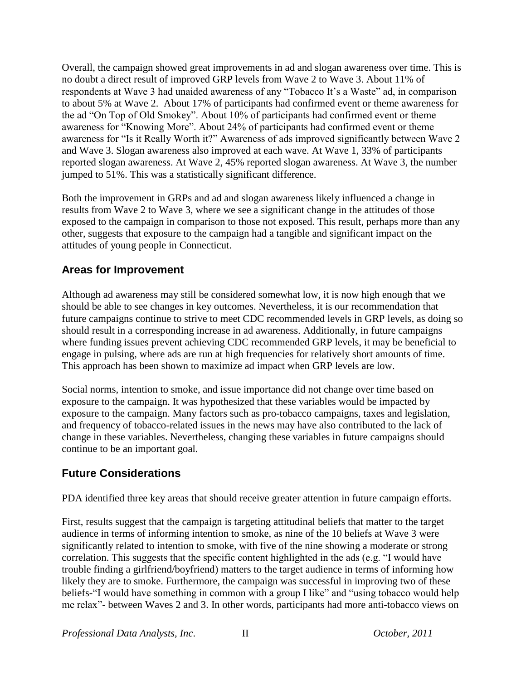Overall, the campaign showed great improvements in ad and slogan awareness over time. This is no doubt a direct result of improved GRP levels from Wave 2 to Wave 3. About 11% of respondents at Wave 3 had unaided awareness of any "Tobacco It's a Waste" ad, in comparison to about 5% at Wave 2. About 17% of participants had confirmed event or theme awareness for the ad "On Top of Old Smokey". About 10% of participants had confirmed event or theme awareness for "Knowing More". About 24% of participants had confirmed event or theme awareness for "Is it Really Worth it?" Awareness of ads improved significantly between Wave 2 and Wave 3. Slogan awareness also improved at each wave. At Wave 1, 33% of participants reported slogan awareness. At Wave 2, 45% reported slogan awareness. At Wave 3, the number jumped to 51%. This was a statistically significant difference.

Both the improvement in GRPs and ad and slogan awareness likely influenced a change in results from Wave 2 to Wave 3, where we see a significant change in the attitudes of those exposed to the campaign in comparison to those not exposed. This result, perhaps more than any other, suggests that exposure to the campaign had a tangible and significant impact on the attitudes of young people in Connecticut.

### **Areas for Improvement**

Although ad awareness may still be considered somewhat low, it is now high enough that we should be able to see changes in key outcomes. Nevertheless, it is our recommendation that future campaigns continue to strive to meet CDC recommended levels in GRP levels, as doing so should result in a corresponding increase in ad awareness. Additionally, in future campaigns where funding issues prevent achieving CDC recommended GRP levels, it may be beneficial to engage in pulsing, where ads are run at high frequencies for relatively short amounts of time. This approach has been shown to maximize ad impact when GRP levels are low.

Social norms, intention to smoke, and issue importance did not change over time based on exposure to the campaign. It was hypothesized that these variables would be impacted by exposure to the campaign. Many factors such as pro-tobacco campaigns, taxes and legislation, and frequency of tobacco-related issues in the news may have also contributed to the lack of change in these variables. Nevertheless, changing these variables in future campaigns should continue to be an important goal.

# **Future Considerations**

PDA identified three key areas that should receive greater attention in future campaign efforts.

First, results suggest that the campaign is targeting attitudinal beliefs that matter to the target audience in terms of informing intention to smoke, as nine of the 10 beliefs at Wave 3 were significantly related to intention to smoke, with five of the nine showing a moderate or strong correlation. This suggests that the specific content highlighted in the ads (e.g. "I would have trouble finding a girlfriend/boyfriend) matters to the target audience in terms of informing how likely they are to smoke. Furthermore, the campaign was successful in improving two of these beliefs-"I would have something in common with a group I like" and "using tobacco would help me relax"- between Waves 2 and 3. In other words, participants had more anti-tobacco views on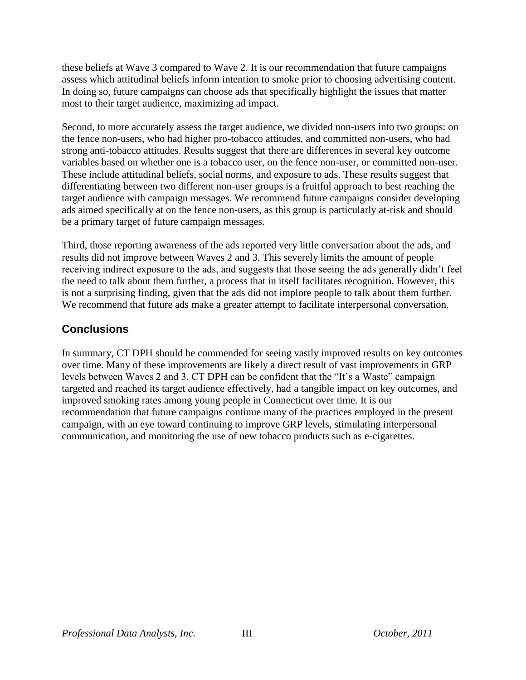these beliefs at Wave 3 compared to Wave 2. It is our recommendation that future campaigns assess which attitudinal beliefs inform intention to smoke prior to choosing advertising content. In doing so, future campaigns can choose ads that specifically highlight the issues that matter most to their target audience, maximizing ad impact.

Second, to more accurately assess the target audience, we divided non-users into two groups: on the fence non-users, who had higher pro-tobacco attitudes, and committed non-users, who had strong anti-tobacco attitudes. Results suggest that there are differences in several key outcome variables based on whether one is a tobacco user, on the fence non-user, or committed non-user. These include attitudinal beliefs, social norms, and exposure to ads. These results suggest that differentiating between two different non-user groups is a fruitful approach to best reaching the target audience with campaign messages. We recommend future campaigns consider developing ads aimed specifically at on the fence non-users, as this group is particularly at-risk and should be a primary target of future campaign messages.

Third, those reporting awareness of the ads reported very little conversation about the ads, and results did not improve between Waves 2 and 3. This severely limits the amount of people receiving indirect exposure to the ads, and suggests that those seeing the ads generally didn"t feel the need to talk about them further, a process that in itself facilitates recognition. However, this is not a surprising finding, given that the ads did not implore people to talk about them further. We recommend that future ads make a greater attempt to facilitate interpersonal conversation.

# **Conclusions**

In summary, CT DPH should be commended for seeing vastly improved results on key outcomes over time. Many of these improvements are likely a direct result of vast improvements in GRP levels between Waves 2 and 3. CT DPH can be confident that the "It"s a Waste" campaign targeted and reached its target audience effectively, had a tangible impact on key outcomes, and improved smoking rates among young people in Connecticut over time. It is our recommendation that future campaigns continue many of the practices employed in the present campaign, with an eye toward continuing to improve GRP levels, stimulating interpersonal communication, and monitoring the use of new tobacco products such as e-cigarettes.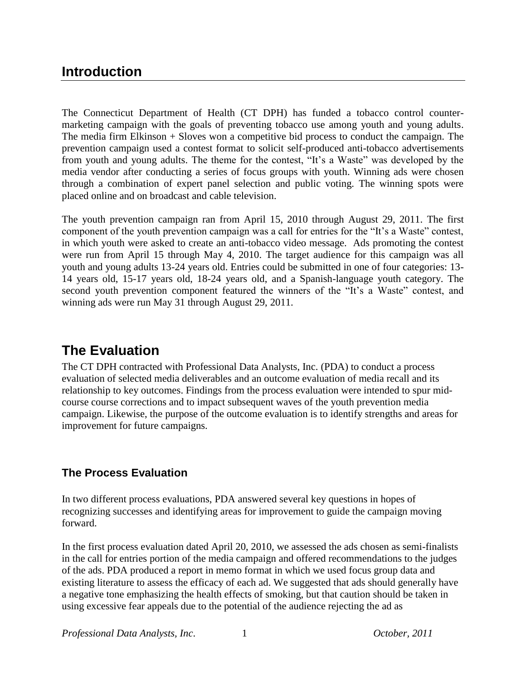# **Introduction**

The Connecticut Department of Health (CT DPH) has funded a tobacco control countermarketing campaign with the goals of preventing tobacco use among youth and young adults. The media firm Elkinson + Sloves won a competitive bid process to conduct the campaign. The prevention campaign used a contest format to solicit self-produced anti-tobacco advertisements from youth and young adults. The theme for the contest, "It"s a Waste" was developed by the media vendor after conducting a series of focus groups with youth. Winning ads were chosen through a combination of expert panel selection and public voting. The winning spots were placed online and on broadcast and cable television.

The youth prevention campaign ran from April 15, 2010 through August 29, 2011. The first component of the youth prevention campaign was a call for entries for the "It"s a Waste" contest, in which youth were asked to create an anti-tobacco video message. Ads promoting the contest were run from April 15 through May 4, 2010. The target audience for this campaign was all youth and young adults 13-24 years old. Entries could be submitted in one of four categories: 13- 14 years old, 15-17 years old, 18-24 years old, and a Spanish-language youth category. The second youth prevention component featured the winners of the "It's a Waste" contest, and winning ads were run May 31 through August 29, 2011.

# **The Evaluation**

The CT DPH contracted with Professional Data Analysts, Inc. (PDA) to conduct a process evaluation of selected media deliverables and an outcome evaluation of media recall and its relationship to key outcomes. Findings from the process evaluation were intended to spur midcourse course corrections and to impact subsequent waves of the youth prevention media campaign. Likewise, the purpose of the outcome evaluation is to identify strengths and areas for improvement for future campaigns.

# **The Process Evaluation**

In two different process evaluations, PDA answered several key questions in hopes of recognizing successes and identifying areas for improvement to guide the campaign moving forward.

In the first process evaluation dated April 20, 2010, we assessed the ads chosen as semi-finalists in the call for entries portion of the media campaign and offered recommendations to the judges of the ads. PDA produced a report in memo format in which we used focus group data and existing literature to assess the efficacy of each ad. We suggested that ads should generally have a negative tone emphasizing the health effects of smoking, but that caution should be taken in using excessive fear appeals due to the potential of the audience rejecting the ad as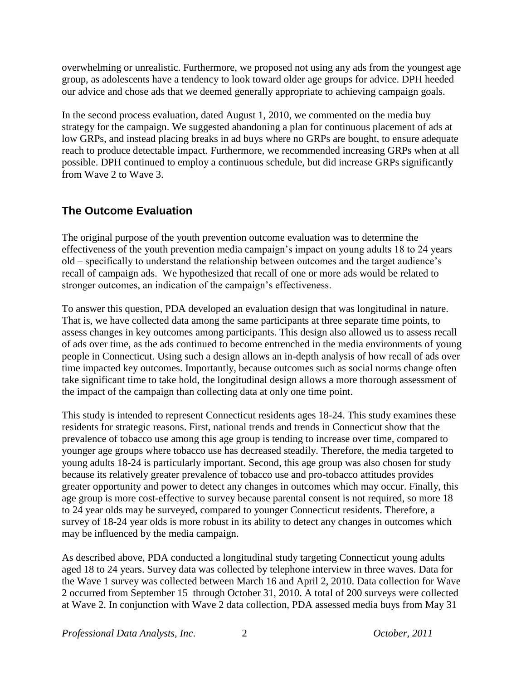overwhelming or unrealistic. Furthermore, we proposed not using any ads from the youngest age group, as adolescents have a tendency to look toward older age groups for advice. DPH heeded our advice and chose ads that we deemed generally appropriate to achieving campaign goals.

In the second process evaluation, dated August 1, 2010, we commented on the media buy strategy for the campaign. We suggested abandoning a plan for continuous placement of ads at low GRPs, and instead placing breaks in ad buys where no GRPs are bought, to ensure adequate reach to produce detectable impact. Furthermore, we recommended increasing GRPs when at all possible. DPH continued to employ a continuous schedule, but did increase GRPs significantly from Wave 2 to Wave 3.

# **The Outcome Evaluation**

The original purpose of the youth prevention outcome evaluation was to determine the effectiveness of the youth prevention media campaign"s impact on young adults 18 to 24 years old – specifically to understand the relationship between outcomes and the target audience"s recall of campaign ads. We hypothesized that recall of one or more ads would be related to stronger outcomes, an indication of the campaign's effectiveness.

To answer this question, PDA developed an evaluation design that was longitudinal in nature. That is, we have collected data among the same participants at three separate time points, to assess changes in key outcomes among participants. This design also allowed us to assess recall of ads over time, as the ads continued to become entrenched in the media environments of young people in Connecticut. Using such a design allows an in-depth analysis of how recall of ads over time impacted key outcomes. Importantly, because outcomes such as social norms change often take significant time to take hold, the longitudinal design allows a more thorough assessment of the impact of the campaign than collecting data at only one time point.

This study is intended to represent Connecticut residents ages 18-24. This study examines these residents for strategic reasons. First, national trends and trends in Connecticut show that the prevalence of tobacco use among this age group is tending to increase over time, compared to younger age groups where tobacco use has decreased steadily. Therefore, the media targeted to young adults 18-24 is particularly important. Second, this age group was also chosen for study because its relatively greater prevalence of tobacco use and pro-tobacco attitudes provides greater opportunity and power to detect any changes in outcomes which may occur. Finally, this age group is more cost-effective to survey because parental consent is not required, so more 18 to 24 year olds may be surveyed, compared to younger Connecticut residents. Therefore, a survey of 18-24 year olds is more robust in its ability to detect any changes in outcomes which may be influenced by the media campaign.

As described above, PDA conducted a longitudinal study targeting Connecticut young adults aged 18 to 24 years. Survey data was collected by telephone interview in three waves. Data for the Wave 1 survey was collected between March 16 and April 2, 2010. Data collection for Wave 2 occurred from September 15 through October 31, 2010. A total of 200 surveys were collected at Wave 2. In conjunction with Wave 2 data collection, PDA assessed media buys from May 31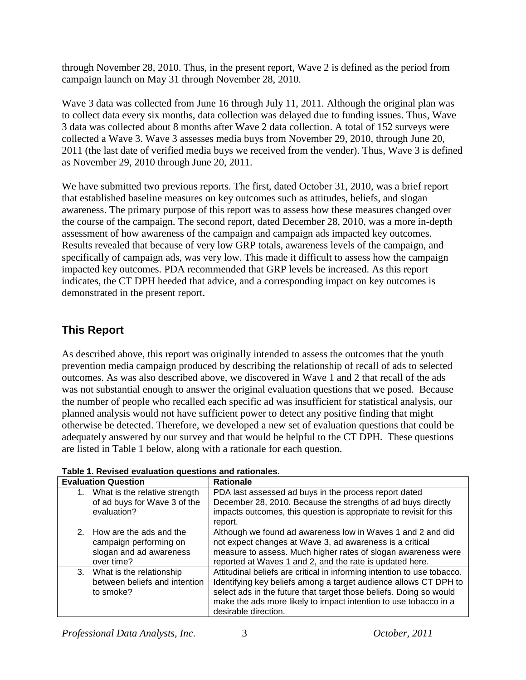through November 28, 2010. Thus, in the present report, Wave 2 is defined as the period from campaign launch on May 31 through November 28, 2010.

Wave 3 data was collected from June 16 through July 11, 2011. Although the original plan was to collect data every six months, data collection was delayed due to funding issues. Thus, Wave 3 data was collected about 8 months after Wave 2 data collection. A total of 152 surveys were collected a Wave 3. Wave 3 assesses media buys from November 29, 2010, through June 20, 2011 (the last date of verified media buys we received from the vender). Thus, Wave 3 is defined as November 29, 2010 through June 20, 2011.

We have submitted two previous reports. The first, dated October 31, 2010, was a brief report that established baseline measures on key outcomes such as attitudes, beliefs, and slogan awareness. The primary purpose of this report was to assess how these measures changed over the course of the campaign. The second report, dated December 28, 2010, was a more in-depth assessment of how awareness of the campaign and campaign ads impacted key outcomes. Results revealed that because of very low GRP totals, awareness levels of the campaign, and specifically of campaign ads, was very low. This made it difficult to assess how the campaign impacted key outcomes. PDA recommended that GRP levels be increased. As this report indicates, the CT DPH heeded that advice, and a corresponding impact on key outcomes is demonstrated in the present report.

# **This Report**

As described above, this report was originally intended to assess the outcomes that the youth prevention media campaign produced by describing the relationship of recall of ads to selected outcomes. As was also described above, we discovered in Wave 1 and 2 that recall of the ads was not substantial enough to answer the original evaluation questions that we posed. Because the number of people who recalled each specific ad was insufficient for statistical analysis, our planned analysis would not have sufficient power to detect any positive finding that might otherwise be detected. Therefore, we developed a new set of evaluation questions that could be adequately answered by our survey and that would be helpful to the CT DPH. These questions are listed in Table 1 below, along with a rationale for each question.

|    | <b>Evaluation Question</b>                                                                    | <b>Rationale</b>                                                                                                                                                                                                                                                                                              |
|----|-----------------------------------------------------------------------------------------------|---------------------------------------------------------------------------------------------------------------------------------------------------------------------------------------------------------------------------------------------------------------------------------------------------------------|
| 1. | What is the relative strength<br>of ad buys for Wave 3 of the<br>evaluation?                  | PDA last assessed ad buys in the process report dated<br>December 28, 2010. Because the strengths of ad buys directly<br>impacts outcomes, this question is appropriate to revisit for this<br>report.                                                                                                        |
|    | 2. How are the ads and the<br>campaign performing on<br>slogan and ad awareness<br>over time? | Although we found ad awareness low in Waves 1 and 2 and did<br>not expect changes at Wave 3, ad awareness is a critical<br>measure to assess. Much higher rates of slogan awareness were<br>reported at Waves 1 and 2, and the rate is updated here.                                                          |
| 3. | What is the relationship<br>between beliefs and intention<br>to smoke?                        | Attitudinal beliefs are critical in informing intention to use tobacco.<br>Identifying key beliefs among a target audience allows CT DPH to<br>select ads in the future that target those beliefs. Doing so would<br>make the ads more likely to impact intention to use tobacco in a<br>desirable direction. |

**Table 1. Revised evaluation questions and rationales.**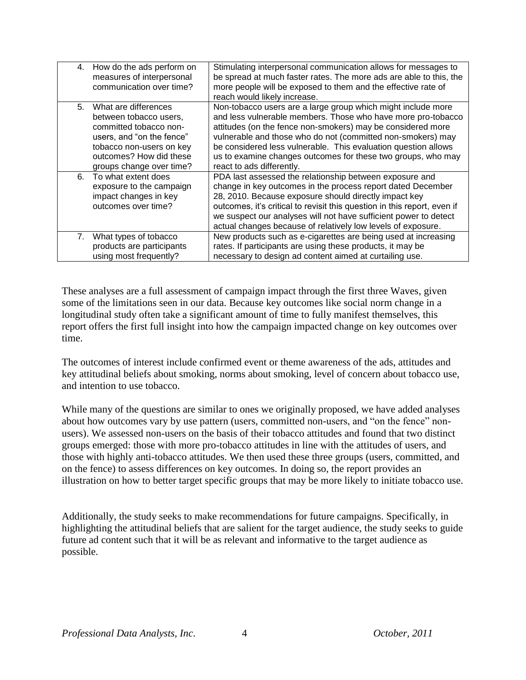| 4. | How do the ads perform on<br>measures of interpersonal<br>communication over time?                                                                                                       | Stimulating interpersonal communication allows for messages to<br>be spread at much faster rates. The more ads are able to this, the<br>more people will be exposed to them and the effective rate of<br>reach would likely increase.                                                                                                                                                                                     |
|----|------------------------------------------------------------------------------------------------------------------------------------------------------------------------------------------|---------------------------------------------------------------------------------------------------------------------------------------------------------------------------------------------------------------------------------------------------------------------------------------------------------------------------------------------------------------------------------------------------------------------------|
| 5. | What are differences<br>between tobacco users,<br>committed tobacco non-<br>users, and "on the fence"<br>tobacco non-users on key<br>outcomes? How did these<br>groups change over time? | Non-tobacco users are a large group which might include more<br>and less vulnerable members. Those who have more pro-tobacco<br>attitudes (on the fence non-smokers) may be considered more<br>vulnerable and those who do not (committed non-smokers) may<br>be considered less vulnerable. This evaluation question allows<br>us to examine changes outcomes for these two groups, who may<br>react to ads differently. |
| 6. | To what extent does<br>exposure to the campaign<br>impact changes in key<br>outcomes over time?                                                                                          | PDA last assessed the relationship between exposure and<br>change in key outcomes in the process report dated December<br>28, 2010. Because exposure should directly impact key<br>outcomes, it's critical to revisit this question in this report, even if<br>we suspect our analyses will not have sufficient power to detect<br>actual changes because of relatively low levels of exposure.                           |
| 7. | What types of tobacco<br>products are participants<br>using most frequently?                                                                                                             | New products such as e-cigarettes are being used at increasing<br>rates. If participants are using these products, it may be<br>necessary to design ad content aimed at curtailing use.                                                                                                                                                                                                                                   |

These analyses are a full assessment of campaign impact through the first three Waves, given some of the limitations seen in our data. Because key outcomes like social norm change in a longitudinal study often take a significant amount of time to fully manifest themselves, this report offers the first full insight into how the campaign impacted change on key outcomes over time.

The outcomes of interest include confirmed event or theme awareness of the ads, attitudes and key attitudinal beliefs about smoking, norms about smoking, level of concern about tobacco use, and intention to use tobacco.

While many of the questions are similar to ones we originally proposed, we have added analyses about how outcomes vary by use pattern (users, committed non-users, and "on the fence" nonusers). We assessed non-users on the basis of their tobacco attitudes and found that two distinct groups emerged: those with more pro-tobacco attitudes in line with the attitudes of users, and those with highly anti-tobacco attitudes. We then used these three groups (users, committed, and on the fence) to assess differences on key outcomes. In doing so, the report provides an illustration on how to better target specific groups that may be more likely to initiate tobacco use.

Additionally, the study seeks to make recommendations for future campaigns. Specifically, in highlighting the attitudinal beliefs that are salient for the target audience, the study seeks to guide future ad content such that it will be as relevant and informative to the target audience as possible.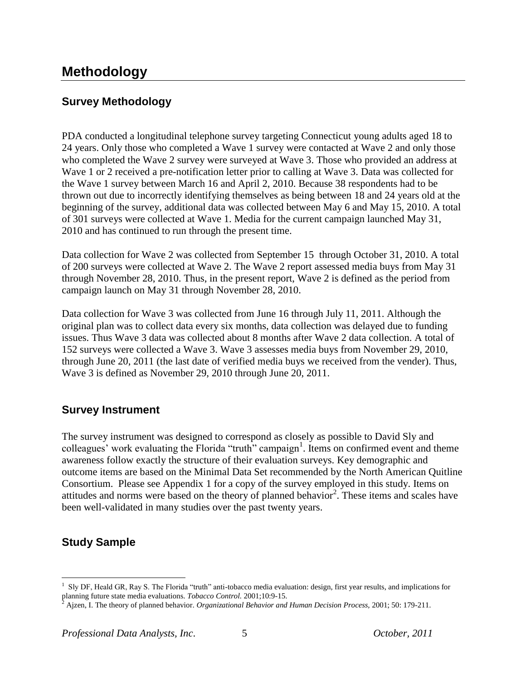# **Methodology**

# **Survey Methodology**

PDA conducted a longitudinal telephone survey targeting Connecticut young adults aged 18 to 24 years. Only those who completed a Wave 1 survey were contacted at Wave 2 and only those who completed the Wave 2 survey were surveyed at Wave 3. Those who provided an address at Wave 1 or 2 received a pre-notification letter prior to calling at Wave 3. Data was collected for the Wave 1 survey between March 16 and April 2, 2010. Because 38 respondents had to be thrown out due to incorrectly identifying themselves as being between 18 and 24 years old at the beginning of the survey, additional data was collected between May 6 and May 15, 2010. A total of 301 surveys were collected at Wave 1. Media for the current campaign launched May 31, 2010 and has continued to run through the present time.

Data collection for Wave 2 was collected from September 15 through October 31, 2010. A total of 200 surveys were collected at Wave 2. The Wave 2 report assessed media buys from May 31 through November 28, 2010. Thus, in the present report, Wave 2 is defined as the period from campaign launch on May 31 through November 28, 2010.

Data collection for Wave 3 was collected from June 16 through July 11, 2011. Although the original plan was to collect data every six months, data collection was delayed due to funding issues. Thus Wave 3 data was collected about 8 months after Wave 2 data collection. A total of 152 surveys were collected a Wave 3. Wave 3 assesses media buys from November 29, 2010, through June 20, 2011 (the last date of verified media buys we received from the vender). Thus, Wave 3 is defined as November 29, 2010 through June 20, 2011.

### **Survey Instrument**

The survey instrument was designed to correspond as closely as possible to David Sly and colleagues' work evaluating the Florida "truth" campaign<sup>1</sup>. Items on confirmed event and theme awareness follow exactly the structure of their evaluation surveys. Key demographic and outcome items are based on the Minimal Data Set recommended by the North American Quitline Consortium. Please see Appendix 1 for a copy of the survey employed in this study. Items on attitudes and norms were based on the theory of planned behavior<sup>2</sup>. These items and scales have been well-validated in many studies over the past twenty years.

# **Study Sample**

 $\overline{a}$ 

<sup>&</sup>lt;sup>1</sup> Sly DF, Heald GR, Ray S. The Florida "truth" anti-tobacco media evaluation: design, first year results, and implications for planning future state media evaluations. *Tobacco Control.* 2001;10:9-15.

<sup>2</sup> Ajzen, I. The theory of planned behavior. *Organizational Behavior and Human Decision Process,* 2001; 50: 179-211.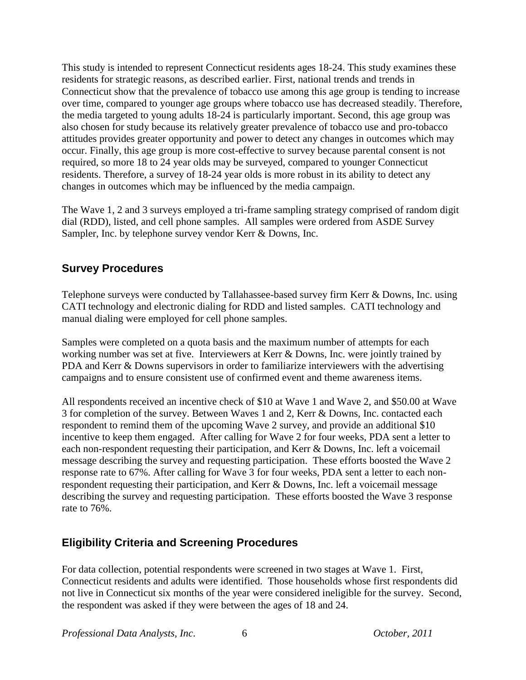This study is intended to represent Connecticut residents ages 18-24. This study examines these residents for strategic reasons, as described earlier. First, national trends and trends in Connecticut show that the prevalence of tobacco use among this age group is tending to increase over time, compared to younger age groups where tobacco use has decreased steadily. Therefore, the media targeted to young adults 18-24 is particularly important. Second, this age group was also chosen for study because its relatively greater prevalence of tobacco use and pro-tobacco attitudes provides greater opportunity and power to detect any changes in outcomes which may occur. Finally, this age group is more cost-effective to survey because parental consent is not required, so more 18 to 24 year olds may be surveyed, compared to younger Connecticut residents. Therefore, a survey of 18-24 year olds is more robust in its ability to detect any changes in outcomes which may be influenced by the media campaign.

The Wave 1, 2 and 3 surveys employed a tri-frame sampling strategy comprised of random digit dial (RDD), listed, and cell phone samples. All samples were ordered from ASDE Survey Sampler, Inc. by telephone survey vendor Kerr & Downs, Inc.

### **Survey Procedures**

Telephone surveys were conducted by Tallahassee-based survey firm Kerr & Downs, Inc. using CATI technology and electronic dialing for RDD and listed samples. CATI technology and manual dialing were employed for cell phone samples.

Samples were completed on a quota basis and the maximum number of attempts for each working number was set at five. Interviewers at Kerr & Downs, Inc. were jointly trained by PDA and Kerr & Downs supervisors in order to familiarize interviewers with the advertising campaigns and to ensure consistent use of confirmed event and theme awareness items.

All respondents received an incentive check of \$10 at Wave 1 and Wave 2, and \$50.00 at Wave 3 for completion of the survey. Between Waves 1 and 2, Kerr & Downs, Inc. contacted each respondent to remind them of the upcoming Wave 2 survey, and provide an additional \$10 incentive to keep them engaged. After calling for Wave 2 for four weeks, PDA sent a letter to each non-respondent requesting their participation, and Kerr & Downs, Inc. left a voicemail message describing the survey and requesting participation. These efforts boosted the Wave 2 response rate to 67%. After calling for Wave 3 for four weeks, PDA sent a letter to each nonrespondent requesting their participation, and Kerr & Downs, Inc. left a voicemail message describing the survey and requesting participation. These efforts boosted the Wave 3 response rate to 76%.

# **Eligibility Criteria and Screening Procedures**

For data collection, potential respondents were screened in two stages at Wave 1. First, Connecticut residents and adults were identified. Those households whose first respondents did not live in Connecticut six months of the year were considered ineligible for the survey. Second, the respondent was asked if they were between the ages of 18 and 24.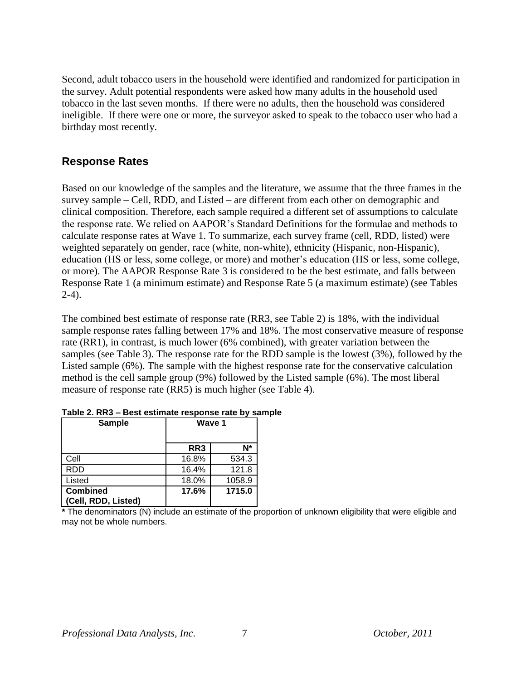Second, adult tobacco users in the household were identified and randomized for participation in the survey. Adult potential respondents were asked how many adults in the household used tobacco in the last seven months. If there were no adults, then the household was considered ineligible. If there were one or more, the surveyor asked to speak to the tobacco user who had a birthday most recently.

### **Response Rates**

Based on our knowledge of the samples and the literature, we assume that the three frames in the survey sample – Cell, RDD, and Listed – are different from each other on demographic and clinical composition. Therefore, each sample required a different set of assumptions to calculate the response rate. We relied on AAPOR"s Standard Definitions for the formulae and methods to calculate response rates at Wave 1. To summarize, each survey frame (cell, RDD, listed) were weighted separately on gender, race (white, non-white), ethnicity (Hispanic, non-Hispanic), education (HS or less, some college, or more) and mother's education (HS or less, some college, or more). The AAPOR Response Rate 3 is considered to be the best estimate, and falls between Response Rate 1 (a minimum estimate) and Response Rate 5 (a maximum estimate) (see Tables 2-4).

The combined best estimate of response rate (RR3, see Table 2) is 18%, with the individual sample response rates falling between 17% and 18%. The most conservative measure of response rate (RR1), in contrast, is much lower (6% combined), with greater variation between the samples (see Table 3). The response rate for the RDD sample is the lowest (3%), followed by the Listed sample (6%). The sample with the highest response rate for the conservative calculation method is the cell sample group (9%) followed by the Listed sample (6%). The most liberal measure of response rate (RR5) is much higher (see Table 4).

| <b>Sample</b>                          | Wave 1 |        |
|----------------------------------------|--------|--------|
|                                        | RR3    | N*     |
| Cell                                   | 16.8%  | 534.3  |
| <b>RDD</b>                             | 16.4%  | 121.8  |
| Listed                                 | 18.0%  | 1058.9 |
| <b>Combined</b><br>(Cell, RDD, Listed) | 17.6%  | 1715.0 |

**Table 2. RR3 – Best estimate response rate by sample**

**\*** The denominators (N) include an estimate of the proportion of unknown eligibility that were eligible and may not be whole numbers.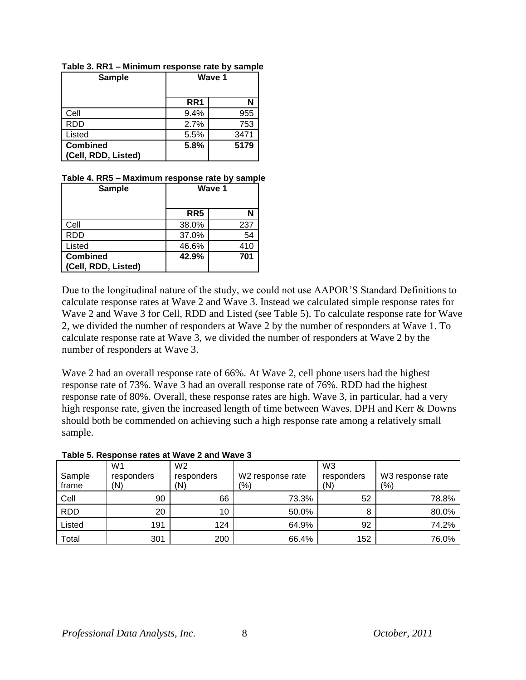| <b>Sample</b>                          | Wave 1          |      |
|----------------------------------------|-----------------|------|
|                                        | RR <sub>1</sub> |      |
| Cell                                   | 9.4%            | 955  |
| <b>RDD</b>                             | 2.7%            | 753  |
| Listed                                 | 5.5%            | 3471 |
| <b>Combined</b><br>(Cell, RDD, Listed) | 5.8%            | 5179 |

**Table 3. RR1 – Minimum response rate by sample**

#### **Table 4. RR5 – Maximum response rate by sample**

| <b>Sample</b>                          |                 | Wave 1 |
|----------------------------------------|-----------------|--------|
|                                        | RR <sub>5</sub> |        |
| Cell                                   | 38.0%           | 237    |
| <b>RDD</b>                             | 37.0%           | 54     |
| Listed                                 | 46.6%           | 410    |
| <b>Combined</b><br>(Cell, RDD, Listed) | 42.9%           | 701    |

Due to the longitudinal nature of the study, we could not use AAPOR"S Standard Definitions to calculate response rates at Wave 2 and Wave 3. Instead we calculated simple response rates for Wave 2 and Wave 3 for Cell, RDD and Listed (see Table 5). To calculate response rate for Wave 2, we divided the number of responders at Wave 2 by the number of responders at Wave 1. To calculate response rate at Wave 3, we divided the number of responders at Wave 2 by the number of responders at Wave 3.

Wave 2 had an overall response rate of 66%. At Wave 2, cell phone users had the highest response rate of 73%. Wave 3 had an overall response rate of 76%. RDD had the highest response rate of 80%. Overall, these response rates are high. Wave 3, in particular, had a very high response rate, given the increased length of time between Waves. DPH and Kerr & Downs should both be commended on achieving such a high response rate among a relatively small sample.

| Sample<br>frame | W <sub>1</sub><br>responders<br>(N) | W <sub>2</sub><br>responders<br>(N) | W2 response rate<br>(%) | W <sub>3</sub><br>responders<br>(N) | W3 response rate<br>(9/6) |
|-----------------|-------------------------------------|-------------------------------------|-------------------------|-------------------------------------|---------------------------|
|                 |                                     |                                     |                         |                                     |                           |
| Cell            | 90                                  | 66                                  | 73.3%                   | 52                                  | 78.8%                     |
| <b>RDD</b>      | 20                                  | 10                                  | 50.0%                   | 8                                   | 80.0%                     |
| Listed          | 191                                 | 124                                 | 64.9%                   | 92                                  | 74.2%                     |
| Total           | 301                                 | 200                                 | 66.4%                   | 152                                 | 76.0%                     |

#### **Table 5. Response rates at Wave 2 and Wave 3**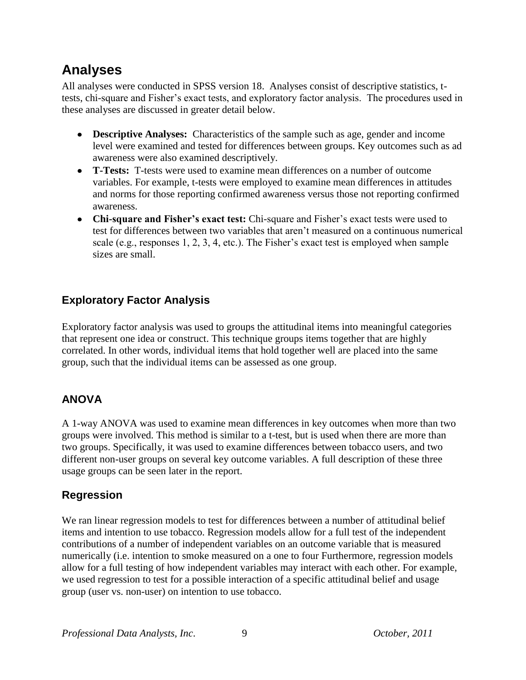# **Analyses**

All analyses were conducted in SPSS version 18. Analyses consist of descriptive statistics, ttests, chi-square and Fisher"s exact tests, and exploratory factor analysis. The procedures used in these analyses are discussed in greater detail below.

- **Descriptive Analyses:** Characteristics of the sample such as age, gender and income level were examined and tested for differences between groups. Key outcomes such as ad awareness were also examined descriptively.
- **T-Tests:** T-tests were used to examine mean differences on a number of outcome variables. For example, t-tests were employed to examine mean differences in attitudes and norms for those reporting confirmed awareness versus those not reporting confirmed awareness.
- **Chi-square and Fisher's exact test:** Chi-square and Fisher"s exact tests were used to test for differences between two variables that aren"t measured on a continuous numerical scale (e.g., responses 1, 2, 3, 4, etc.). The Fisher"s exact test is employed when sample sizes are small.

# **Exploratory Factor Analysis**

Exploratory factor analysis was used to groups the attitudinal items into meaningful categories that represent one idea or construct. This technique groups items together that are highly correlated. In other words, individual items that hold together well are placed into the same group, such that the individual items can be assessed as one group.

# **ANOVA**

A 1-way ANOVA was used to examine mean differences in key outcomes when more than two groups were involved. This method is similar to a t-test, but is used when there are more than two groups. Specifically, it was used to examine differences between tobacco users, and two different non-user groups on several key outcome variables. A full description of these three usage groups can be seen later in the report.

# **Regression**

We ran linear regression models to test for differences between a number of attitudinal belief items and intention to use tobacco. Regression models allow for a full test of the independent contributions of a number of independent variables on an outcome variable that is measured numerically (i.e. intention to smoke measured on a one to four Furthermore, regression models allow for a full testing of how independent variables may interact with each other. For example, we used regression to test for a possible interaction of a specific attitudinal belief and usage group (user vs. non-user) on intention to use tobacco.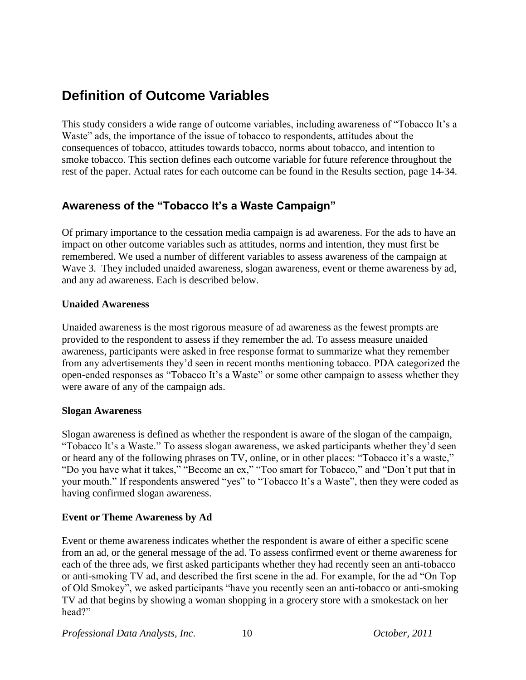# **Definition of Outcome Variables**

This study considers a wide range of outcome variables, including awareness of "Tobacco It"s a Waste" ads, the importance of the issue of tobacco to respondents, attitudes about the consequences of tobacco, attitudes towards tobacco, norms about tobacco, and intention to smoke tobacco. This section defines each outcome variable for future reference throughout the rest of the paper. Actual rates for each outcome can be found in the Results section, page 14-34.

### **Awareness of the "Tobacco It's a Waste Campaign"**

Of primary importance to the cessation media campaign is ad awareness. For the ads to have an impact on other outcome variables such as attitudes, norms and intention, they must first be remembered. We used a number of different variables to assess awareness of the campaign at Wave 3. They included unaided awareness, slogan awareness, event or theme awareness by ad, and any ad awareness. Each is described below.

### **Unaided Awareness**

Unaided awareness is the most rigorous measure of ad awareness as the fewest prompts are provided to the respondent to assess if they remember the ad. To assess measure unaided awareness, participants were asked in free response format to summarize what they remember from any advertisements they"d seen in recent months mentioning tobacco. PDA categorized the open-ended responses as "Tobacco It"s a Waste" or some other campaign to assess whether they were aware of any of the campaign ads.

### **Slogan Awareness**

Slogan awareness is defined as whether the respondent is aware of the slogan of the campaign, "Tobacco It's a Waste." To assess slogan awareness, we asked participants whether they'd seen or heard any of the following phrases on TV, online, or in other places: "Tobacco it's a waste," "Do you have what it takes," "Become an ex," "Too smart for Tobacco," and "Don"t put that in your mouth." If respondents answered "yes" to "Tobacco It's a Waste", then they were coded as having confirmed slogan awareness.

### **Event or Theme Awareness by Ad**

Event or theme awareness indicates whether the respondent is aware of either a specific scene from an ad, or the general message of the ad. To assess confirmed event or theme awareness for each of the three ads, we first asked participants whether they had recently seen an anti-tobacco or anti-smoking TV ad, and described the first scene in the ad. For example, for the ad "On Top of Old Smokey", we asked participants "have you recently seen an anti-tobacco or anti-smoking TV ad that begins by showing a woman shopping in a grocery store with a smokestack on her head?"

*Professional Data Analysts, Inc*. 10 *October, 2011*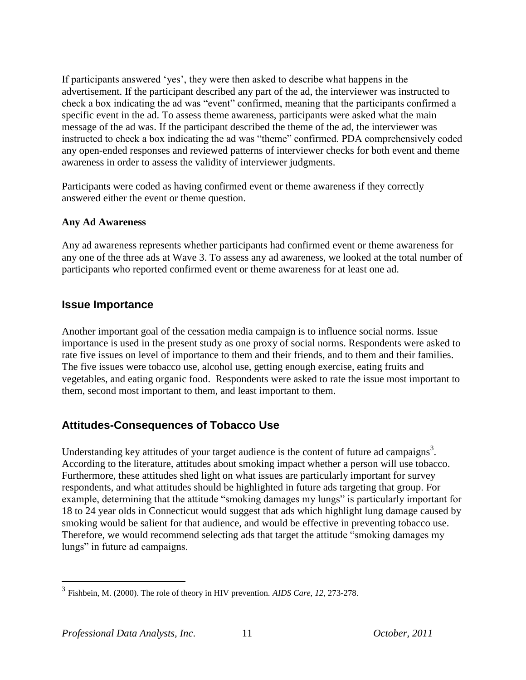If participants answered "yes", they were then asked to describe what happens in the advertisement. If the participant described any part of the ad, the interviewer was instructed to check a box indicating the ad was "event" confirmed, meaning that the participants confirmed a specific event in the ad. To assess theme awareness, participants were asked what the main message of the ad was. If the participant described the theme of the ad, the interviewer was instructed to check a box indicating the ad was "theme" confirmed. PDA comprehensively coded any open-ended responses and reviewed patterns of interviewer checks for both event and theme awareness in order to assess the validity of interviewer judgments.

Participants were coded as having confirmed event or theme awareness if they correctly answered either the event or theme question.

### **Any Ad Awareness**

Any ad awareness represents whether participants had confirmed event or theme awareness for any one of the three ads at Wave 3. To assess any ad awareness, we looked at the total number of participants who reported confirmed event or theme awareness for at least one ad.

### **Issue Importance**

Another important goal of the cessation media campaign is to influence social norms. Issue importance is used in the present study as one proxy of social norms. Respondents were asked to rate five issues on level of importance to them and their friends, and to them and their families. The five issues were tobacco use, alcohol use, getting enough exercise, eating fruits and vegetables, and eating organic food. Respondents were asked to rate the issue most important to them, second most important to them, and least important to them.

# **Attitudes-Consequences of Tobacco Use**

Understanding key attitudes of your target audience is the content of future ad campaigns<sup>3</sup>. According to the literature, attitudes about smoking impact whether a person will use tobacco. Furthermore, these attitudes shed light on what issues are particularly important for survey respondents, and what attitudes should be highlighted in future ads targeting that group. For example, determining that the attitude "smoking damages my lungs" is particularly important for 18 to 24 year olds in Connecticut would suggest that ads which highlight lung damage caused by smoking would be salient for that audience, and would be effective in preventing tobacco use. Therefore, we would recommend selecting ads that target the attitude "smoking damages my lungs" in future ad campaigns.

 $\overline{a}$ 

<sup>3</sup> Fishbein, M. (2000). The role of theory in HIV prevention. *AIDS Care, 12*, 273-278.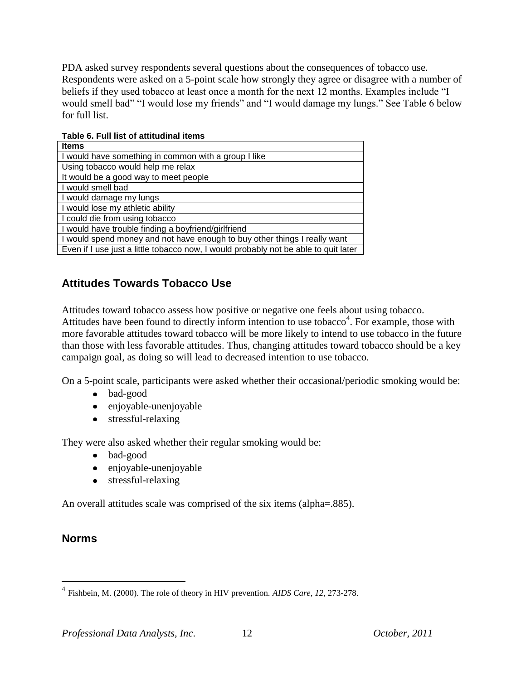PDA asked survey respondents several questions about the consequences of tobacco use. Respondents were asked on a 5-point scale how strongly they agree or disagree with a number of beliefs if they used tobacco at least once a month for the next 12 months. Examples include "I would smell bad" "I would lose my friends" and "I would damage my lungs." See Table 6 below for full list.

| ו טוסור שוו ווטג טו טגנונטשוווט וויט ווי                                            |
|-------------------------------------------------------------------------------------|
| <b>Items</b>                                                                        |
| I would have something in common with a group I like                                |
| Using tobacco would help me relax                                                   |
| It would be a good way to meet people                                               |
| I would smell bad                                                                   |
| I would damage my lungs                                                             |
| I would lose my athletic ability                                                    |
| I could die from using tobacco                                                      |
| I would have trouble finding a boyfriend/girlfriend                                 |
| I would spend money and not have enough to buy other things I really want           |
| Even if I use just a little tobacco now, I would probably not be able to quit later |

**Table 6. Full list of attitudinal items** 

# **Attitudes Towards Tobacco Use**

Attitudes toward tobacco assess how positive or negative one feels about using tobacco. Attitudes have been found to directly inform intention to use tobacco<sup>4</sup>. For example, those with more favorable attitudes toward tobacco will be more likely to intend to use tobacco in the future than those with less favorable attitudes. Thus, changing attitudes toward tobacco should be a key campaign goal, as doing so will lead to decreased intention to use tobacco.

On a 5-point scale, participants were asked whether their occasional/periodic smoking would be:

- bad-good
- enjoyable-unenjoyable
- stressful-relaxing

They were also asked whether their regular smoking would be:

- bad-good
- enjoyable-unenjoyable
- stressful-relaxing

An overall attitudes scale was comprised of the six items (alpha=.885).

### **Norms**

 $\overline{a}$ 

<sup>4</sup> Fishbein, M. (2000). The role of theory in HIV prevention. *AIDS Care, 12*, 273-278.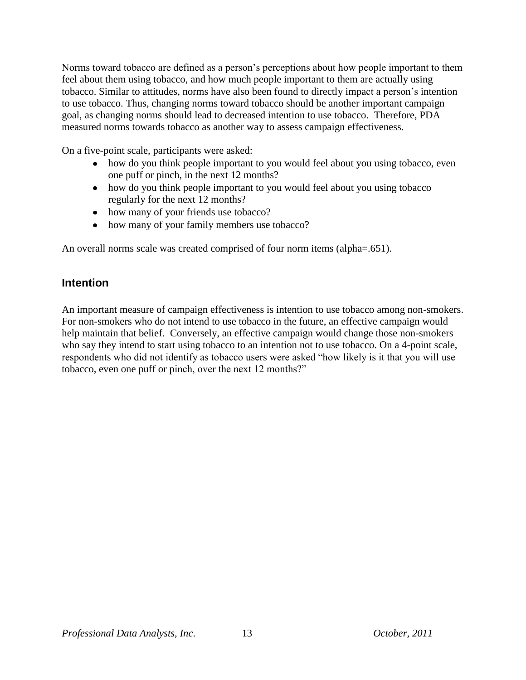Norms toward tobacco are defined as a person"s perceptions about how people important to them feel about them using tobacco, and how much people important to them are actually using tobacco. Similar to attitudes, norms have also been found to directly impact a person"s intention to use tobacco. Thus, changing norms toward tobacco should be another important campaign goal, as changing norms should lead to decreased intention to use tobacco. Therefore, PDA measured norms towards tobacco as another way to assess campaign effectiveness.

On a five-point scale, participants were asked:

- how do you think people important to you would feel about you using tobacco, even one puff or pinch, in the next 12 months?
- how do you think people important to you would feel about you using tobacco regularly for the next 12 months?
- how many of your friends use tobacco?
- how many of your family members use tobacco?

An overall norms scale was created comprised of four norm items (alpha=.651).

### **Intention**

An important measure of campaign effectiveness is intention to use tobacco among non-smokers. For non-smokers who do not intend to use tobacco in the future, an effective campaign would help maintain that belief. Conversely, an effective campaign would change those non-smokers who say they intend to start using tobacco to an intention not to use tobacco. On a 4-point scale, respondents who did not identify as tobacco users were asked "how likely is it that you will use tobacco, even one puff or pinch, over the next 12 months?"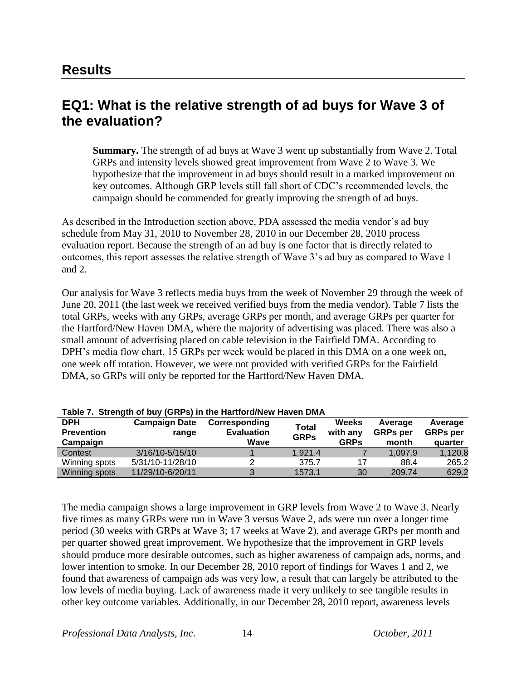# **EQ1: What is the relative strength of ad buys for Wave 3 of the evaluation?**

**Summary.** The strength of ad buys at Wave 3 went up substantially from Wave 2. Total GRPs and intensity levels showed great improvement from Wave 2 to Wave 3. We hypothesize that the improvement in ad buys should result in a marked improvement on key outcomes. Although GRP levels still fall short of CDC"s recommended levels, the campaign should be commended for greatly improving the strength of ad buys.

As described in the Introduction section above, PDA assessed the media vendor's ad buy schedule from May 31, 2010 to November 28, 2010 in our December 28, 2010 process evaluation report. Because the strength of an ad buy is one factor that is directly related to outcomes, this report assesses the relative strength of Wave 3"s ad buy as compared to Wave 1 and 2.

Our analysis for Wave 3 reflects media buys from the week of November 29 through the week of June 20, 2011 (the last week we received verified buys from the media vendor). Table 7 lists the total GRPs, weeks with any GRPs, average GRPs per month, and average GRPs per quarter for the Hartford/New Haven DMA, where the majority of advertising was placed. There was also a small amount of advertising placed on cable television in the Fairfield DMA. According to DPH's media flow chart, 15 GRPs per week would be placed in this DMA on a one week on, one week off rotation. However, we were not provided with verified GRPs for the Fairfield DMA, so GRPs will only be reported for the Hartford/New Haven DMA.

| $1800$ . Outlight of buy (ONES) in the Hartford/Rew Haven Dirk |                      |                   |              |              |                 |                 |  |  |
|----------------------------------------------------------------|----------------------|-------------------|--------------|--------------|-----------------|-----------------|--|--|
| <b>DPH</b>                                                     | <b>Campaign Date</b> | Corresponding     | <b>Total</b> | <b>Weeks</b> | Average         | Average         |  |  |
| <b>Prevention</b>                                              | range                | <b>Evaluation</b> | <b>GRPs</b>  | with any     | <b>GRPs</b> per | <b>GRPs</b> per |  |  |
| Campaign                                                       |                      | Wave              |              | <b>GRPs</b>  | month           | quarter         |  |  |
| Contest                                                        | 3/16/10-5/15/10      |                   | 1.921.4      |              | 1.097.9         | 1,120.8         |  |  |
| Winning spots                                                  | 5/31/10-11/28/10     |                   | 375.7        | 17           | 88.4            | 265.2           |  |  |
| Winning spots                                                  | 11/29/10-6/20/11     |                   | 1573.1       | 30           | 209.74          | 629.2           |  |  |

| Table 7. Strength of buy (GRPs) in the Hartford/New Haven DMA |
|---------------------------------------------------------------|
|---------------------------------------------------------------|

The media campaign shows a large improvement in GRP levels from Wave 2 to Wave 3. Nearly five times as many GRPs were run in Wave 3 versus Wave 2, ads were run over a longer time period (30 weeks with GRPs at Wave 3; 17 weeks at Wave 2), and average GRPs per month and per quarter showed great improvement. We hypothesize that the improvement in GRP levels should produce more desirable outcomes, such as higher awareness of campaign ads, norms, and lower intention to smoke. In our December 28, 2010 report of findings for Waves 1 and 2, we found that awareness of campaign ads was very low, a result that can largely be attributed to the low levels of media buying. Lack of awareness made it very unlikely to see tangible results in other key outcome variables. Additionally, in our December 28, 2010 report, awareness levels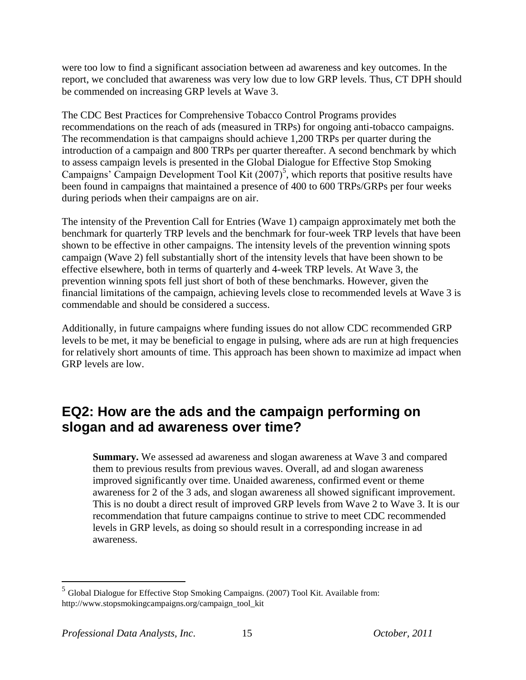were too low to find a significant association between ad awareness and key outcomes. In the report, we concluded that awareness was very low due to low GRP levels. Thus, CT DPH should be commended on increasing GRP levels at Wave 3.

The CDC Best Practices for Comprehensive Tobacco Control Programs provides recommendations on the reach of ads (measured in TRPs) for ongoing anti-tobacco campaigns. The recommendation is that campaigns should achieve 1,200 TRPs per quarter during the introduction of a campaign and 800 TRPs per quarter thereafter. A second benchmark by which to assess campaign levels is presented in the Global Dialogue for Effective Stop Smoking Campaigns' Campaign Development Tool Kit  $(2007)^5$ , which reports that positive results have been found in campaigns that maintained a presence of 400 to 600 TRPs/GRPs per four weeks during periods when their campaigns are on air.

The intensity of the Prevention Call for Entries (Wave 1) campaign approximately met both the benchmark for quarterly TRP levels and the benchmark for four-week TRP levels that have been shown to be effective in other campaigns. The intensity levels of the prevention winning spots campaign (Wave 2) fell substantially short of the intensity levels that have been shown to be effective elsewhere, both in terms of quarterly and 4-week TRP levels. At Wave 3, the prevention winning spots fell just short of both of these benchmarks. However, given the financial limitations of the campaign, achieving levels close to recommended levels at Wave 3 is commendable and should be considered a success.

Additionally, in future campaigns where funding issues do not allow CDC recommended GRP levels to be met, it may be beneficial to engage in pulsing, where ads are run at high frequencies for relatively short amounts of time. This approach has been shown to maximize ad impact when GRP levels are low.

# **EQ2: How are the ads and the campaign performing on slogan and ad awareness over time?**

**Summary.** We assessed ad awareness and slogan awareness at Wave 3 and compared them to previous results from previous waves. Overall, ad and slogan awareness improved significantly over time. Unaided awareness, confirmed event or theme awareness for 2 of the 3 ads, and slogan awareness all showed significant improvement. This is no doubt a direct result of improved GRP levels from Wave 2 to Wave 3. It is our recommendation that future campaigns continue to strive to meet CDC recommended levels in GRP levels, as doing so should result in a corresponding increase in ad awareness.

 $\overline{a}$ 

<sup>&</sup>lt;sup>5</sup> Global Dialogue for Effective Stop Smoking Campaigns. (2007) Tool Kit. Available from: http://www.stopsmokingcampaigns.org/campaign\_tool\_kit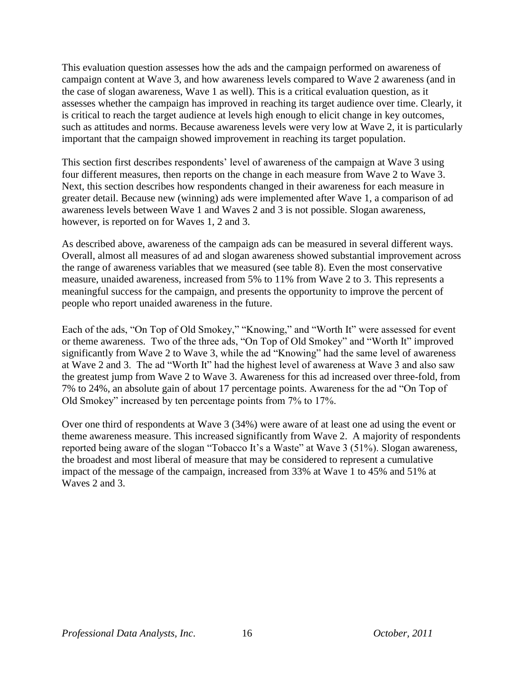This evaluation question assesses how the ads and the campaign performed on awareness of campaign content at Wave 3, and how awareness levels compared to Wave 2 awareness (and in the case of slogan awareness, Wave 1 as well). This is a critical evaluation question, as it assesses whether the campaign has improved in reaching its target audience over time. Clearly, it is critical to reach the target audience at levels high enough to elicit change in key outcomes, such as attitudes and norms. Because awareness levels were very low at Wave 2, it is particularly important that the campaign showed improvement in reaching its target population.

This section first describes respondents' level of awareness of the campaign at Wave 3 using four different measures, then reports on the change in each measure from Wave 2 to Wave 3. Next, this section describes how respondents changed in their awareness for each measure in greater detail. Because new (winning) ads were implemented after Wave 1, a comparison of ad awareness levels between Wave 1 and Waves 2 and 3 is not possible. Slogan awareness, however, is reported on for Waves 1, 2 and 3.

As described above, awareness of the campaign ads can be measured in several different ways. Overall, almost all measures of ad and slogan awareness showed substantial improvement across the range of awareness variables that we measured (see table 8). Even the most conservative measure, unaided awareness, increased from 5% to 11% from Wave 2 to 3. This represents a meaningful success for the campaign, and presents the opportunity to improve the percent of people who report unaided awareness in the future.

Each of the ads, "On Top of Old Smokey," "Knowing," and "Worth It" were assessed for event or theme awareness. Two of the three ads, "On Top of Old Smokey" and "Worth It" improved significantly from Wave 2 to Wave 3, while the ad "Knowing" had the same level of awareness at Wave 2 and 3. The ad "Worth It" had the highest level of awareness at Wave 3 and also saw the greatest jump from Wave 2 to Wave 3. Awareness for this ad increased over three-fold, from 7% to 24%, an absolute gain of about 17 percentage points. Awareness for the ad "On Top of Old Smokey" increased by ten percentage points from 7% to 17%.

Over one third of respondents at Wave 3 (34%) were aware of at least one ad using the event or theme awareness measure. This increased significantly from Wave 2. A majority of respondents reported being aware of the slogan "Tobacco It's a Waste" at Wave 3 (51%). Slogan awareness, the broadest and most liberal of measure that may be considered to represent a cumulative impact of the message of the campaign, increased from 33% at Wave 1 to 45% and 51% at Waves 2 and 3.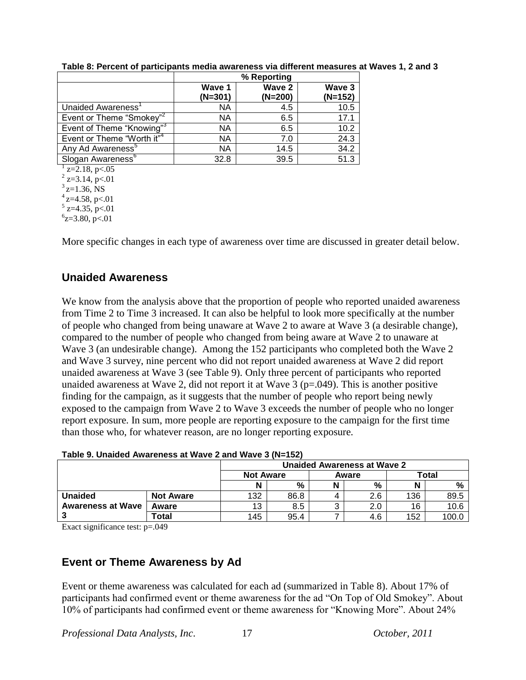|                                        | % Reporting |           |           |  |  |  |
|----------------------------------------|-------------|-----------|-----------|--|--|--|
|                                        | Wave 1      | Wave 2    | Wave 3    |  |  |  |
|                                        | $(N=301)$   | $(N=200)$ | $(N=152)$ |  |  |  |
| Unaided Awareness'                     | NА          | 4.5       | 10.5      |  |  |  |
| Event or Theme "Smokey" <sup>2</sup>   | NА          | 6.5       | 17.1      |  |  |  |
| Event of Theme "Knowing" <sup>3</sup>  | NА          | 6.5       | 10.2      |  |  |  |
| Event or Theme "Worth it" <sup>4</sup> | NА          | 7.0       | 24.3      |  |  |  |
| Any Ad Awareness <sup>5</sup>          | ΝA          | 14.5      | 34.2      |  |  |  |
| Slogan Awareness <sup>6</sup>          | 32.8        | 39.5      | 51.3      |  |  |  |
| $\frac{1}{2}$ z=2.18, p<.05            |             |           |           |  |  |  |
| $2$ z=3.14, p<.01                      |             |           |           |  |  |  |
| $3$ <sub>z=1.36</sub> , NS             |             |           |           |  |  |  |
| $4$ z=4.58, p<.01                      |             |           |           |  |  |  |
| $5$ z=4.35, p<.01                      |             |           |           |  |  |  |

**Table 8: Percent of participants media awareness via different measures at Waves 1, 2 and 3**

More specific changes in each type of awareness over time are discussed in greater detail below.

# **Unaided Awareness**

 $6z=3.80, p<.01$ 

We know from the analysis above that the proportion of people who reported unaided awareness from Time 2 to Time 3 increased. It can also be helpful to look more specifically at the number of people who changed from being unaware at Wave 2 to aware at Wave 3 (a desirable change), compared to the number of people who changed from being aware at Wave 2 to unaware at Wave 3 (an undesirable change). Among the 152 participants who completed both the Wave 2 and Wave 3 survey, nine percent who did not report unaided awareness at Wave 2 did report unaided awareness at Wave 3 (see Table 9). Only three percent of participants who reported unaided awareness at Wave 2, did not report it at Wave  $3$  ( $p=0.049$ ). This is another positive finding for the campaign, as it suggests that the number of people who report being newly exposed to the campaign from Wave 2 to Wave 3 exceeds the number of people who no longer report exposure. In sum, more people are reporting exposure to the campaign for the first time than those who, for whatever reason, are no longer reporting exposure.

|                          |                  | Table 9. Unaided Awareness at Wave 2 and Wave 3 (N=152) |      |  |     |     |       |  |
|--------------------------|------------------|---------------------------------------------------------|------|--|-----|-----|-------|--|
|                          |                  | Unaided Awareness at Wave 2                             |      |  |     |     |       |  |
|                          |                  | Total<br><b>Not Aware</b><br>Aware                      |      |  |     |     |       |  |
|                          |                  |                                                         | %    |  | %   | N   | %     |  |
| <b>Unaided</b>           | <b>Not Aware</b> | 132                                                     | 86.8 |  | 2.6 | 136 | 89.5  |  |
| <b>Awareness at Wave</b> | Aware            | 13                                                      | 8.5  |  | 2.0 | 16  | 10.6  |  |
| 3                        | Total            | 145                                                     | 95.4 |  | 4.6 | 152 | 100.0 |  |

### **Table 9. Unaided Awareness at Wave 2 and Wave 3 (N=152)**

Exact significance test: p=.049

### **Event or Theme Awareness by Ad**

Event or theme awareness was calculated for each ad (summarized in Table 8). About 17% of participants had confirmed event or theme awareness for the ad "On Top of Old Smokey". About 10% of participants had confirmed event or theme awareness for "Knowing More". About 24%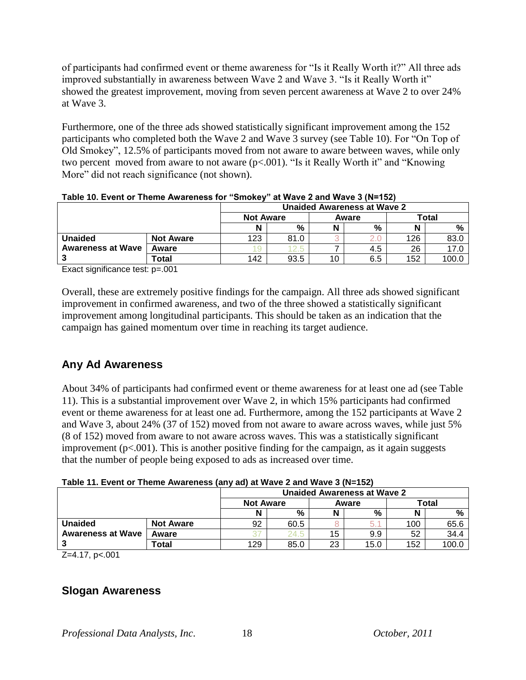of participants had confirmed event or theme awareness for "Is it Really Worth it?" All three ads improved substantially in awareness between Wave 2 and Wave 3. "Is it Really Worth it" showed the greatest improvement, moving from seven percent awareness at Wave 2 to over 24% at Wave 3.

Furthermore, one of the three ads showed statistically significant improvement among the 152 participants who completed both the Wave 2 and Wave 3 survey (see Table 10). For "On Top of Old Smokey", 12.5% of participants moved from not aware to aware between waves, while only two percent moved from aware to not aware (p<.001). "Is it Really Worth it" and "Knowing More" did not reach significance (not shown).

|                          |                  | Unaided Awareness at Wave 2 |      |       |     |       |       |
|--------------------------|------------------|-----------------------------|------|-------|-----|-------|-------|
|                          |                  | <b>Not Aware</b>            |      | Aware |     | Total |       |
|                          |                  | N                           | %    |       | %   |       | %     |
| <b>Unaided</b>           | <b>Not Aware</b> | 123                         | 81.0 |       |     | 126   | 83.0  |
| <b>Awareness at Wave</b> | Aware            |                             | 2.5  |       | 4.5 | 26    | 17.0  |
|                          | Total            | 142                         | 93.5 | 10    | 6.5 | 152   | 100.0 |

**Table 10. Event or Theme Awareness for "Smokey" at Wave 2 and Wave 3 (N=152)**

Exact significance test: p=.001

Overall, these are extremely positive findings for the campaign. All three ads showed significant improvement in confirmed awareness, and two of the three showed a statistically significant improvement among longitudinal participants. This should be taken as an indication that the campaign has gained momentum over time in reaching its target audience.

### **Any Ad Awareness**

About 34% of participants had confirmed event or theme awareness for at least one ad (see Table 11). This is a substantial improvement over Wave 2, in which 15% participants had confirmed event or theme awareness for at least one ad. Furthermore, among the 152 participants at Wave 2 and Wave 3, about 24% (37 of 152) moved from not aware to aware across waves, while just 5% (8 of 152) moved from aware to not aware across waves. This was a statistically significant improvement ( $p<0.001$ ). This is another positive finding for the campaign, as it again suggests that the number of people being exposed to ads as increased over time.

|                          |                  | <b>Unaided Awareness at Wave 2</b> |      |       |      |       |       |
|--------------------------|------------------|------------------------------------|------|-------|------|-------|-------|
|                          |                  | <b>Not Aware</b>                   |      | Aware |      | Total |       |
|                          |                  |                                    | %    |       | %    | Ν     | %     |
| <b>Unaided</b>           | <b>Not Aware</b> | 92                                 | 60.5 |       | 5.   | 100   | 65.6  |
| <b>Awareness at Wave</b> | Aware            |                                    | 24.5 | 15    | 9.9  | 52    | 34.4  |
|                          | $\tau$ otal      | 129                                | 85.0 | 23    | 15.0 | 152   | 100.C |

**Table 11. Event or Theme Awareness (any ad) at Wave 2 and Wave 3 (N=152)**

Z=4.17, p<.001

### **Slogan Awareness**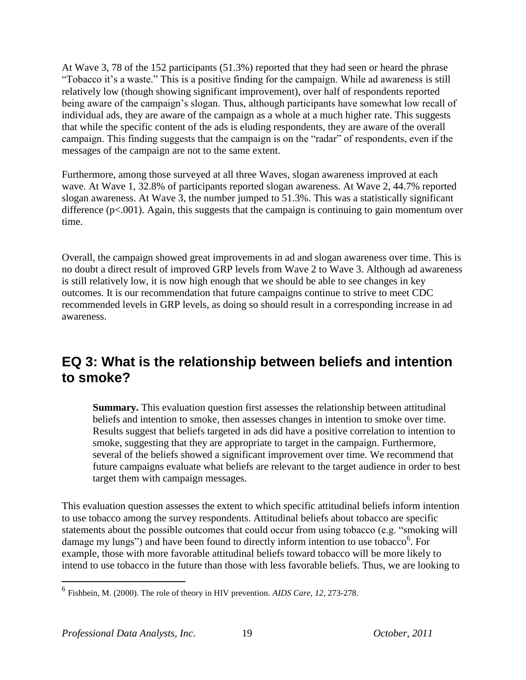At Wave 3, 78 of the 152 participants (51.3%) reported that they had seen or heard the phrase "Tobacco it's a waste." This is a positive finding for the campaign. While ad awareness is still relatively low (though showing significant improvement), over half of respondents reported being aware of the campaign's slogan. Thus, although participants have somewhat low recall of individual ads, they are aware of the campaign as a whole at a much higher rate. This suggests that while the specific content of the ads is eluding respondents, they are aware of the overall campaign. This finding suggests that the campaign is on the "radar" of respondents, even if the messages of the campaign are not to the same extent.

Furthermore, among those surveyed at all three Waves, slogan awareness improved at each wave. At Wave 1, 32.8% of participants reported slogan awareness. At Wave 2, 44.7% reported slogan awareness. At Wave 3, the number jumped to 51.3%. This was a statistically significant difference (p<.001). Again, this suggests that the campaign is continuing to gain momentum over time.

Overall, the campaign showed great improvements in ad and slogan awareness over time. This is no doubt a direct result of improved GRP levels from Wave 2 to Wave 3. Although ad awareness is still relatively low, it is now high enough that we should be able to see changes in key outcomes. It is our recommendation that future campaigns continue to strive to meet CDC recommended levels in GRP levels, as doing so should result in a corresponding increase in ad awareness.

# **EQ 3: What is the relationship between beliefs and intention to smoke?**

**Summary.** This evaluation question first assesses the relationship between attitudinal beliefs and intention to smoke, then assesses changes in intention to smoke over time. Results suggest that beliefs targeted in ads did have a positive correlation to intention to smoke, suggesting that they are appropriate to target in the campaign. Furthermore, several of the beliefs showed a significant improvement over time. We recommend that future campaigns evaluate what beliefs are relevant to the target audience in order to best target them with campaign messages.

This evaluation question assesses the extent to which specific attitudinal beliefs inform intention to use tobacco among the survey respondents. Attitudinal beliefs about tobacco are specific statements about the possible outcomes that could occur from using tobacco (e.g. "smoking will damage my lungs") and have been found to directly inform intention to use tobacco<sup>6</sup>. For example, those with more favorable attitudinal beliefs toward tobacco will be more likely to intend to use tobacco in the future than those with less favorable beliefs. Thus, we are looking to

 $\overline{a}$ 

<sup>6</sup> Fishbein, M. (2000). The role of theory in HIV prevention. *AIDS Care, 12*, 273-278.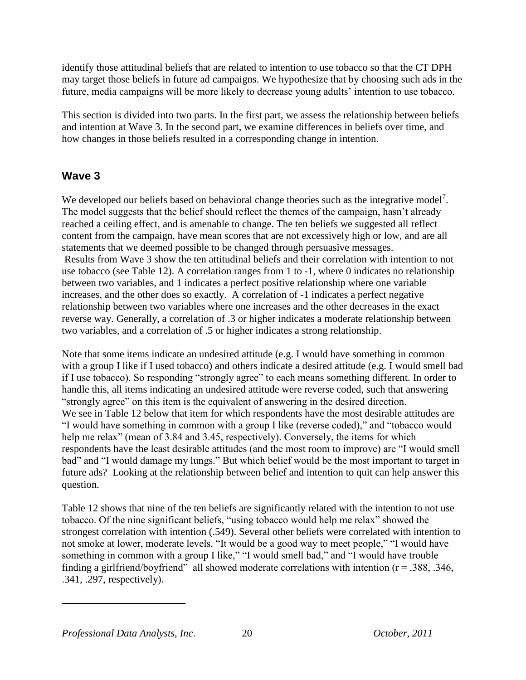identify those attitudinal beliefs that are related to intention to use tobacco so that the CT DPH may target those beliefs in future ad campaigns. We hypothesize that by choosing such ads in the future, media campaigns will be more likely to decrease young adults" intention to use tobacco.

This section is divided into two parts. In the first part, we assess the relationship between beliefs and intention at Wave 3. In the second part, we examine differences in beliefs over time, and how changes in those beliefs resulted in a corresponding change in intention.

# **Wave 3**

We developed our beliefs based on behavioral change theories such as the integrative model<sup>7</sup>. The model suggests that the belief should reflect the themes of the campaign, hasn't already reached a ceiling effect, and is amenable to change. The ten beliefs we suggested all reflect content from the campaign, have mean scores that are not excessively high or low, and are all statements that we deemed possible to be changed through persuasive messages. Results from Wave 3 show the ten attitudinal beliefs and their correlation with intention to not use tobacco (see Table 12). A correlation ranges from 1 to -1, where 0 indicates no relationship between two variables, and 1 indicates a perfect positive relationship where one variable increases, and the other does so exactly. A correlation of -1 indicates a perfect negative relationship between two variables where one increases and the other decreases in the exact reverse way. Generally, a correlation of .3 or higher indicates a moderate relationship between two variables, and a correlation of .5 or higher indicates a strong relationship.

Note that some items indicate an undesired attitude (e.g. I would have something in common with a group I like if I used tobacco) and others indicate a desired attitude (e.g. I would smell bad if I use tobacco). So responding "strongly agree" to each means something different. In order to handle this, all items indicating an undesired attitude were reverse coded, such that answering "strongly agree" on this item is the equivalent of answering in the desired direction. We see in Table 12 below that item for which respondents have the most desirable attitudes are "I would have something in common with a group I like (reverse coded)," and "tobacco would help me relax" (mean of 3.84 and 3.45, respectively). Conversely, the items for which respondents have the least desirable attitudes (and the most room to improve) are "I would smell bad" and "I would damage my lungs." But which belief would be the most important to target in future ads? Looking at the relationship between belief and intention to quit can help answer this question.

Table 12 shows that nine of the ten beliefs are significantly related with the intention to not use tobacco. Of the nine significant beliefs, "using tobacco would help me relax" showed the strongest correlation with intention (.549). Several other beliefs were correlated with intention to not smoke at lower, moderate levels. "It would be a good way to meet people," "I would have something in common with a group I like," "I would smell bad," and "I would have trouble finding a girlfriend/boyfriend" all showed moderate correlations with intention ( $r = 0.388, 0.346$ , .341, .297, respectively).

 $\overline{a}$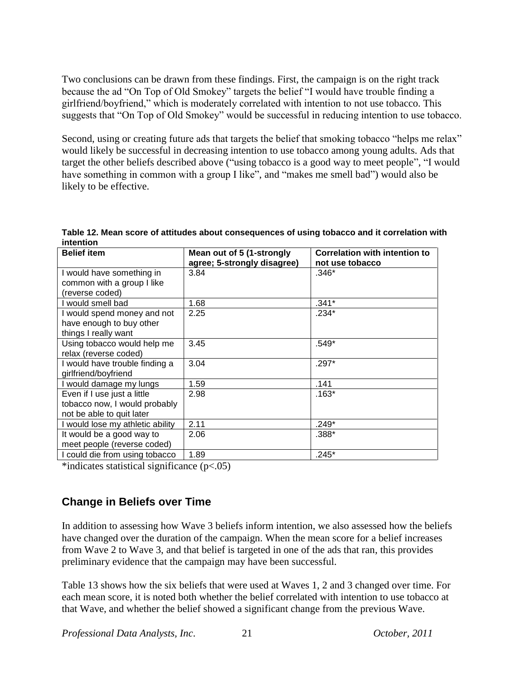Two conclusions can be drawn from these findings. First, the campaign is on the right track because the ad "On Top of Old Smokey" targets the belief "I would have trouble finding a girlfriend/boyfriend," which is moderately correlated with intention to not use tobacco. This suggests that "On Top of Old Smokey" would be successful in reducing intention to use tobacco.

Second, using or creating future ads that targets the belief that smoking tobacco "helps me relax" would likely be successful in decreasing intention to use tobacco among young adults. Ads that target the other beliefs described above ("using tobacco is a good way to meet people", "I would have something in common with a group I like", and "makes me smell bad") would also be likely to be effective.

| <b>Belief item</b>               | Mean out of 5 (1-strongly<br>agree; 5-strongly disagree) | <b>Correlation with intention to</b><br>not use tobacco |
|----------------------------------|----------------------------------------------------------|---------------------------------------------------------|
| I would have something in        | 3.84                                                     | $.346*$                                                 |
| common with a group I like       |                                                          |                                                         |
| (reverse coded)                  |                                                          |                                                         |
| I would smell bad                | 1.68                                                     | .341*                                                   |
| I would spend money and not      | 2.25                                                     | $.234*$                                                 |
| have enough to buy other         |                                                          |                                                         |
| things I really want             |                                                          |                                                         |
| Using tobacco would help me      | 3.45                                                     | .549*                                                   |
| relax (reverse coded)            |                                                          |                                                         |
| I would have trouble finding a   | 3.04                                                     | $.297*$                                                 |
| girlfriend/boyfriend             |                                                          |                                                         |
| I would damage my lungs          | 1.59                                                     | .141                                                    |
| Even if I use just a little      | 2.98                                                     | $.163*$                                                 |
| tobacco now, I would probably    |                                                          |                                                         |
| not be able to quit later        |                                                          |                                                         |
| I would lose my athletic ability | 2.11                                                     | .249*                                                   |
| It would be a good way to        | 2.06                                                     | .388*                                                   |
| meet people (reverse coded)      |                                                          |                                                         |
| I could die from using tobacco   | 1.89                                                     | .245*                                                   |

**Table 12. Mean score of attitudes about consequences of using tobacco and it correlation with intention**

\*indicates statistical significance (p<.05)

### **Change in Beliefs over Time**

In addition to assessing how Wave 3 beliefs inform intention, we also assessed how the beliefs have changed over the duration of the campaign. When the mean score for a belief increases from Wave 2 to Wave 3, and that belief is targeted in one of the ads that ran, this provides preliminary evidence that the campaign may have been successful.

Table 13 shows how the six beliefs that were used at Waves 1, 2 and 3 changed over time. For each mean score, it is noted both whether the belief correlated with intention to use tobacco at that Wave, and whether the belief showed a significant change from the previous Wave.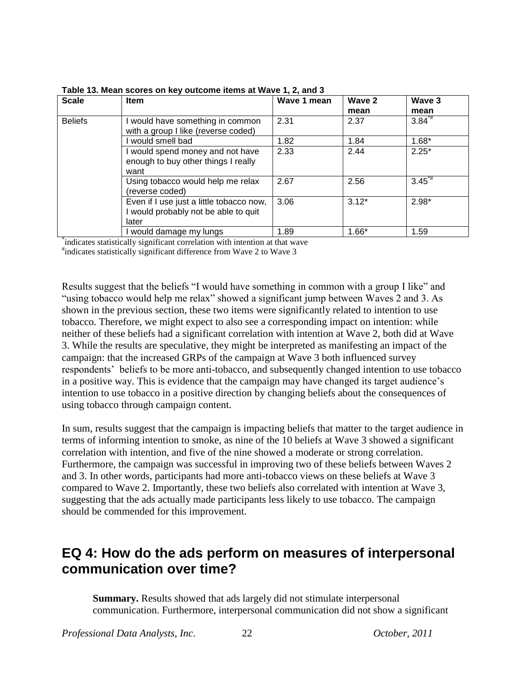| <b>Scale</b>   | <b>Item</b>                                                                             | Wave 1 mean | Wave 2<br>mean | Wave 3<br>mean |
|----------------|-----------------------------------------------------------------------------------------|-------------|----------------|----------------|
| <b>Beliefs</b> | I would have something in common<br>with a group I like (reverse coded)                 | 2.31        | 2.37           | $3.84^{4}$     |
|                | would smell bad                                                                         | 1.82        | 1.84           | $1.68*$        |
|                | I would spend money and not have<br>enough to buy other things I really<br>want         | 2.33        | 2.44           | $2.25*$        |
|                | Using tobacco would help me relax<br>(reverse coded)                                    | 2.67        | 2.56           | $3.45^{*}$     |
|                | Even if I use just a little tobacco now,<br>would probably not be able to quit<br>later | 3.06        | $3.12*$        | $2.98*$        |
|                | would damage my lungs                                                                   | 1.89        | $1.66*$        | 1.59           |

**Table 13. Mean scores on key outcome items at Wave 1, 2, and 3** 

\* indicates statistically significant correlation with intention at that wave

# indicates statistically significant difference from Wave 2 to Wave 3

Results suggest that the beliefs "I would have something in common with a group I like" and "using tobacco would help me relax" showed a significant jump between Waves 2 and 3. As shown in the previous section, these two items were significantly related to intention to use tobacco. Therefore, we might expect to also see a corresponding impact on intention: while neither of these beliefs had a significant correlation with intention at Wave 2, both did at Wave 3. While the results are speculative, they might be interpreted as manifesting an impact of the campaign: that the increased GRPs of the campaign at Wave 3 both influenced survey respondents" beliefs to be more anti-tobacco, and subsequently changed intention to use tobacco in a positive way. This is evidence that the campaign may have changed its target audience's intention to use tobacco in a positive direction by changing beliefs about the consequences of using tobacco through campaign content.

In sum, results suggest that the campaign is impacting beliefs that matter to the target audience in terms of informing intention to smoke, as nine of the 10 beliefs at Wave 3 showed a significant correlation with intention, and five of the nine showed a moderate or strong correlation. Furthermore, the campaign was successful in improving two of these beliefs between Waves 2 and 3. In other words, participants had more anti-tobacco views on these beliefs at Wave 3 compared to Wave 2. Importantly, these two beliefs also correlated with intention at Wave 3, suggesting that the ads actually made participants less likely to use tobacco. The campaign should be commended for this improvement.

# **EQ 4: How do the ads perform on measures of interpersonal communication over time?**

**Summary.** Results showed that ads largely did not stimulate interpersonal communication. Furthermore, interpersonal communication did not show a significant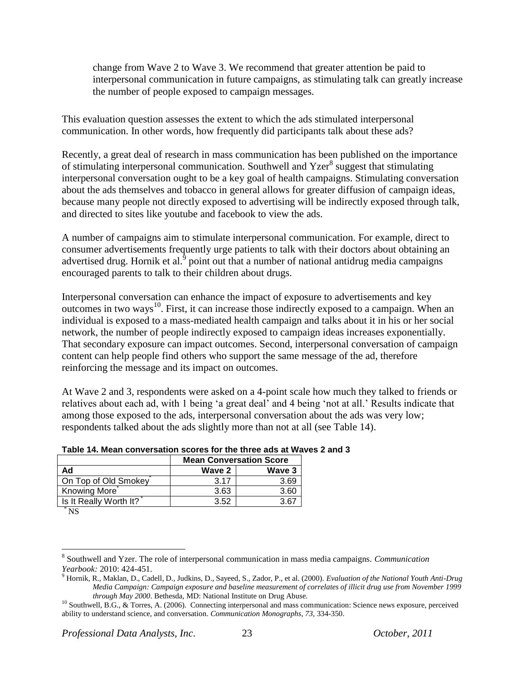change from Wave 2 to Wave 3. We recommend that greater attention be paid to interpersonal communication in future campaigns, as stimulating talk can greatly increase the number of people exposed to campaign messages.

This evaluation question assesses the extent to which the ads stimulated interpersonal communication. In other words, how frequently did participants talk about these ads?

Recently, a great deal of research in mass communication has been published on the importance of stimulating interpersonal communication. Southwell and Yzer<sup>8</sup> suggest that stimulating interpersonal conversation ought to be a key goal of health campaigns. Stimulating conversation about the ads themselves and tobacco in general allows for greater diffusion of campaign ideas, because many people not directly exposed to advertising will be indirectly exposed through talk, and directed to sites like youtube and facebook to view the ads.

A number of campaigns aim to stimulate interpersonal communication. For example, direct to consumer advertisements frequently urge patients to talk with their doctors about obtaining an advertised drug. Hornik et al.<sup>9</sup> point out that a number of national antidrug media campaigns encouraged parents to talk to their children about drugs.

Interpersonal conversation can enhance the impact of exposure to advertisements and key outcomes in two ways<sup>10</sup>. First, it can increase those indirectly exposed to a campaign. When an individual is exposed to a mass-mediated health campaign and talks about it in his or her social network, the number of people indirectly exposed to campaign ideas increases exponentially. That secondary exposure can impact outcomes. Second, interpersonal conversation of campaign content can help people find others who support the same message of the ad, therefore reinforcing the message and its impact on outcomes.

At Wave 2 and 3, respondents were asked on a 4-point scale how much they talked to friends or relatives about each ad, with 1 being "a great deal" and 4 being "not at all." Results indicate that among those exposed to the ads, interpersonal conversation about the ads was very low; respondents talked about the ads slightly more than not at all (see Table 14).

|                        | <b>Mean Conversation Score</b> |        |  |
|------------------------|--------------------------------|--------|--|
| Ad                     | Wave 2                         | Wave 3 |  |
| On Top of Old Smokey   | 3.17                           | 3.69   |  |
| <b>Knowing More</b>    | 3.63                           | 3.60   |  |
| Is It Really Worth It? | 3.52                           | 3 R7   |  |

**Table 14. Mean conversation scores for the three ads at Waves 2 and 3**

 $\overline{a}$ 

 $^*$ NS

<sup>8</sup> Southwell and Yzer. The role of interpersonal communication in mass media campaigns. *Communication Yearbook:* 2010: 424-451.

<sup>9</sup> Hornik, R., Maklan, D., Cadell, D., Judkins, D., Sayeed, S., Zador, P., et al. (2000). *Evaluation of the National Youth Anti-Drug Media Campaign: Campaign exposure and baseline measurement of correlates of illicit drug use from November 1999 through May 2000*. Bethesda, MD: National Institute on Drug Abuse.

 $10$  Southwell, B.G., & Torres, A. (2006). Connecting interpersonal and mass communication: Science news exposure, perceived ability to understand science, and conversation. *Communication Monographs, 73,* 334-350.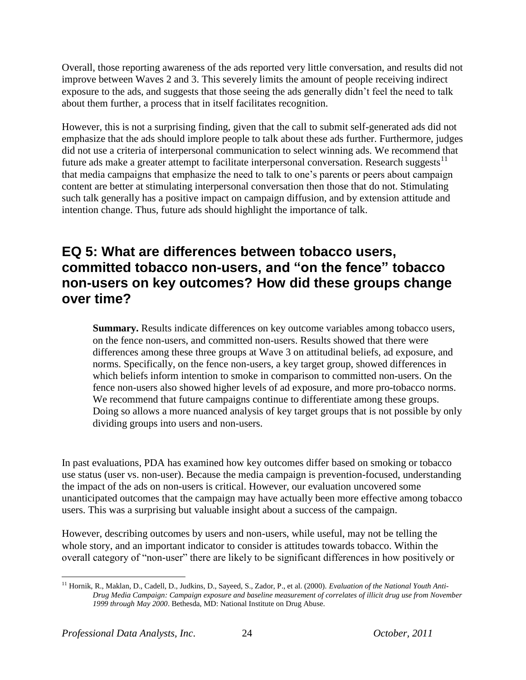Overall, those reporting awareness of the ads reported very little conversation, and results did not improve between Waves 2 and 3. This severely limits the amount of people receiving indirect exposure to the ads, and suggests that those seeing the ads generally didn"t feel the need to talk about them further, a process that in itself facilitates recognition.

However, this is not a surprising finding, given that the call to submit self-generated ads did not emphasize that the ads should implore people to talk about these ads further. Furthermore, judges did not use a criteria of interpersonal communication to select winning ads. We recommend that future ads make a greater attempt to facilitate interpersonal conversation. Research suggests<sup>11</sup> that media campaigns that emphasize the need to talk to one"s parents or peers about campaign content are better at stimulating interpersonal conversation then those that do not. Stimulating such talk generally has a positive impact on campaign diffusion, and by extension attitude and intention change. Thus, future ads should highlight the importance of talk.

# **EQ 5: What are differences between tobacco users, committed tobacco non-users, and "on the fence" tobacco non-users on key outcomes? How did these groups change over time?**

**Summary.** Results indicate differences on key outcome variables among tobacco users, on the fence non-users, and committed non-users. Results showed that there were differences among these three groups at Wave 3 on attitudinal beliefs, ad exposure, and norms. Specifically, on the fence non-users, a key target group, showed differences in which beliefs inform intention to smoke in comparison to committed non-users. On the fence non-users also showed higher levels of ad exposure, and more pro-tobacco norms. We recommend that future campaigns continue to differentiate among these groups. Doing so allows a more nuanced analysis of key target groups that is not possible by only dividing groups into users and non-users.

In past evaluations, PDA has examined how key outcomes differ based on smoking or tobacco use status (user vs. non-user). Because the media campaign is prevention-focused, understanding the impact of the ads on non-users is critical. However, our evaluation uncovered some unanticipated outcomes that the campaign may have actually been more effective among tobacco users. This was a surprising but valuable insight about a success of the campaign.

However, describing outcomes by users and non-users, while useful, may not be telling the whole story, and an important indicator to consider is attitudes towards tobacco. Within the overall category of "non-user" there are likely to be significant differences in how positively or

 $\overline{a}$ <sup>11</sup> Hornik, R., Maklan, D., Cadell, D., Judkins, D., Sayeed, S., Zador, P., et al. (2000). *Evaluation of the National Youth Anti-Drug Media Campaign: Campaign exposure and baseline measurement of correlates of illicit drug use from November 1999 through May 2000*. Bethesda, MD: National Institute on Drug Abuse.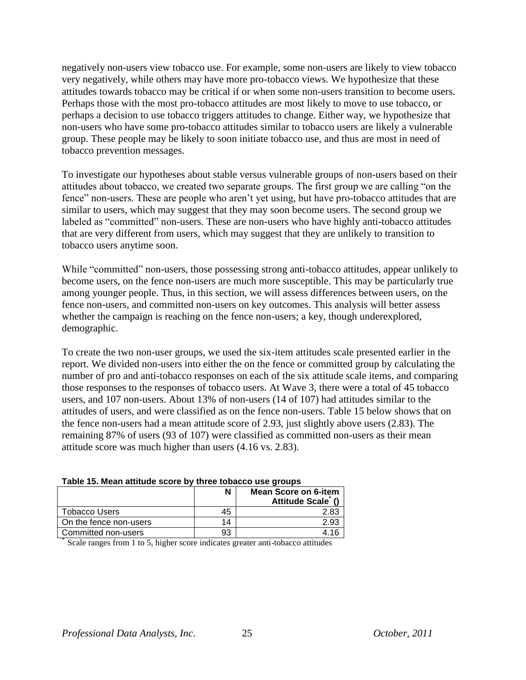negatively non-users view tobacco use. For example, some non-users are likely to view tobacco very negatively, while others may have more pro-tobacco views. We hypothesize that these attitudes towards tobacco may be critical if or when some non-users transition to become users. Perhaps those with the most pro-tobacco attitudes are most likely to move to use tobacco, or perhaps a decision to use tobacco triggers attitudes to change. Either way, we hypothesize that non-users who have some pro-tobacco attitudes similar to tobacco users are likely a vulnerable group. These people may be likely to soon initiate tobacco use, and thus are most in need of tobacco prevention messages.

To investigate our hypotheses about stable versus vulnerable groups of non-users based on their attitudes about tobacco, we created two separate groups. The first group we are calling "on the fence" non-users. These are people who aren't yet using, but have pro-tobacco attitudes that are similar to users, which may suggest that they may soon become users. The second group we labeled as "committed" non-users. These are non-users who have highly anti-tobacco attitudes that are very different from users, which may suggest that they are unlikely to transition to tobacco users anytime soon.

While "committed" non-users, those possessing strong anti-tobacco attitudes, appear unlikely to become users, on the fence non-users are much more susceptible. This may be particularly true among younger people. Thus, in this section, we will assess differences between users, on the fence non-users, and committed non-users on key outcomes. This analysis will better assess whether the campaign is reaching on the fence non-users; a key, though underexplored, demographic.

To create the two non-user groups, we used the six-item attitudes scale presented earlier in the report. We divided non-users into either the on the fence or committed group by calculating the number of pro and anti-tobacco responses on each of the six attitude scale items, and comparing those responses to the responses of tobacco users. At Wave 3, there were a total of 45 tobacco users, and 107 non-users. About 13% of non-users (14 of 107) had attitudes similar to the attitudes of users, and were classified as on the fence non-users. Table 15 below shows that on the fence non-users had a mean attitude score of 2.93, just slightly above users (2.83). The remaining 87% of users (93 of 107) were classified as committed non-users as their mean attitude score was much higher than users (4.16 vs. 2.83).

| Lavie To: Mean attitude score by three topacco use droups |    |                                                 |  |
|-----------------------------------------------------------|----|-------------------------------------------------|--|
|                                                           | N  | <b>Mean Score on 6-item</b><br>Attitude Scale ( |  |
| <b>Tobacco Users</b>                                      | 45 | 2.83                                            |  |
| On the fence non-users                                    | 14 | 2.93                                            |  |
| Committed non-users                                       | 93 |                                                 |  |

#### **Table 15. Mean attitude score by three tobacco use groups**

\* Scale ranges from 1 to 5, higher score indicates greater anti-tobacco attitudes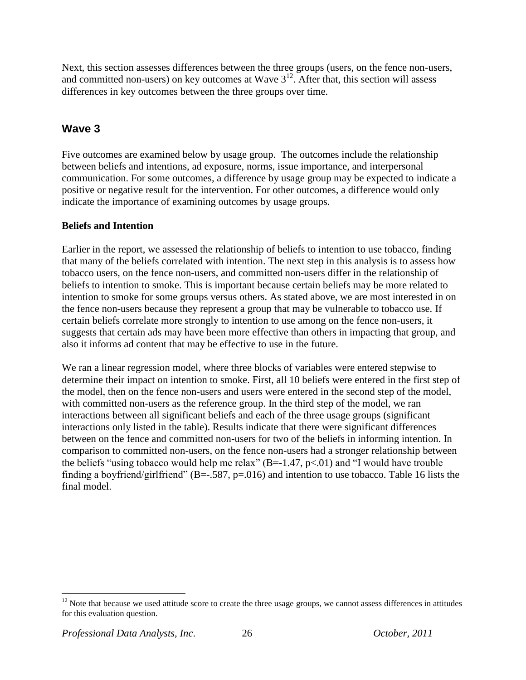Next, this section assesses differences between the three groups (users, on the fence non-users, and committed non-users) on key outcomes at Wave  $3<sup>12</sup>$ . After that, this section will assess differences in key outcomes between the three groups over time.

# **Wave 3**

Five outcomes are examined below by usage group. The outcomes include the relationship between beliefs and intentions, ad exposure, norms, issue importance, and interpersonal communication. For some outcomes, a difference by usage group may be expected to indicate a positive or negative result for the intervention. For other outcomes, a difference would only indicate the importance of examining outcomes by usage groups.

### **Beliefs and Intention**

Earlier in the report, we assessed the relationship of beliefs to intention to use tobacco, finding that many of the beliefs correlated with intention. The next step in this analysis is to assess how tobacco users, on the fence non-users, and committed non-users differ in the relationship of beliefs to intention to smoke. This is important because certain beliefs may be more related to intention to smoke for some groups versus others. As stated above, we are most interested in on the fence non-users because they represent a group that may be vulnerable to tobacco use. If certain beliefs correlate more strongly to intention to use among on the fence non-users, it suggests that certain ads may have been more effective than others in impacting that group, and also it informs ad content that may be effective to use in the future.

We ran a linear regression model, where three blocks of variables were entered stepwise to determine their impact on intention to smoke. First, all 10 beliefs were entered in the first step of the model, then on the fence non-users and users were entered in the second step of the model, with committed non-users as the reference group. In the third step of the model, we ran interactions between all significant beliefs and each of the three usage groups (significant interactions only listed in the table). Results indicate that there were significant differences between on the fence and committed non-users for two of the beliefs in informing intention. In comparison to committed non-users, on the fence non-users had a stronger relationship between the beliefs "using tobacco would help me relax"  $(B=1.47, p<0.01)$  and "I would have trouble finding a boyfriend/girlfriend" (B=-.587, p=.016) and intention to use tobacco. Table 16 lists the final model.

 $\overline{a}$ 

 $12$  Note that because we used attitude score to create the three usage groups, we cannot assess differences in attitudes for this evaluation question.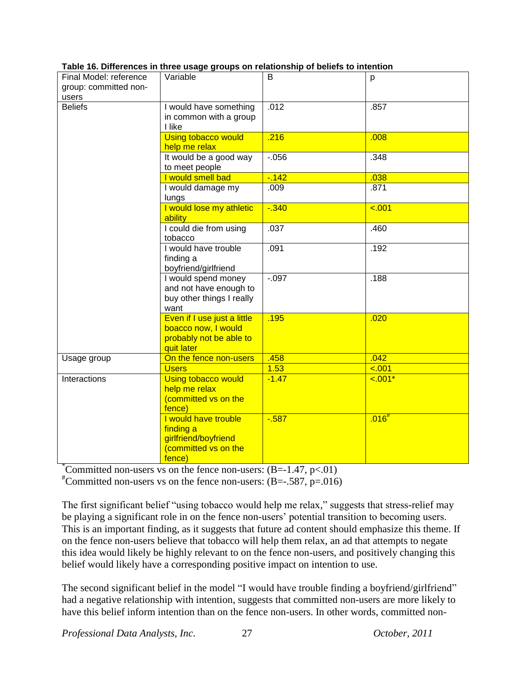| Final Model: reference<br>Variable<br>group: committed non-<br>users |                                                                                             | B        | p                   |
|----------------------------------------------------------------------|---------------------------------------------------------------------------------------------|----------|---------------------|
| <b>Beliefs</b>                                                       | I would have something<br>in common with a group<br>I like                                  | .012     | .857                |
|                                                                      | Using tobacco would<br>help me relax                                                        | .216     | .008                |
|                                                                      | It would be a good way<br>to meet people                                                    | $-0.056$ | .348                |
|                                                                      | I would smell bad                                                                           | $-142$   | .038                |
|                                                                      | I would damage my<br>lungs                                                                  | .009     | .871                |
|                                                                      | I would lose my athletic<br>ability                                                         | $-0.340$ | < .001              |
|                                                                      | I could die from using<br>tobacco                                                           | .037     | .460                |
|                                                                      | I would have trouble<br>finding a<br>boyfriend/girlfriend                                   | .091     | .192                |
|                                                                      | I would spend money<br>and not have enough to<br>buy other things I really<br>want          | $-0.097$ | .188                |
|                                                                      | Even if I use just a little<br>boacco now, I would<br>probably not be able to<br>quit later | .195     | .020                |
| Usage group                                                          | On the fence non-users                                                                      | .458     | .042                |
|                                                                      | <b>Users</b>                                                                                | 1.53     | < .001              |
| Interactions                                                         | <b>Using tobacco would</b><br>help me relax<br>(committed vs on the<br>fence)               | $-1.47$  | $\overline{-.001*}$ |
|                                                                      | I would have trouble<br>finding a<br>girlfriend/boyfriend<br>(committed vs on the<br>fence) | $-587$   | $.016^{#}$          |

### **Table 16. Differences in three usage groups on relationship of beliefs to intention**

\*Committed non-users vs on the fence non-users:  $(B=1.47, p<0.01)$ 

<sup>#</sup>Committed non-users vs on the fence non-users:  $(B=-.587, p=.016)$ 

The first significant belief "using tobacco would help me relax," suggests that stress-relief may be playing a significant role in on the fence non-users' potential transition to becoming users. This is an important finding, as it suggests that future ad content should emphasize this theme. If on the fence non-users believe that tobacco will help them relax, an ad that attempts to negate this idea would likely be highly relevant to on the fence non-users, and positively changing this belief would likely have a corresponding positive impact on intention to use.

The second significant belief in the model "I would have trouble finding a boyfriend/girlfriend" had a negative relationship with intention, suggests that committed non-users are more likely to have this belief inform intention than on the fence non-users. In other words, committed non-

*Professional Data Analysts, Inc*. 27 *October, 2011*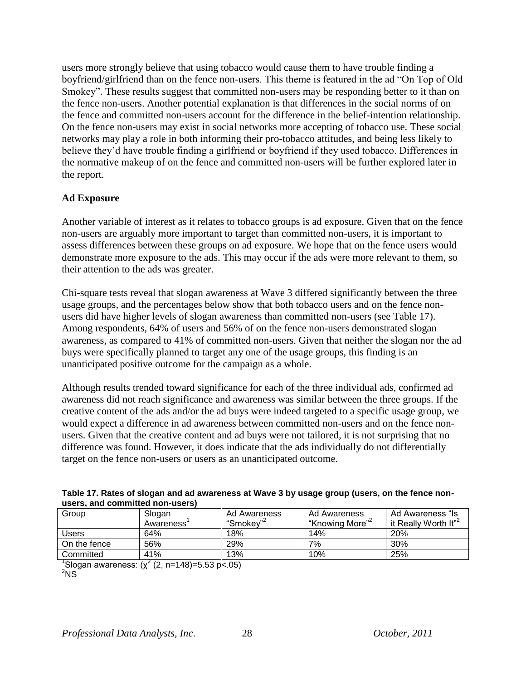users more strongly believe that using tobacco would cause them to have trouble finding a boyfriend/girlfriend than on the fence non-users. This theme is featured in the ad "On Top of Old Smokey". These results suggest that committed non-users may be responding better to it than on the fence non-users. Another potential explanation is that differences in the social norms of on the fence and committed non-users account for the difference in the belief-intention relationship. On the fence non-users may exist in social networks more accepting of tobacco use. These social networks may play a role in both informing their pro-tobacco attitudes, and being less likely to believe they"d have trouble finding a girlfriend or boyfriend if they used tobacco. Differences in the normative makeup of on the fence and committed non-users will be further explored later in the report.

### **Ad Exposure**

Another variable of interest as it relates to tobacco groups is ad exposure. Given that on the fence non-users are arguably more important to target than committed non-users, it is important to assess differences between these groups on ad exposure. We hope that on the fence users would demonstrate more exposure to the ads. This may occur if the ads were more relevant to them, so their attention to the ads was greater.

Chi-square tests reveal that slogan awareness at Wave 3 differed significantly between the three usage groups, and the percentages below show that both tobacco users and on the fence nonusers did have higher levels of slogan awareness than committed non-users (see Table 17). Among respondents, 64% of users and 56% of on the fence non-users demonstrated slogan awareness, as compared to 41% of committed non-users. Given that neither the slogan nor the ad buys were specifically planned to target any one of the usage groups, this finding is an unanticipated positive outcome for the campaign as a whole.

Although results trended toward significance for each of the three individual ads, confirmed ad awareness did not reach significance and awareness was similar between the three groups. If the creative content of the ads and/or the ad buys were indeed targeted to a specific usage group, we would expect a difference in ad awareness between committed non-users and on the fence nonusers. Given that the creative content and ad buys were not tailored, it is not surprising that no difference was found. However, it does indicate that the ads individually do not differentially target on the fence non-users or users as an unanticipated outcome.

|              | users, and committed non-users) |                       |                             |                                  |  |  |  |  |
|--------------|---------------------------------|-----------------------|-----------------------------|----------------------------------|--|--|--|--|
| Group        | Slogan                          | Ad Awareness          | Ad Awareness                | Ad Awareness "Is                 |  |  |  |  |
|              | Awareness                       | "Smokev" <sup>2</sup> | "Knowing More" <sup>2</sup> | it Really Worth It" <sup>2</sup> |  |  |  |  |
| <b>Users</b> | 64%                             | 18%                   | 14%                         | <b>20%</b>                       |  |  |  |  |
| On the fence | 56%                             | 29%                   | 7%                          | 30%                              |  |  |  |  |
| Committed    | 41%                             | 13%                   | 10%                         | 25%                              |  |  |  |  |

|                                 | Table 17. Rates of slogan and ad awareness at Wave 3 by usage group (users, on the fence non- |  |
|---------------------------------|-----------------------------------------------------------------------------------------------|--|
| users, and committed non-users) |                                                                                               |  |

 $^1$ Slogan awareness: (χ<sup>2</sup> (2, n=148)=5.53 p<.05)

 $2$ <sub>NS</sub>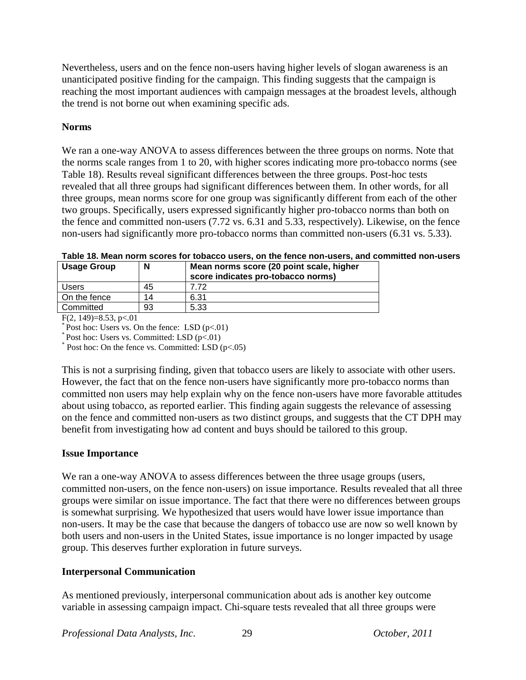Nevertheless, users and on the fence non-users having higher levels of slogan awareness is an unanticipated positive finding for the campaign. This finding suggests that the campaign is reaching the most important audiences with campaign messages at the broadest levels, although the trend is not borne out when examining specific ads.

### **Norms**

We ran a one-way ANOVA to assess differences between the three groups on norms. Note that the norms scale ranges from 1 to 20, with higher scores indicating more pro-tobacco norms (see Table 18). Results reveal significant differences between the three groups. Post-hoc tests revealed that all three groups had significant differences between them. In other words, for all three groups, mean norms score for one group was significantly different from each of the other two groups. Specifically, users expressed significantly higher pro-tobacco norms than both on the fence and committed non-users (7.72 vs. 6.31 and 5.33, respectively). Likewise, on the fence non-users had significantly more pro-tobacco norms than committed non-users (6.31 vs. 5.33).

| <b>Usage Group</b> | N  | Mean norms score (20 point scale, higher<br>score indicates pro-tobacco norms) |
|--------------------|----|--------------------------------------------------------------------------------|
| Users              | 45 | 7 72                                                                           |
| On the fence       | 14 | 6.31                                                                           |
| Committed          | 93 | 5.33                                                                           |

**Table 18. Mean norm scores for tobacco users, on the fence non-users, and committed non-users**

F(2, 149)=8.53, p $< 01$ 

 $*$  Post hoc: Users vs. Committed: LSD (p<.01)

\* Post hoc: On the fence vs. Committed: LSD (p<.05)

This is not a surprising finding, given that tobacco users are likely to associate with other users. However, the fact that on the fence non-users have significantly more pro-tobacco norms than committed non users may help explain why on the fence non-users have more favorable attitudes about using tobacco, as reported earlier. This finding again suggests the relevance of assessing on the fence and committed non-users as two distinct groups, and suggests that the CT DPH may benefit from investigating how ad content and buys should be tailored to this group.

### **Issue Importance**

We ran a one-way ANOVA to assess differences between the three usage groups (users, committed non-users, on the fence non-users) on issue importance. Results revealed that all three groups were similar on issue importance. The fact that there were no differences between groups is somewhat surprising. We hypothesized that users would have lower issue importance than non-users. It may be the case that because the dangers of tobacco use are now so well known by both users and non-users in the United States, issue importance is no longer impacted by usage group. This deserves further exploration in future surveys.

### **Interpersonal Communication**

As mentioned previously, interpersonal communication about ads is another key outcome variable in assessing campaign impact. Chi-square tests revealed that all three groups were

 $*$  Post hoc: Users vs. On the fence: LSD (p<.01)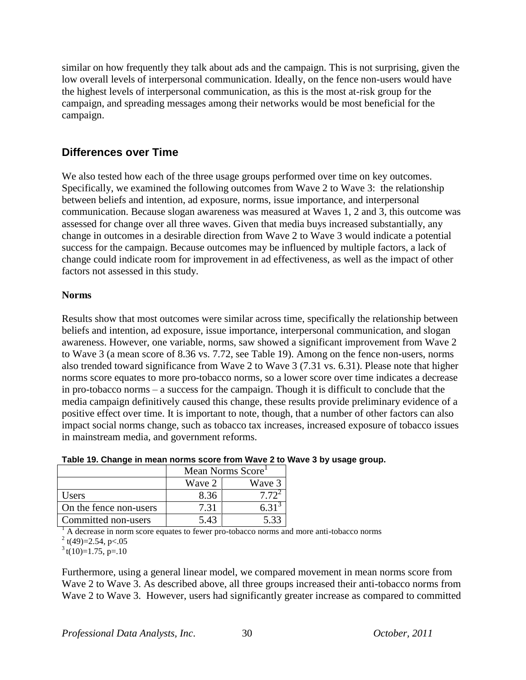similar on how frequently they talk about ads and the campaign. This is not surprising, given the low overall levels of interpersonal communication. Ideally, on the fence non-users would have the highest levels of interpersonal communication, as this is the most at-risk group for the campaign, and spreading messages among their networks would be most beneficial for the campaign.

### **Differences over Time**

We also tested how each of the three usage groups performed over time on key outcomes. Specifically, we examined the following outcomes from Wave 2 to Wave 3: the relationship between beliefs and intention, ad exposure, norms, issue importance, and interpersonal communication. Because slogan awareness was measured at Waves 1, 2 and 3, this outcome was assessed for change over all three waves. Given that media buys increased substantially, any change in outcomes in a desirable direction from Wave 2 to Wave 3 would indicate a potential success for the campaign. Because outcomes may be influenced by multiple factors, a lack of change could indicate room for improvement in ad effectiveness, as well as the impact of other factors not assessed in this study.

### **Norms**

Results show that most outcomes were similar across time, specifically the relationship between beliefs and intention, ad exposure, issue importance, interpersonal communication, and slogan awareness. However, one variable, norms, saw showed a significant improvement from Wave 2 to Wave 3 (a mean score of 8.36 vs. 7.72, see Table 19). Among on the fence non-users, norms also trended toward significance from Wave 2 to Wave 3 (7.31 vs. 6.31). Please note that higher norms score equates to more pro-tobacco norms, so a lower score over time indicates a decrease in pro-tobacco norms – a success for the campaign. Though it is difficult to conclude that the media campaign definitively caused this change, these results provide preliminary evidence of a positive effect over time. It is important to note, though, that a number of other factors can also impact social norms change, such as tobacco tax increases, increased exposure of tobacco issues in mainstream media, and government reforms.

|                        | Mean Norms Score |         |  |
|------------------------|------------------|---------|--|
|                        | Wave 2<br>Wave 3 |         |  |
| Users                  | 8.36             |         |  |
| On the fence non-users | 7 31             |         |  |
| Committed non-users    | 5.43             | $5.3^2$ |  |

|  |  |  | Table 19. Change in mean norms score from Wave 2 to Wave 3 by usage group. |
|--|--|--|----------------------------------------------------------------------------|
|  |  |  |                                                                            |

<sup>1</sup> A decrease in norm score equates to fewer pro-tobacco norms and more anti-tobacco norms  $2$  t(49)=2.54, p<.05

 $3$  t(10)=1.75, p=.10

Furthermore, using a general linear model, we compared movement in mean norms score from Wave 2 to Wave 3. As described above, all three groups increased their anti-tobacco norms from Wave 2 to Wave 3. However, users had significantly greater increase as compared to committed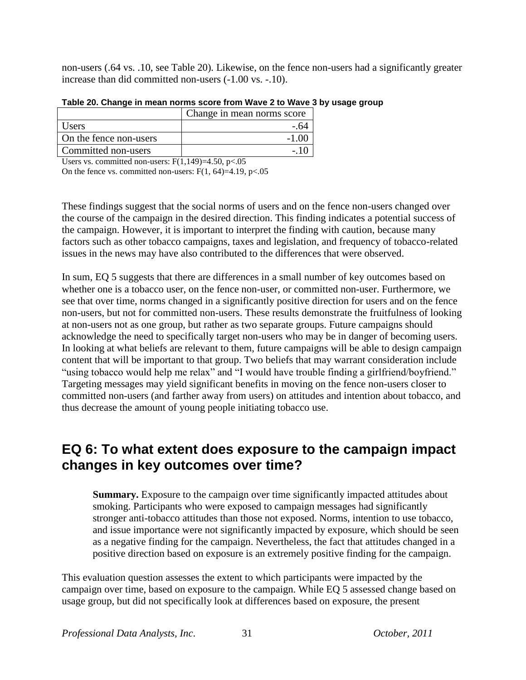non-users (.64 vs. .10, see Table 20). Likewise, on the fence non-users had a significantly greater increase than did committed non-users (-1.00 vs. -.10).

| Change in mean norms score |
|----------------------------|
| - 64                       |
|                            |
|                            |
|                            |

**Table 20. Change in mean norms score from Wave 2 to Wave 3 by usage group**

Users vs. committed non-users:  $F(1,149)=4.50, p<0.05$ 

On the fence vs. committed non-users:  $F(1, 64)=4.19$ ,  $p<.05$ 

These findings suggest that the social norms of users and on the fence non-users changed over the course of the campaign in the desired direction. This finding indicates a potential success of the campaign. However, it is important to interpret the finding with caution, because many factors such as other tobacco campaigns, taxes and legislation, and frequency of tobacco-related issues in the news may have also contributed to the differences that were observed.

In sum, EQ 5 suggests that there are differences in a small number of key outcomes based on whether one is a tobacco user, on the fence non-user, or committed non-user. Furthermore, we see that over time, norms changed in a significantly positive direction for users and on the fence non-users, but not for committed non-users. These results demonstrate the fruitfulness of looking at non-users not as one group, but rather as two separate groups. Future campaigns should acknowledge the need to specifically target non-users who may be in danger of becoming users. In looking at what beliefs are relevant to them, future campaigns will be able to design campaign content that will be important to that group. Two beliefs that may warrant consideration include "using tobacco would help me relax" and "I would have trouble finding a girlfriend/boyfriend." Targeting messages may yield significant benefits in moving on the fence non-users closer to committed non-users (and farther away from users) on attitudes and intention about tobacco, and thus decrease the amount of young people initiating tobacco use.

# **EQ 6: To what extent does exposure to the campaign impact changes in key outcomes over time?**

**Summary.** Exposure to the campaign over time significantly impacted attitudes about smoking. Participants who were exposed to campaign messages had significantly stronger anti-tobacco attitudes than those not exposed. Norms, intention to use tobacco, and issue importance were not significantly impacted by exposure, which should be seen as a negative finding for the campaign. Nevertheless, the fact that attitudes changed in a positive direction based on exposure is an extremely positive finding for the campaign.

This evaluation question assesses the extent to which participants were impacted by the campaign over time, based on exposure to the campaign. While EQ 5 assessed change based on usage group, but did not specifically look at differences based on exposure, the present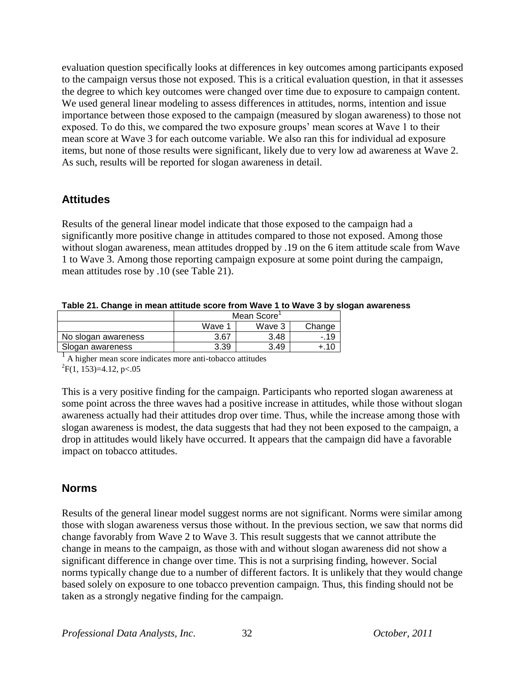evaluation question specifically looks at differences in key outcomes among participants exposed to the campaign versus those not exposed. This is a critical evaluation question, in that it assesses the degree to which key outcomes were changed over time due to exposure to campaign content. We used general linear modeling to assess differences in attitudes, norms, intention and issue importance between those exposed to the campaign (measured by slogan awareness) to those not exposed. To do this, we compared the two exposure groups' mean scores at Wave 1 to their mean score at Wave 3 for each outcome variable. We also ran this for individual ad exposure items, but none of those results were significant, likely due to very low ad awareness at Wave 2. As such, results will be reported for slogan awareness in detail.

### **Attitudes**

Results of the general linear model indicate that those exposed to the campaign had a significantly more positive change in attitudes compared to those not exposed. Among those without slogan awareness, mean attitudes dropped by .19 on the 6 item attitude scale from Wave 1 to Wave 3. Among those reporting campaign exposure at some point during the campaign, mean attitudes rose by .10 (see Table 21).

| Table 21. Change in mean attitude score from Wave 1 to Wave 3 by slogan awareness |  |  |  |
|-----------------------------------------------------------------------------------|--|--|--|
|-----------------------------------------------------------------------------------|--|--|--|

|                     | Mean Score |        |        |  |
|---------------------|------------|--------|--------|--|
|                     | Wave       | Wave 3 | Change |  |
| No slogan awareness | 3.67       | 3.48   |        |  |
| Slogan awareness    | 3.39       | 3.49   |        |  |

<sup>1</sup> A higher mean score indicates more anti-tobacco attitudes  ${}^{2}F(1, 153)=4.12, p<.05$ 

This is a very positive finding for the campaign. Participants who reported slogan awareness at some point across the three waves had a positive increase in attitudes, while those without slogan awareness actually had their attitudes drop over time. Thus, while the increase among those with slogan awareness is modest, the data suggests that had they not been exposed to the campaign, a drop in attitudes would likely have occurred. It appears that the campaign did have a favorable impact on tobacco attitudes.

### **Norms**

Results of the general linear model suggest norms are not significant. Norms were similar among those with slogan awareness versus those without. In the previous section, we saw that norms did change favorably from Wave 2 to Wave 3. This result suggests that we cannot attribute the change in means to the campaign, as those with and without slogan awareness did not show a significant difference in change over time. This is not a surprising finding, however. Social norms typically change due to a number of different factors. It is unlikely that they would change based solely on exposure to one tobacco prevention campaign. Thus, this finding should not be taken as a strongly negative finding for the campaign.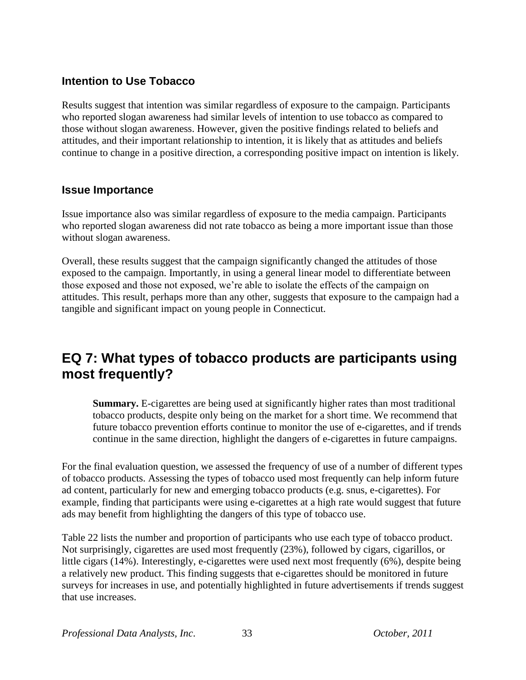# **Intention to Use Tobacco**

Results suggest that intention was similar regardless of exposure to the campaign. Participants who reported slogan awareness had similar levels of intention to use tobacco as compared to those without slogan awareness. However, given the positive findings related to beliefs and attitudes, and their important relationship to intention, it is likely that as attitudes and beliefs continue to change in a positive direction, a corresponding positive impact on intention is likely.

### **Issue Importance**

Issue importance also was similar regardless of exposure to the media campaign. Participants who reported slogan awareness did not rate tobacco as being a more important issue than those without slogan awareness.

Overall, these results suggest that the campaign significantly changed the attitudes of those exposed to the campaign. Importantly, in using a general linear model to differentiate between those exposed and those not exposed, we"re able to isolate the effects of the campaign on attitudes. This result, perhaps more than any other, suggests that exposure to the campaign had a tangible and significant impact on young people in Connecticut.

# **EQ 7: What types of tobacco products are participants using most frequently?**

**Summary.** E-cigarettes are being used at significantly higher rates than most traditional tobacco products, despite only being on the market for a short time. We recommend that future tobacco prevention efforts continue to monitor the use of e-cigarettes, and if trends continue in the same direction, highlight the dangers of e-cigarettes in future campaigns.

For the final evaluation question, we assessed the frequency of use of a number of different types of tobacco products. Assessing the types of tobacco used most frequently can help inform future ad content, particularly for new and emerging tobacco products (e.g. snus, e-cigarettes). For example, finding that participants were using e-cigarettes at a high rate would suggest that future ads may benefit from highlighting the dangers of this type of tobacco use.

Table 22 lists the number and proportion of participants who use each type of tobacco product. Not surprisingly, cigarettes are used most frequently (23%), followed by cigars, cigarillos, or little cigars (14%). Interestingly, e-cigarettes were used next most frequently (6%), despite being a relatively new product. This finding suggests that e-cigarettes should be monitored in future surveys for increases in use, and potentially highlighted in future advertisements if trends suggest that use increases.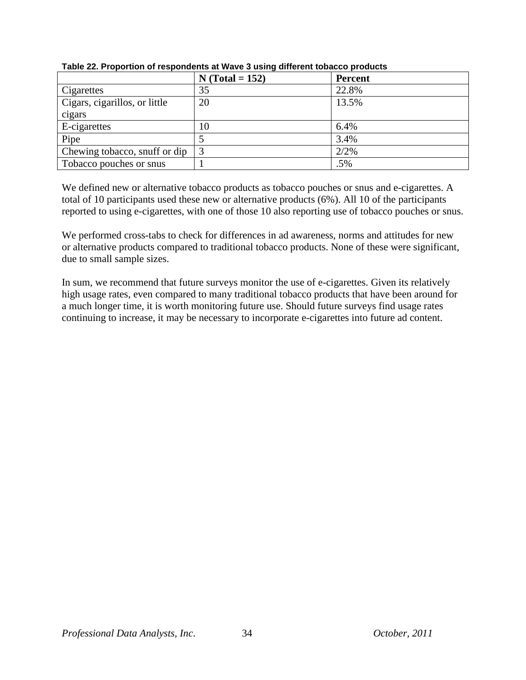|                               | $N (Total = 152)$ | <b>Percent</b> |
|-------------------------------|-------------------|----------------|
| Cigarettes                    | 35                | 22.8%          |
| Cigars, cigarillos, or little | 20                | 13.5%          |
| cigars                        |                   |                |
| E-cigarettes                  | 10                | 6.4%           |
| Pipe                          |                   | 3.4%           |
| Chewing tobacco, snuff or dip |                   | 2/2%           |
| Tobacco pouches or snus       |                   | .5%            |

**Table 22. Proportion of respondents at Wave 3 using different tobacco products**

We defined new or alternative tobacco products as tobacco pouches or snus and e-cigarettes. A total of 10 participants used these new or alternative products (6%). All 10 of the participants reported to using e-cigarettes, with one of those 10 also reporting use of tobacco pouches or snus.

We performed cross-tabs to check for differences in ad awareness, norms and attitudes for new or alternative products compared to traditional tobacco products. None of these were significant, due to small sample sizes.

In sum, we recommend that future surveys monitor the use of e-cigarettes. Given its relatively high usage rates, even compared to many traditional tobacco products that have been around for a much longer time, it is worth monitoring future use. Should future surveys find usage rates continuing to increase, it may be necessary to incorporate e-cigarettes into future ad content.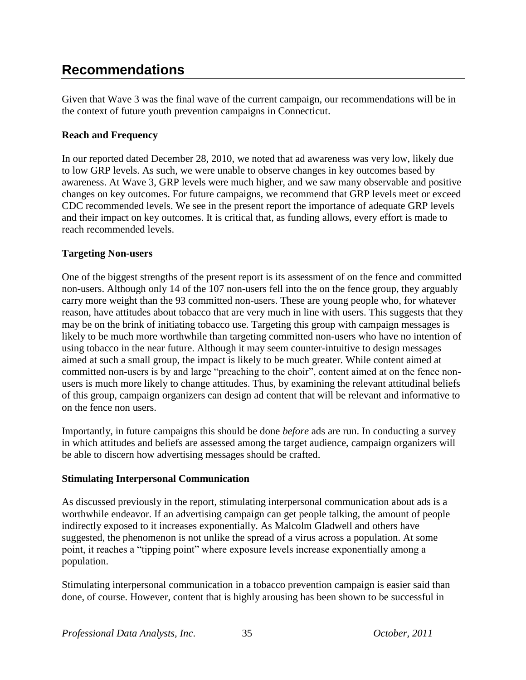# **Recommendations**

Given that Wave 3 was the final wave of the current campaign, our recommendations will be in the context of future youth prevention campaigns in Connecticut.

### **Reach and Frequency**

In our reported dated December 28, 2010, we noted that ad awareness was very low, likely due to low GRP levels. As such, we were unable to observe changes in key outcomes based by awareness. At Wave 3, GRP levels were much higher, and we saw many observable and positive changes on key outcomes. For future campaigns, we recommend that GRP levels meet or exceed CDC recommended levels. We see in the present report the importance of adequate GRP levels and their impact on key outcomes. It is critical that, as funding allows, every effort is made to reach recommended levels.

### **Targeting Non-users**

One of the biggest strengths of the present report is its assessment of on the fence and committed non-users. Although only 14 of the 107 non-users fell into the on the fence group, they arguably carry more weight than the 93 committed non-users. These are young people who, for whatever reason, have attitudes about tobacco that are very much in line with users. This suggests that they may be on the brink of initiating tobacco use. Targeting this group with campaign messages is likely to be much more worthwhile than targeting committed non-users who have no intention of using tobacco in the near future. Although it may seem counter-intuitive to design messages aimed at such a small group, the impact is likely to be much greater. While content aimed at committed non-users is by and large "preaching to the choir", content aimed at on the fence nonusers is much more likely to change attitudes. Thus, by examining the relevant attitudinal beliefs of this group, campaign organizers can design ad content that will be relevant and informative to on the fence non users.

Importantly, in future campaigns this should be done *before* ads are run. In conducting a survey in which attitudes and beliefs are assessed among the target audience, campaign organizers will be able to discern how advertising messages should be crafted.

### **Stimulating Interpersonal Communication**

As discussed previously in the report, stimulating interpersonal communication about ads is a worthwhile endeavor. If an advertising campaign can get people talking, the amount of people indirectly exposed to it increases exponentially. As Malcolm Gladwell and others have suggested, the phenomenon is not unlike the spread of a virus across a population. At some point, it reaches a "tipping point" where exposure levels increase exponentially among a population.

Stimulating interpersonal communication in a tobacco prevention campaign is easier said than done, of course. However, content that is highly arousing has been shown to be successful in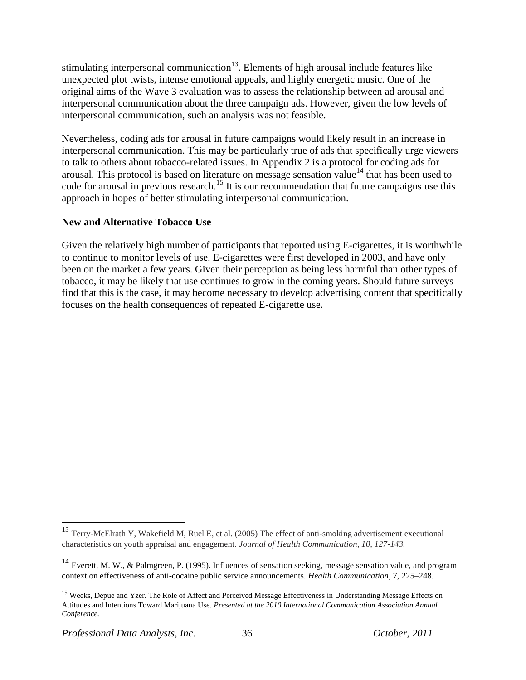stimulating interpersonal communication<sup>13</sup>. Elements of high arousal include features like unexpected plot twists, intense emotional appeals, and highly energetic music. One of the original aims of the Wave 3 evaluation was to assess the relationship between ad arousal and interpersonal communication about the three campaign ads. However, given the low levels of interpersonal communication, such an analysis was not feasible.

Nevertheless, coding ads for arousal in future campaigns would likely result in an increase in interpersonal communication. This may be particularly true of ads that specifically urge viewers to talk to others about tobacco-related issues. In Appendix 2 is a protocol for coding ads for arousal. This protocol is based on literature on message sensation value<sup>14</sup> that has been used to code for arousal in previous research.<sup>15</sup> It is our recommendation that future campaigns use this approach in hopes of better stimulating interpersonal communication.

### **New and Alternative Tobacco Use**

Given the relatively high number of participants that reported using E-cigarettes, it is worthwhile to continue to monitor levels of use. E-cigarettes were first developed in 2003, and have only been on the market a few years. Given their perception as being less harmful than other types of tobacco, it may be likely that use continues to grow in the coming years. Should future surveys find that this is the case, it may become necessary to develop advertising content that specifically focuses on the health consequences of repeated E-cigarette use.

 $\overline{a}$ 

<sup>&</sup>lt;sup>13</sup> Terry-McElrath Y, Wakefield M, Ruel E, et al. (2005) The effect of anti-smoking advertisement executional characteristics on youth appraisal and engagement. *Journal of Health Communication, 10, 127-143.*

<sup>&</sup>lt;sup>14</sup> Everett, M. W., & Palmgreen, P. (1995). Influences of sensation seeking, message sensation value, and program context on effectiveness of anti-cocaine public service announcements. *Health Communication*, 7, 225–248.

<sup>&</sup>lt;sup>15</sup> Weeks, Depue and Yzer. The Role of Affect and Perceived Message Effectiveness in Understanding Message Effects on Attitudes and Intentions Toward Marijuana Use. *Presented at the 2010 International Communication Association Annual Conference.*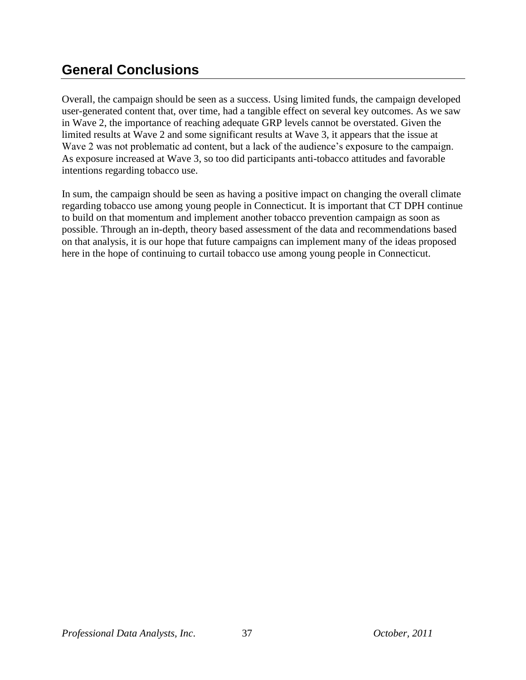# **General Conclusions**

Overall, the campaign should be seen as a success. Using limited funds, the campaign developed user-generated content that, over time, had a tangible effect on several key outcomes. As we saw in Wave 2, the importance of reaching adequate GRP levels cannot be overstated. Given the limited results at Wave 2 and some significant results at Wave 3, it appears that the issue at Wave 2 was not problematic ad content, but a lack of the audience's exposure to the campaign. As exposure increased at Wave 3, so too did participants anti-tobacco attitudes and favorable intentions regarding tobacco use.

In sum, the campaign should be seen as having a positive impact on changing the overall climate regarding tobacco use among young people in Connecticut. It is important that CT DPH continue to build on that momentum and implement another tobacco prevention campaign as soon as possible. Through an in-depth, theory based assessment of the data and recommendations based on that analysis, it is our hope that future campaigns can implement many of the ideas proposed here in the hope of continuing to curtail tobacco use among young people in Connecticut.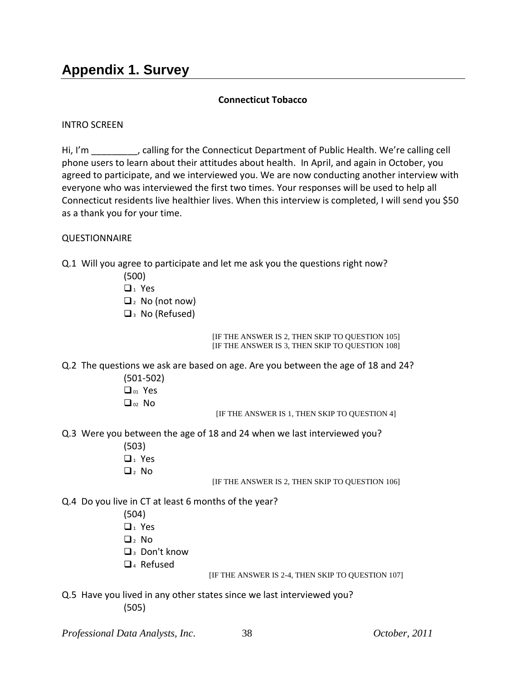### **Connecticut Tobacco**

### INTRO SCREEN

Hi, I'm Fig. calling for the Connecticut Department of Public Health. We're calling cell phone users to learn about their attitudes about health. In April, and again in October, you agreed to participate, and we interviewed you. We are now conducting another interview with everyone who was interviewed the first two times. Your responses will be used to help all Connecticut residents live healthier lives. When this interview is completed, I will send you \$50 as a thank you for your time.

### **QUESTIONNAIRE**

- Q.1 Will you agree to participate and let me ask you the questions right now?
	- (500)
	- $\Box$  Yes
	- $\Box$ <sub>2</sub> No (not now)
	- $\Box$ <sub>3</sub> No (Refused)

[IF THE ANSWER IS 2, THEN SKIP TO QUESTION 105] [IF THE ANSWER IS 3, THEN SKIP TO QUESTION 108]

- Q.2 The questions we ask are based on age. Are you between the age of 18 and 24?
	- (501-502) D<sub>01</sub> Yes  $\Box_{02}$  No

[IF THE ANSWER IS 1, THEN SKIP TO QUESTION 4]

- Q.3 Were you between the age of 18 and 24 when we last interviewed you?
	- (503)  $\Box$ <sub>1</sub> Yes
	- $\Box$  No

[IF THE ANSWER IS 2, THEN SKIP TO QUESTION 106]

- Q.4 Do you live in CT at least 6 months of the year?
	- (504)
	- $\Box_1$  Yes
	- $\Box$ <sub>2</sub> No
	- 3 Don't know
	- $\Box$ <sub>4</sub> Refused

[IF THE ANSWER IS 2-4, THEN SKIP TO QUESTION 107]

Q.5 Have you lived in any other states since we last interviewed you? (505)

*Professional Data Analysts, Inc*. 38 *October, 2011*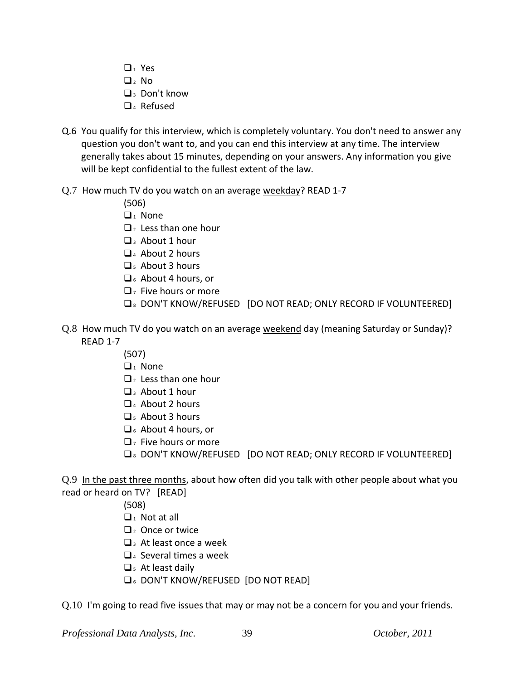- $\Box_1$  Yes
- $\Box_2$  No
- $\Box$ <sup>3</sup> Don't know
- $\Box$ <sub>4</sub> Refused
- Q.6 You qualify for this interview, which is completely voluntary. You don't need to answer any question you don't want to, and you can end this interview at any time. The interview generally takes about 15 minutes, depending on your answers. Any information you give will be kept confidential to the fullest extent of the law.
- Q.7 How much TV do you watch on an average weekday? READ 1-7

(506)

- $\Box_1$  None
- $\Box$ <sub>2</sub> Less than one hour
- $\Box$ <sub>3</sub> About 1 hour
- $\Box$ <sub>4</sub> About 2 hours
- $\Box$ <sub>5</sub> About 3 hours
- 6 About 4 hours, or
- $\Box$ <sub>7</sub> Five hours or more
- $\square$  DON'T KNOW/REFUSED [DO NOT READ; ONLY RECORD IF VOLUNTEERED]
- Q.8 How much TV do you watch on an average weekend day (meaning Saturday or Sunday)? READ 1-7
	- (507)
	- $\Box_1$  None
	- $\mathbf{Q}_2$  Less than one hour
	- $\Box$ <sub>3</sub> About 1 hour
	- $\Box$ <sub>4</sub> About 2 hours
	- 5 About 3 hours
	- $\Box$  About 4 hours, or
	- $\Box$  Five hours or more
	- **D**<sub>8</sub> DON'T KNOW/REFUSED [DO NOT READ; ONLY RECORD IF VOLUNTEERED]

Q.9 In the past three months, about how often did you talk with other people about what you read or heard on TV? [READ]

- (508)
- $\Box$ <sub>1</sub> Not at all
- $\Box$ <sub>2</sub> Once or twice
- $\Box$ <sup>3</sup> At least once a week
- $\Box$ <sub>4</sub> Several times a week
- $\Box$ <sub>5</sub> At least daily
- 6 DON'T KNOW/REFUSED [DO NOT READ]
- Q.10 I'm going to read five issues that may or may not be a concern for you and your friends.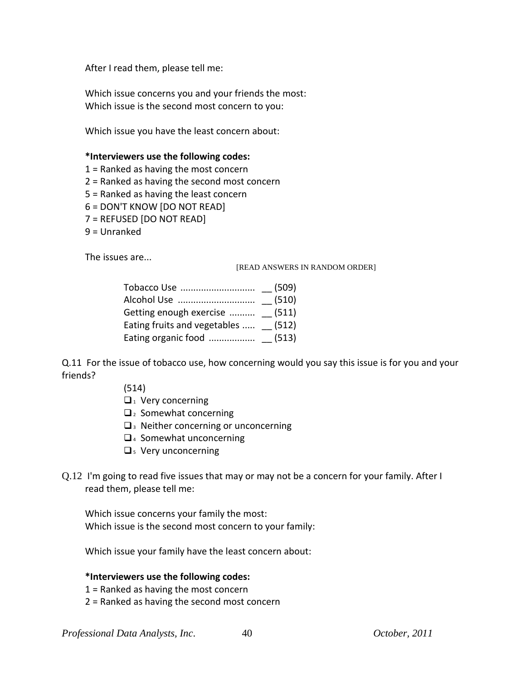After I read them, please tell me:

Which issue concerns you and your friends the most: Which issue is the second most concern to you:

Which issue you have the least concern about:

### **\*Interviewers use the following codes:**

- 1 = Ranked as having the most concern
- 2 = Ranked as having the second most concern
- 5 = Ranked as having the least concern
- 6 = DON'T KNOW [DO NOT READ]
- 7 = REFUSED [DO NOT READ]
- 9 = Unranked

The issues are...

[READ ANSWERS IN RANDOM ORDER]

| Getting enough exercise  (511)      |  |
|-------------------------------------|--|
| Eating fruits and vegetables  (512) |  |
|                                     |  |

Q.11 For the issue of tobacco use, how concerning would you say this issue is for you and your friends?

- (514)
- $\Box$ <sub>1</sub> Very concerning
- $\Box$  Somewhat concerning
- $\Box$ <sup>3</sup> Neither concerning or unconcerning
- $\Box$ <sub>4</sub> Somewhat unconcerning
- $\square$ <sub>5</sub> Very unconcerning
- Q.12 I'm going to read five issues that may or may not be a concern for your family. After I read them, please tell me:

Which issue concerns your family the most: Which issue is the second most concern to your family:

Which issue your family have the least concern about:

### **\*Interviewers use the following codes:**

- 1 = Ranked as having the most concern
- 2 = Ranked as having the second most concern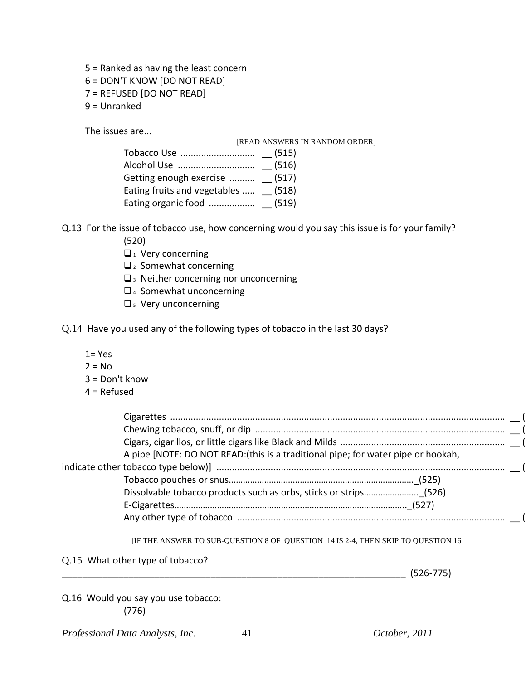- 5 = Ranked as having the least concern
- 6 = DON'T KNOW [DO NOT READ]
- 7 = REFUSED [DO NOT READ]
- 9 = Unranked

The issues are...

|                                     | [READ ANSWERS IN RANDOM ORDER] |
|-------------------------------------|--------------------------------|
|                                     |                                |
|                                     |                                |
| Getting enough exercise  (517)      |                                |
| Eating fruits and vegetables  (518) |                                |
|                                     |                                |

Q.13 For the issue of tobacco use, how concerning would you say this issue is for your family?

- (520)
- $\Box$ <sub>1</sub> Very concerning
- $\Box$ <sub>2</sub> Somewhat concerning
- $\square$ <sub>3</sub> Neither concerning nor unconcerning
- □ 4 Somewhat unconcerning
- $\square$ <sub>5</sub> Very unconcerning
- Q.14 Have you used any of the following types of tobacco in the last 30 days?
	- $1 = Yes$
	- $2 = No$
	- 3 = Don't know
	- $4 =$  Refused

| A pipe [NOTE: DO NOT READ: (this is a traditional pipe; for water pipe or hookah, |  |
|-----------------------------------------------------------------------------------|--|
|                                                                                   |  |
|                                                                                   |  |
| Dissolvable tobacco products such as orbs, sticks or strips (526)                 |  |
|                                                                                   |  |
|                                                                                   |  |
|                                                                                   |  |

[IF THE ANSWER TO SUB-QUESTION 8 OF QUESTION 14 IS 2-4, THEN SKIP TO QUESTION 16]

Q.15 What other type of tobacco?

\_\_\_\_\_\_\_\_\_\_\_\_\_\_\_\_\_\_\_\_\_\_\_\_\_\_\_\_\_\_\_\_\_\_\_\_\_\_\_\_\_\_\_\_\_\_\_\_\_\_\_\_\_\_\_\_\_\_\_\_\_\_\_\_\_\_\_ (526-775)

Q.16 Would you say you use tobacco: (776)

*Professional Data Analysts, Inc*. 41 *October, 2011*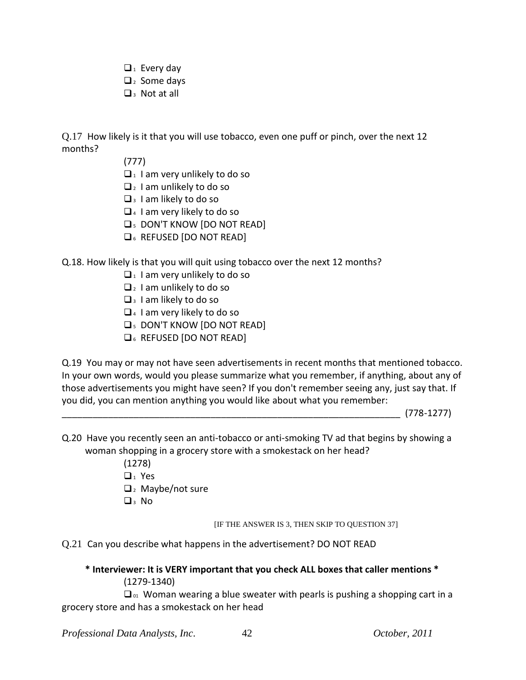- $\Box$ <sub>1</sub> Every day
- $\Box$ <sub>2</sub> Some days
- $\Box$ <sup>3</sup> Not at all

Q.17 How likely is it that you will use tobacco, even one puff or pinch, over the next 12 months?

- (777)
- $\Box$  1 am very unlikely to do so
- $\Box$ <sub>2</sub> I am unlikely to do so
- $\Box$ <sub>3</sub> I am likely to do so
- $\Box$ <sub>4</sub> I am very likely to do so
- **Q<sub>5</sub>** DON'T KNOW [DO NOT READ]
- **Q**<sub>6</sub> REFUSED [DO NOT READ]

### Q.18. How likely is that you will quit using tobacco over the next 12 months?

- $\Box$ <sub>1</sub> I am very unlikely to do so
- $\Box$ <sub>2</sub> I am unlikely to do so
- $\Box$ <sub>3</sub> I am likely to do so
- $\Box$ <sup>4</sup> I am very likely to do so
- **Q<sub>5</sub> DON'T KNOW [DO NOT READ]**
- **Q**<sub>6</sub> REFUSED [DO NOT READ]

Q.19 You may or may not have seen advertisements in recent months that mentioned tobacco. In your own words, would you please summarize what you remember, if anything, about any of those advertisements you might have seen? If you don't remember seeing any, just say that. If you did, you can mention anything you would like about what you remember:

\_\_\_\_\_\_\_\_\_\_\_\_\_\_\_\_\_\_\_\_\_\_\_\_\_\_\_\_\_\_\_\_\_\_\_\_\_\_\_\_\_\_\_\_\_\_\_\_\_\_\_\_\_\_\_\_\_\_\_\_\_\_\_\_\_\_ (778-1277)

- Q.20 Have you recently seen an anti-tobacco or anti-smoking TV ad that begins by showing a woman shopping in a grocery store with a smokestack on her head?
	- (1278)
	- $\Box_1$  Yes
	- $\Box$ <sub>2</sub> Maybe/not sure
	- $\square$ <sub>3</sub> No

[IF THE ANSWER IS 3, THEN SKIP TO QUESTION 37]

Q.21 Can you describe what happens in the advertisement? DO NOT READ

#### **\* Interviewer: It is VERY important that you check ALL boxes that caller mentions \*** (1279-1340)

 $\Box$ <sub>01</sub> Woman wearing a blue sweater with pearls is pushing a shopping cart in a grocery store and has a smokestack on her head

*Professional Data Analysts, Inc*. 42 *October, 2011*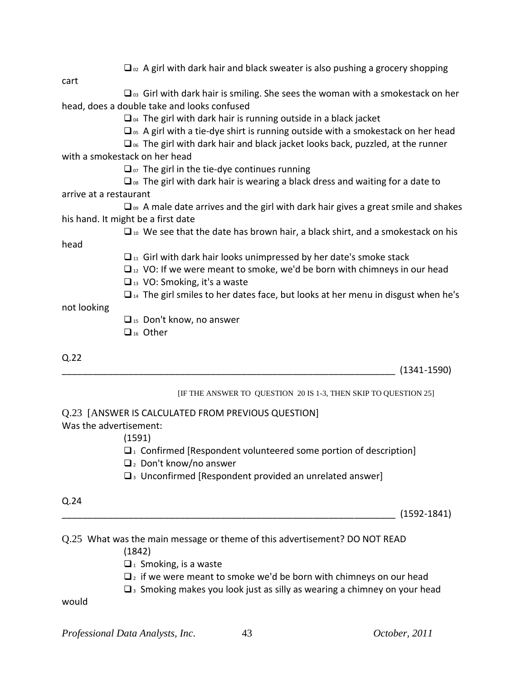|                                    | $\Box_{\alpha}$ A girl with dark hair and black sweater is also pushing a grocery shopping           |
|------------------------------------|------------------------------------------------------------------------------------------------------|
| cart                               |                                                                                                      |
|                                    | $\Box$ os Girl with dark hair is smiling. She sees the woman with a smokestack on her                |
|                                    | head, does a double take and looks confused                                                          |
|                                    | $\Box$ <sub>04</sub> The girl with dark hair is running outside in a black jacket                    |
|                                    | $\square$ <sub>05</sub> A girl with a tie-dye shirt is running outside with a smokestack on her head |
|                                    | $\square$ <sub>06</sub> The girl with dark hair and black jacket looks back, puzzled, at the runner  |
| with a smokestack on her head      |                                                                                                      |
|                                    | $\Box$ <sub>07</sub> The girl in the tie-dye continues running                                       |
|                                    | $\square$ <sub>08</sub> The girl with dark hair is wearing a black dress and waiting for a date to   |
| arrive at a restaurant             |                                                                                                      |
|                                    | $\Box_{\omega}$ A male date arrives and the girl with dark hair gives a great smile and shakes       |
| his hand. It might be a first date |                                                                                                      |
|                                    | $\Box$ 10 We see that the date has brown hair, a black shirt, and a smokestack on his                |
| head                               |                                                                                                      |
|                                    | $\Box$ <sub>11</sub> Girl with dark hair looks unimpressed by her date's smoke stack                 |
|                                    | $\Box$ 12 VO: If we were meant to smoke, we'd be born with chimneys in our head                      |
|                                    | $\Box$ <sub>13</sub> VO: Smoking, it's a waste                                                       |
|                                    | $\Box$ <sub>14</sub> The girl smiles to her dates face, but looks at her menu in disgust when he's   |
| not looking                        |                                                                                                      |
|                                    | $\Box$ <sub>15</sub> Don't know, no answer                                                           |
|                                    | $\Box$ <sub>16</sub> Other                                                                           |
| Q.22                               |                                                                                                      |
|                                    | $(1341 - 1590)$                                                                                      |
|                                    | [IF THE ANSWER TO QUESTION 20 IS 1-3, THEN SKIP TO QUESTION 25]                                      |
|                                    | Q.23 [ANSWER IS CALCULATED FROM PREVIOUS QUESTION]                                                   |
| Was the advertisement:             |                                                                                                      |
|                                    | (1591)                                                                                               |
|                                    | $\Box$ <sub>1</sub> Confirmed [Respondent volunteered some portion of description]                   |

 $\Box$ <sub>2</sub> Don't know/no answer

 $\square$ <sup>3</sup> Unconfirmed [Respondent provided an unrelated answer]

### Q.24

 $(1592-1841)$ 

# Q.25 What was the main message or theme of this advertisement? DO NOT READ

(1842)

 $\Box$ <sub>1</sub> Smoking, is a waste

 $\Box$  if we were meant to smoke we'd be born with chimneys on our head

 $\square$ <sup>3</sup> Smoking makes you look just as silly as wearing a chimney on your head

would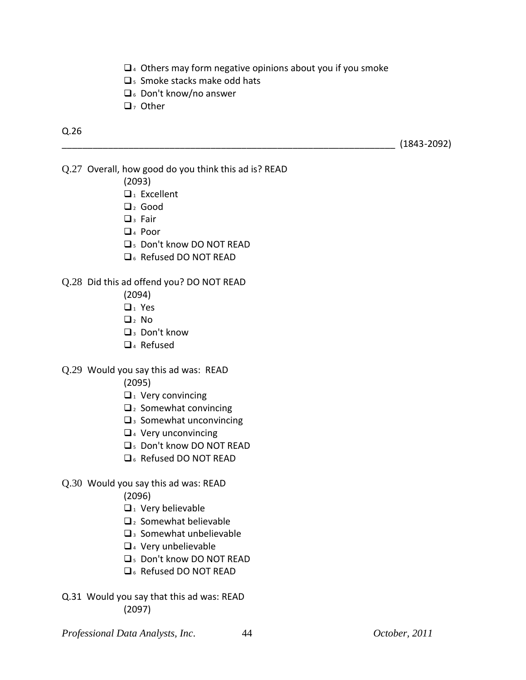- $\Box$ <sup>4</sup> Others may form negative opinions about you if you smoke
- $\square$ <sub>5</sub> Smoke stacks make odd hats
- $\Box$ <sub>6</sub> Don't know/no answer
- $\Box$ , Other

### Q.26

\_\_\_\_\_\_\_\_\_\_\_\_\_\_\_\_\_\_\_\_\_\_\_\_\_\_\_\_\_\_\_\_\_\_\_\_\_\_\_\_\_\_\_\_\_\_\_\_\_\_\_\_\_\_\_\_\_\_\_\_\_\_\_\_\_ (1843-2092)

- Q.27 Overall, how good do you think this ad is? READ
	- (2093)
	- $\Box$ <sub>1</sub> Excellent
	- $\Box$  Good
	- $\Box$ <sub>3</sub> Fair
	- $\Box$ <sub>4</sub> Poor
	- 5 Don't know DO NOT READ
	- **Q**<sub>6</sub> Refused DO NOT READ

#### Q.28 Did this ad offend you? DO NOT READ

- (2094)
- $\Box$ <sub>1</sub> Yes
- $\Box$ , No
- $\Box$ <sub>3</sub> Don't know
- $\Box$ <sub>4</sub> Refused
- Q.29 Would you say this ad was: READ
	- (2095)
	- $\Box$ <sub>1</sub> Very convincing
	- $\Box$ <sub>2</sub> Somewhat convincing
	- $\square$ <sup>3</sup> Somewhat unconvincing
	- $\Box$ <sub>4</sub> Very unconvincing
	- 5 Don't know DO NOT READ
	- **Q**<sub>6</sub> Refused DO NOT READ
- Q.30 Would you say this ad was: READ

(2096)

- $\Box$ <sub>1</sub> Very believable
- $\mathbf{Q}_2$  Somewhat believable
- $\square$ 3 Somewhat unbelievable
- 4 Very unbelievable
- 5 Don't know DO NOT READ
- **Q**<sub>6</sub> Refused DO NOT READ
- Q.31 Would you say that this ad was: READ (2097)
- *Professional Data Analysts, Inc*. 44 *October, 2011*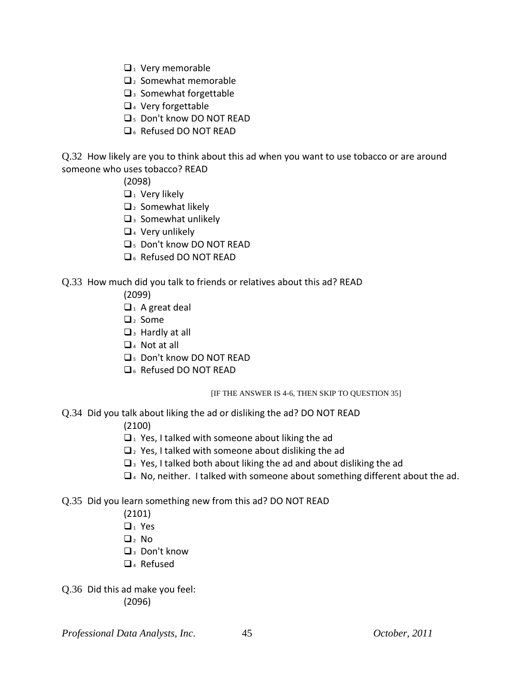- $\Box$ <sub>1</sub> Very memorable
- $\Box$  2 Somewhat memorable
- $\Box$ <sup>3</sup> Somewhat forgettable
- $\Box$ <sub>4</sub> Very forgettable
- **Q<sub>5</sub>** Don't know DO NOT READ
- **D<sub>6</sub>** Refused DO NOT READ

Q.32 How likely are you to think about this ad when you want to use tobacco or are around someone who uses tobacco? READ

(2098)

- $\Box$ <sub>1</sub> Very likely
- $\Box$ <sub>2</sub> Somewhat likely
- $\square$ <sup>3</sup> Somewhat unlikely
- $\Box$ <sub>4</sub> Very unlikely
- 5 Don't know DO NOT READ
- D<sub>6</sub> Refused DO NOT RFAD

### Q.33 How much did you talk to friends or relatives about this ad? READ

- (2099)
- $\Box$ <sub>1</sub> A great deal
- $\Box$ <sub>2</sub> Some
- $\Box$ <sub>3</sub> Hardly at all
- $\Box$ <sub>4</sub> Not at all
- **Q<sub>5</sub>** Don't know DO NOT READ
- D<sub>6</sub> Refused DO NOT READ

[IF THE ANSWER IS 4-6, THEN SKIP TO QUESTION 35]

Q.34 Did you talk about liking the ad or disliking the ad? DO NOT READ

(2100)

- $\Box$ <sup>1</sup> Yes, I talked with someone about liking the ad
- $\Box$ <sub>2</sub> Yes, I talked with someone about disliking the ad
- $\Box$ <sup>3</sup> Yes, I talked both about liking the ad and about disliking the ad
- $\Box$ <sup>4</sup> No, neither. I talked with someone about something different about the ad.

### Q.35 Did you learn something new from this ad? DO NOT READ

- (2101)
- $\Box_1$  Yes
- $\Box$ <sub>2</sub> No
- $\Box$ <sub>3</sub> Don't know
- $\Box$ <sub>4</sub> Refused
- Q.36 Did this ad make you feel: (2096)

*Professional Data Analysts, Inc*. 45 *October, 2011*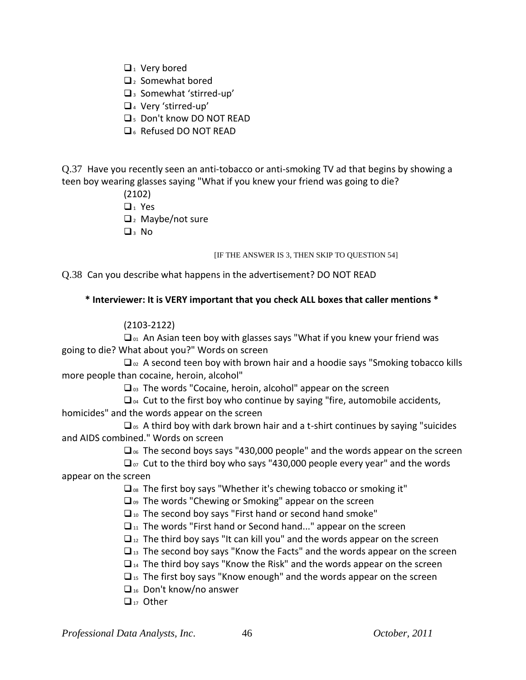- $\Box$ <sub>1</sub> Very bored
- $\Box$ <sub>2</sub> Somewhat bored
- $\Box$ <sup>3</sup> Somewhat 'stirred-up'
- <sup>4</sup> Very 'stirred-up'
- 5 Don't know DO NOT READ
- D<sub>6</sub> Refused DO NOT RFAD

Q.37 Have you recently seen an anti-tobacco or anti-smoking TV ad that begins by showing a teen boy wearing glasses saying "What if you knew your friend was going to die?

(2102)

 $\Box$  Yes

- $\Box$  Maybe/not sure
- $\Box$ 3 No

### [IF THE ANSWER IS 3, THEN SKIP TO QUESTION 54]

Q.38 Can you describe what happens in the advertisement? DO NOT READ

### **\* Interviewer: It is VERY important that you check ALL boxes that caller mentions \***

### (2103-2122)

 $\Box$ <sub>01</sub> An Asian teen boy with glasses says "What if you knew your friend was going to die? What about you?" Words on screen

 $\Box_{02}$  A second teen boy with brown hair and a hoodie says "Smoking tobacco kills more people than cocaine, heroin, alcohol"

 $\Box$ <sub>03</sub> The words "Cocaine, heroin, alcohol" appear on the screen

 $\Box$ <sub>04</sub> Cut to the first boy who continue by saying "fire, automobile accidents, homicides" and the words appear on the screen

 $\square$ <sub>os</sub> A third boy with dark brown hair and a t-shirt continues by saying "suicides" and AIDS combined." Words on screen

 $\Box$ <sub>%</sub> The second boys says "430,000 people" and the words appear on the screen

 $\Box$ <sub>07</sub> Cut to the third boy who says "430,000 people every year" and the words appear on the screen

 $\Box$ <sub>08</sub> The first boy says "Whether it's chewing tobacco or smoking it"

 $\Box_{09}$  The words "Chewing or Smoking" appear on the screen

 $\Box$ <sub>10</sub> The second boy says "First hand or second hand smoke"

 $\Box$ <sub>11</sub> The words "First hand or Second hand..." appear on the screen

 $\Box$ <sub>12</sub> The third boy says "It can kill you" and the words appear on the screen

 $\Box$ <sub>13</sub> The second boy says "Know the Facts" and the words appear on the screen

 $\Box$ <sub>14</sub> The third boy says "Know the Risk" and the words appear on the screen

 $\Box$ <sub>15</sub> The first boy says "Know enough" and the words appear on the screen

 $\Box$ <sub>16</sub> Don't know/no answer

 $\Box_{17}$  Other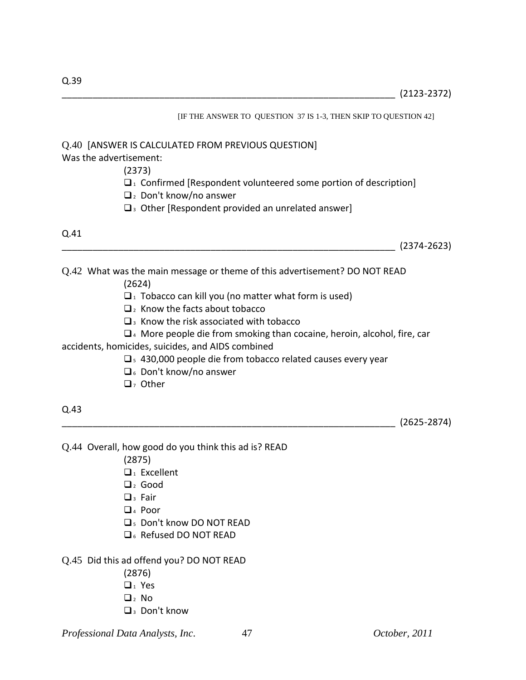[IF THE ANSWER TO QUESTION 37 IS 1-3, THEN SKIP TO QUESTION 42] Q.40 [ANSWER IS CALCULATED FROM PREVIOUS QUESTION] Was the advertisement: (2373)  $\Box$ <sub>1</sub> Confirmed [Respondent volunteered some portion of description]  $\Box$ <sub>2</sub> Don't know/no answer  $\square$ <sub>3</sub> Other [Respondent provided an unrelated answer] Q.41  $(2374 - 2623)$ Q.42 What was the main message or theme of this advertisement? DO NOT READ (2624)  $\Box$ <sup>1</sup> Tobacco can kill you (no matter what form is used)  $\Box$ <sub>2</sub> Know the facts about tobacco  $\square$ <sup>3</sup> Know the risk associated with tobacco  $\Box$ <sup>4</sup> More people die from smoking than cocaine, heroin, alcohol, fire, car accidents, homicides, suicides, and AIDS combined  $\square$ <sub>5</sub> 430,000 people die from tobacco related causes every year  $\Box$  6 Don't know/no answer  $\Box$ , Other Q.43 \_\_\_\_\_\_\_\_\_\_\_\_\_\_\_\_\_\_\_\_\_\_\_\_\_\_\_\_\_\_\_\_\_\_\_\_\_\_\_\_\_\_\_\_\_\_\_\_\_\_\_\_\_\_\_\_\_\_\_\_\_\_\_\_\_ (2625-2874) Q.44 Overall, how good do you think this ad is? READ (2875)  $\Box$ <sub>1</sub> Excellent  $\Box$ <sub>2</sub> Good  $\Box$ <sup>3</sup> Fair  $\Box$ <sub>4</sub> Poor 5 Don't know DO NOT READ **D<sub>6</sub>** Refused DO NOT READ Q.45 Did this ad offend you? DO NOT READ (2876)  $\Box_1$  Yes

- $\Box$ , No
- $\Box$ <sub>3</sub> Don't know

*Professional Data Analysts, Inc*. 47 *October, 2011*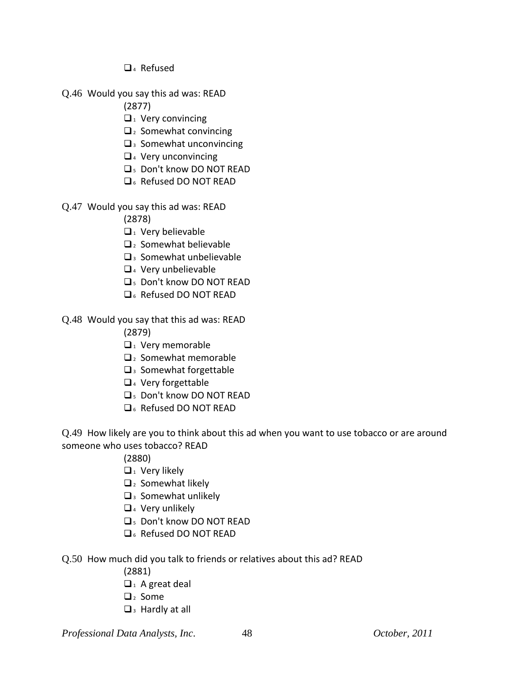- $\Box$ <sub>4</sub> Refused
- Q.46 Would you say this ad was: READ

(2877)

- $\Box$ <sub>1</sub> Very convincing
- $\Box$ <sub>2</sub> Somewhat convincing
- $\square$ <sup>3</sup> Somewhat unconvincing
- $\Box$ <sub>4</sub> Very unconvincing
- 5 Don't know DO NOT READ
- D<sub>6</sub> Refused DO NOT RFAD
- Q.47 Would you say this ad was: READ

(2878)

- $\Box$ <sub>1</sub> Very believable
- $\Box$ <sub>2</sub> Somewhat believable
- $\Box$ <sup>3</sup> Somewhat unbelievable
- $\Box$ <sub>4</sub> Very unbelievable
- 5 Don't know DO NOT READ
- D<sub>6</sub> Refused DO NOT RFAD

# Q.48 Would you say that this ad was: READ

- (2879)
- $\Box$ <sup>1</sup> Very memorable
- $\Box$  Somewhat memorable
- $\Box$ <sup>3</sup> Somewhat forgettable
- $\Box$ <sup>4</sup> Very forgettable
- 5 Don't know DO NOT READ
- **Q<sub>6</sub>** Refused DO NOT READ

Q.49 How likely are you to think about this ad when you want to use tobacco or are around someone who uses tobacco? READ

- (2880)
- $\Box$ <sub>1</sub> Very likely
- $\Box$ <sub>2</sub> Somewhat likely
- $\square$ <sup>3</sup> Somewhat unlikely
- $\Box$ <sub>4</sub> Very unlikely
- 5 Don't know DO NOT READ
- **Q<sub>6</sub>** Refused DO NOT READ
- Q.50 How much did you talk to friends or relatives about this ad? READ
	- (2881)
	- $\Box$ <sub>1</sub> A great deal
	- $\Box$  Some
	- $\Box$ <sub>3</sub> Hardly at all

*Professional Data Analysts, Inc*. 48 *October, 2011*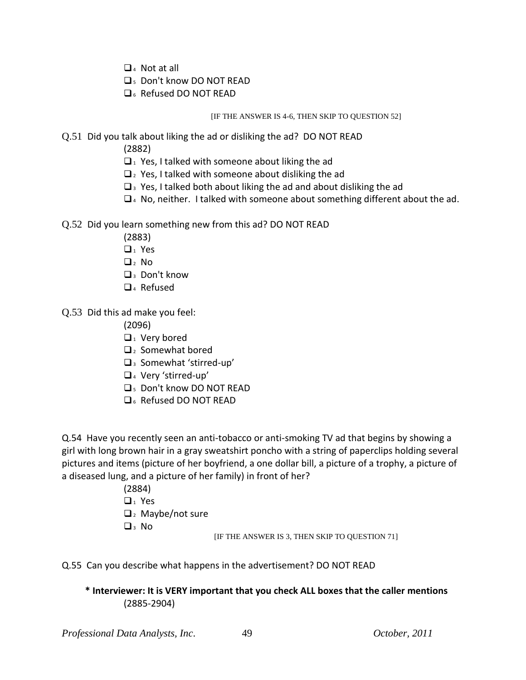- $\Box$ <sub>4</sub> Not at all
- 5 Don't know DO NOT READ
- 6 Refused DO NOT READ

[IF THE ANSWER IS 4-6, THEN SKIP TO QUESTION 52]

- Q.51 Did you talk about liking the ad or disliking the ad? DO NOT READ
	- (2882)
	- $\Box$  Yes, I talked with someone about liking the ad
	- $\Box$  Yes, I talked with someone about disliking the ad
	- $\square$ <sub>3</sub> Yes, I talked both about liking the ad and about disliking the ad
	- $\Box$ <sup>4</sup> No, neither. I talked with someone about something different about the ad.
- Q.52 Did you learn something new from this ad? DO NOT READ
	- (2883)
	- $\Box_1$  Yes
	- $\Box$  No
	- **Q**<sub>3</sub> Don't know
	- $\Box$ <sub>4</sub> Refused
- Q.53 Did this ad make you feel:

(2096)

- $\Box$  Very bored
- $\Box$ <sub>2</sub> Somewhat bored
- $\square$ <sup>3</sup> Somewhat 'stirred-up'
- <sup>4</sup> Very 'stirred-up'
- 5 Don't know DO NOT READ
- **Q**<sub>6</sub> Refused DO NOT READ

Q.54 Have you recently seen an anti-tobacco or anti-smoking TV ad that begins by showing a girl with long brown hair in a gray sweatshirt poncho with a string of paperclips holding several pictures and items (picture of her boyfriend, a one dollar bill, a picture of a trophy, a picture of a diseased lung, and a picture of her family) in front of her?

> (2884)  $\Box_1$  Yes  $\Box$ <sub>2</sub> Maybe/not sure  $\Box$ <sub>3</sub> No

[IF THE ANSWER IS 3, THEN SKIP TO QUESTION 71]

Q.55 Can you describe what happens in the advertisement? DO NOT READ

**\* Interviewer: It is VERY important that you check ALL boxes that the caller mentions** (2885-2904)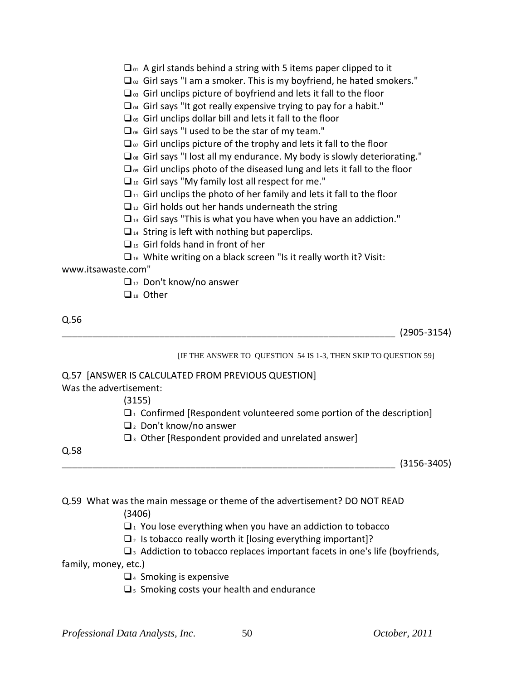| $\Box$ <sub>01</sub> A girl stands behind a string with 5 items paper clipped to it |  |  |  |  |  |  |  |  |  |  |
|-------------------------------------------------------------------------------------|--|--|--|--|--|--|--|--|--|--|
|-------------------------------------------------------------------------------------|--|--|--|--|--|--|--|--|--|--|

- $\Box$ <sub>02</sub> Girl says "I am a smoker. This is my boyfriend, he hated smokers."
- $\Box$ <sub>03</sub> Girl unclips picture of boyfriend and lets it fall to the floor
- $\Box$ <sub>04</sub> Girl says "It got really expensive trying to pay for a habit."
- $\Box$ <sub>05</sub> Girl unclips dollar bill and lets it fall to the floor

 $\Box$ <sub>06</sub> Girl says "I used to be the star of my team."

 $\Box$ <sub>07</sub> Girl unclips picture of the trophy and lets it fall to the floor

- $\Box$ <sub>08</sub> Girl says "I lost all my endurance. My body is slowly deteriorating."
- $\Box$ <sub>09</sub> Girl unclips photo of the diseased lung and lets it fall to the floor
- $\Box$ <sub>10</sub> Girl says "My family lost all respect for me."
- $\Box$ <sub>11</sub> Girl unclips the photo of her family and lets it fall to the floor
- $\Box$ <sub>12</sub> Girl holds out her hands underneath the string
- $\Box$ <sub>13</sub> Girl says "This is what you have when you have an addiction."
- $\Box$ <sub>14</sub> String is left with nothing but paperclips.
- $\Box$ <sub>15</sub> Girl folds hand in front of her
- $\square$ <sup>16</sup> White writing on a black screen "Is it really worth it? Visit:

www.itsawaste.com"

- $\Box_{17}$  Don't know/no answer
- $\Box$ <sub>18</sub> Other

Q.56

\_\_\_\_\_\_\_\_\_\_\_\_\_\_\_\_\_\_\_\_\_\_\_\_\_\_\_\_\_\_\_\_\_\_\_\_\_\_\_\_\_\_\_\_\_\_\_\_\_\_\_\_\_\_\_\_\_\_\_\_\_\_\_\_\_ (2905-3154)

[IF THE ANSWER TO QUESTION 54 IS 1-3, THEN SKIP TO QUESTION 59]

### Q.57 [ANSWER IS CALCULATED FROM PREVIOUS QUESTION]

Was the advertisement:

(3155)

- $\Box$ <sup>1</sup> Confirmed [Respondent volunteered some portion of the description]
- $\Box$ <sub>2</sub> Don't know/no answer
- $\square$ <sub>3</sub> Other [Respondent provided and unrelated answer]

Q.58

 $(3156-3405)$ 

Q.59 What was the main message or theme of the advertisement? DO NOT READ

(3406)

 $\Box$  You lose everything when you have an addiction to tobacco

- $\Box$ <sub>2</sub> Is tobacco really worth it [losing everything important]?
- $\square$ <sup>3</sup> Addiction to tobacco replaces important facets in one's life (boyfriends,

family, money, etc.)

- $\Box$ <sub>4</sub> Smoking is expensive
- $\square$ <sub>5</sub> Smoking costs your health and endurance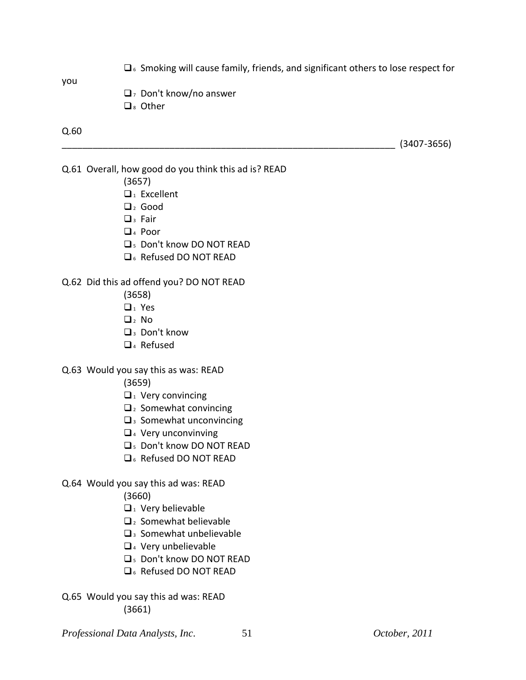$\Box$  6 Smoking will cause family, friends, and significant others to lose respect for

you

- $\Box$  Don't know/no answer
- $\Box$  Other

#### Q.60

\_\_\_\_\_\_\_\_\_\_\_\_\_\_\_\_\_\_\_\_\_\_\_\_\_\_\_\_\_\_\_\_\_\_\_\_\_\_\_\_\_\_\_\_\_\_\_\_\_\_\_\_\_\_\_\_\_\_\_\_\_\_\_\_\_ (3407-3656)

Q.61 Overall, how good do you think this ad is? READ

- (3657)
- $\Box$ <sub>1</sub> Excellent
- $\Box$  Good
- $\Box$ <sub>3</sub> Fair
- $\Box$ <sub>4</sub> Poor
- 5 Don't know DO NOT READ
- **Q**<sub>6</sub> Refused DO NOT READ

### Q.62 Did this ad offend you? DO NOT READ

- (3658)
- $\Box$ <sub>1</sub> Yes
- $\Box$ , No
- $\Box$ <sub>3</sub> Don't know
- □<sub>4</sub> Refused

### Q.63 Would you say this as was: READ

- (3659)
- $\Box$ <sub>1</sub> Very convincing
- $\Box$ <sub>2</sub> Somewhat convincing
- $\square$ <sup>3</sup> Somewhat unconvincing
- $\Box$ <sub>4</sub> Very unconvinving
- **Q<sub>5</sub>** Don't know DO NOT READ
- **Q**<sub>6</sub> Refused DO NOT READ
- Q.64 Would you say this ad was: READ

(3660)

- $\Box$ <sub>1</sub> Very believable
- $\mathbf{Q}_2$  Somewhat believable
- $\square$ 3 Somewhat unbelievable
- $\Box$ <sub>4</sub> Very unbelievable
- 5 Don't know DO NOT READ
- **Q**<sub>6</sub> Refused DO NOT READ
- Q.65 Would you say this ad was: READ (3661)

*Professional Data Analysts, Inc*. 51 *October, 2011*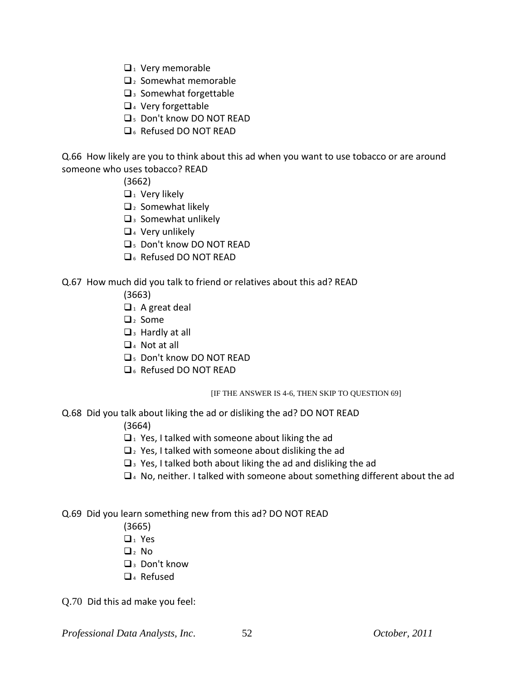- $\Box$ <sub>1</sub> Very memorable
- $\Box$  Somewhat memorable
- $\square$ <sup>3</sup> Somewhat forgettable
- $\Box$ <sub>4</sub> Very forgettable
- 5 Don't know DO NOT READ
- **Q**<sub>6</sub> Refused DO NOT READ

Q.66 How likely are you to think about this ad when you want to use tobacco or are around someone who uses tobacco? READ

(3662)

- $\Box$ <sub>1</sub> Very likely
- $\Box$ <sub>2</sub> Somewhat likely
- $\square$ <sup>3</sup> Somewhat unlikely
- $\Box$ <sub>4</sub> Very unlikely
- 5 Don't know DO NOT READ
- D<sub>6</sub> Refused DO NOT RFAD

### Q.67 How much did you talk to friend or relatives about this ad? READ

- (3663)
- $\Box$ <sub>1</sub> A great deal
- $\Box$ <sub>2</sub> Some
- $\Box$ <sub>3</sub> Hardly at all
- $\Box$ <sub>4</sub> Not at all
- 5 Don't know DO NOT READ
- D<sub>6</sub> Refused DO NOT RFAD

#### [IF THE ANSWER IS 4-6, THEN SKIP TO QUESTION 69]

Q.68 Did you talk about liking the ad or disliking the ad? DO NOT READ

(3664)

- $\Box$  Yes, I talked with someone about liking the ad
- $\Box$  Yes, I talked with someone about disliking the ad
- $\Box$ <sub>3</sub> Yes, I talked both about liking the ad and disliking the ad
- $\Box$ <sup>4</sup> No, neither. I talked with someone about something different about the ad

Q.69 Did you learn something new from this ad? DO NOT READ

- (3665)
- $\Box$ <sub>1</sub> Yes
- $\Box$ <sub>2</sub> No
- $\Box$ <sub>3</sub> Don't know
- □<sub>4</sub> Refused

Q.70 Did this ad make you feel:

*Professional Data Analysts, Inc*. 52 *October, 2011*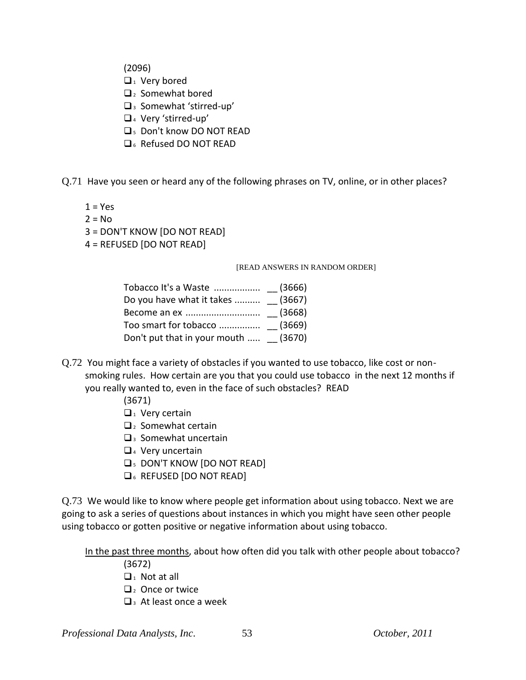(2096)

- $\Box$ <sub>1</sub> Very bored
- $\Box$  Somewhat bored
- <sup>3</sup> Somewhat 'stirred-up'
- <sup>4</sup> Very 'stirred-up'
- 5 Don't know DO NOT READ
- D<sub>6</sub> Refused DO NOT READ
- Q.71 Have you seen or heard any of the following phrases on TV, online, or in other places?
	- $1 = Yes$
	- $2 = No$
	- 3 = DON'T KNOW [DO NOT READ]
	- 4 = REFUSED [DO NOT READ]

#### [READ ANSWERS IN RANDOM ORDER]

| Do you have what it takes  (3667)    |  |
|--------------------------------------|--|
|                                      |  |
|                                      |  |
| Don't put that in your mouth  (3670) |  |

- Q.72 You might face a variety of obstacles if you wanted to use tobacco, like cost or nonsmoking rules. How certain are you that you could use tobacco in the next 12 months if you really wanted to, even in the face of such obstacles? READ
	- (3671)
	- $\Box$ <sub>1</sub> Very certain
	- $\Box$ <sub>2</sub> Somewhat certain
	- $\Box$ <sub>3</sub> Somewhat uncertain
	- $\Box$ <sub>4</sub> Very uncertain
	- **Q<sub>5</sub> DON'T KNOW [DO NOT READ]**
	- **Q**<sub>6</sub> REFUSED [DO NOT READ]

Q.73 We would like to know where people get information about using tobacco. Next we are going to ask a series of questions about instances in which you might have seen other people using tobacco or gotten positive or negative information about using tobacco.

In the past three months, about how often did you talk with other people about tobacco?

- (3672)
- $\Box$ <sub>1</sub> Not at all
- $\Box$ <sub>2</sub> Once or twice
- $\Box$ <sup>3</sup> At least once a week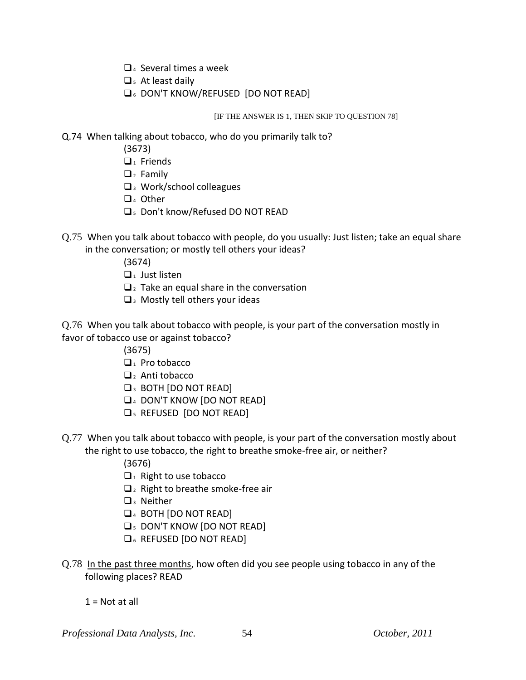- $\Box$ <sub>4</sub> Several times a week
- $\square$ <sub>5</sub> At least daily
- **Q**<sub>6</sub> DON'T KNOW/REFUSED [DO NOT READ]

#### [IF THE ANSWER IS 1, THEN SKIP TO QUESTION 78]

- Q.74 When talking about tobacco, who do you primarily talk to?
	- (3673)
	- $\Box$ <sub>1</sub> Friends
	- $\Box$ <sub>2</sub> Family
	- $\square$ <sup>3</sup> Work/school colleagues
	- $\Box$ <sub>4</sub> Other
	- 5 Don't know/Refused DO NOT READ
- Q.75 When you talk about tobacco with people, do you usually: Just listen; take an equal share in the conversation; or mostly tell others your ideas?
	- (3674)
	- $\Box$ <sub>1</sub> Just listen
	- $\Box$  Take an equal share in the conversation
	- $\square$ <sup>3</sup> Mostly tell others your ideas

Q.76 When you talk about tobacco with people, is your part of the conversation mostly in favor of tobacco use or against tobacco?

- (3675)
- $\Box$ <sub>1</sub> Pro tobacco
- $\Box$ <sub>2</sub> Anti tobacco
- **Q**<sub>3</sub> BOTH [DO NOT READ]
- **Q**<sub>4</sub> DON'T KNOW [DO NOT READ]
- **Q**<sub>5</sub> REFUSED [DO NOT READ]
- Q.77 When you talk about tobacco with people, is your part of the conversation mostly about the right to use tobacco, the right to breathe smoke-free air, or neither?
	- (3676)
	- $\Box$ <sub>1</sub> Right to use tobacco
	- $\Box$ <sub>2</sub> Right to breathe smoke-free air
	- $\Box$ <sup>3</sup> Neither
	- **Q**<sub>4</sub> BOTH [DO NOT READ]
	- **Q**<sub>5</sub> DON'T KNOW [DO NOT READ]
	- **Q**<sub>6</sub> REFUSED [DO NOT READ]
- Q.78 In the past three months, how often did you see people using tobacco in any of the following places? READ
	- $1 =$  Not at all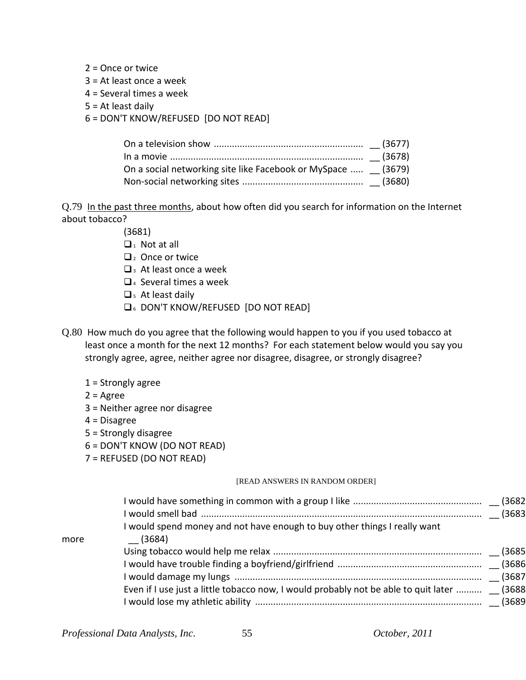- $2 =$ Once or twice
- 3 = At least once a week
- 4 = Several times a week
- 5 = At least daily
- 6 = DON'T KNOW/REFUSED [DO NOT READ]

| On a social networking site like Facebook or MySpace  (3679) |  |
|--------------------------------------------------------------|--|
|                                                              |  |

Q.79 In the past three months, about how often did you search for information on the Internet about tobacco?

(3681)

- $\Box_1$  Not at all
- $\Box$  Once or twice
- $\Box$ <sub>3</sub> At least once a week
- $\Box$ <sub>4</sub> Several times a week
- $\square$ <sub>5</sub> At least daily
- 6 DON'T KNOW/REFUSED [DO NOT READ]
- Q.80 How much do you agree that the following would happen to you if you used tobacco at least once a month for the next 12 months? For each statement below would you say you strongly agree, agree, neither agree nor disagree, disagree, or strongly disagree?
	- $1 =$  Strongly agree
	- $2 = \text{Agree}$
	- 3 = Neither agree nor disagree
	- 4 = Disagree
	- 5 = Strongly disagree
	- 6 = DON'T KNOW (DO NOT READ)
	- 7 = REFUSED (DO NOT READ)

#### [READ ANSWERS IN RANDOM ORDER]

|      | I would spend money and not have enough to buy other things I really want                  |  |
|------|--------------------------------------------------------------------------------------------|--|
| more | (3684)                                                                                     |  |
|      |                                                                                            |  |
|      |                                                                                            |  |
|      |                                                                                            |  |
|      | Even if I use just a little tobacco now, I would probably not be able to quit later  (3688 |  |
|      |                                                                                            |  |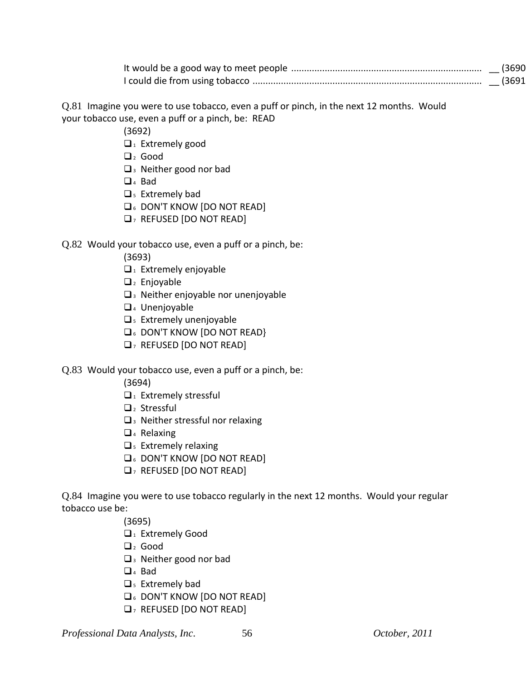| (3690  |
|--------|
| (3691) |

Q.81 Imagine you were to use tobacco, even a puff or pinch, in the next 12 months. Would your tobacco use, even a puff or a pinch, be: READ

(3692)

- $\Box$ <sub>1</sub> Extremely good
- $\Box$ <sub>2</sub> Good
- $\square$  3 Neither good nor bad
- $\Box$ <sub>4</sub> Bad
- $\square$ <sub>5</sub> Extremely bad
- $\Box$  6 DON'T KNOW [DO NOT READ]
- $\Box$ , REFUSED [DO NOT READ]

### Q.82 Would your tobacco use, even a puff or a pinch, be:

(3693)

- $\Box$ <sub>1</sub> Extremely enjoyable
- $\Box$ <sub>2</sub> Enjoyable
- $\square$ <sup>3</sup> Neither enjoyable nor unenjoyable
- 4 Unenjoyable
- $\square$ <sub>5</sub> Extremely unenjoyable
- **Q<sub>6</sub>** DON'T KNOW [DO NOT READ}
- $\Box$ , REFUSED [DO NOT READ]

### Q.83 Would your tobacco use, even a puff or a pinch, be:

(3694)

- $\Box$ <sub>1</sub> Extremely stressful
- $\Box$ <sub>2</sub> Stressful
- $\square$ <sub>3</sub> Neither stressful nor relaxing
- $\Box$ <sub>4</sub> Relaxing
- $\square$ <sub>5</sub> Extremely relaxing
- **Q**<sub>6</sub> DON'T KNOW [DO NOT READ]
- $\Box$ , REFUSED [DO NOT READ]

Q.84 Imagine you were to use tobacco regularly in the next 12 months. Would your regular tobacco use be:

(3695)

- **1** Extremely Good
- $\Box$  Good
- $\Box$ <sup>3</sup> Neither good nor bad
- $\Box$ <sub>4</sub> Bad
- $\square$ <sub>5</sub> Extremely bad
- **Q**<sub>6</sub> DON'T KNOW [DO NOT READ]
- $\Box$ , REFUSED [DO NOT READ]

*Professional Data Analysts, Inc*. 56 *October, 2011*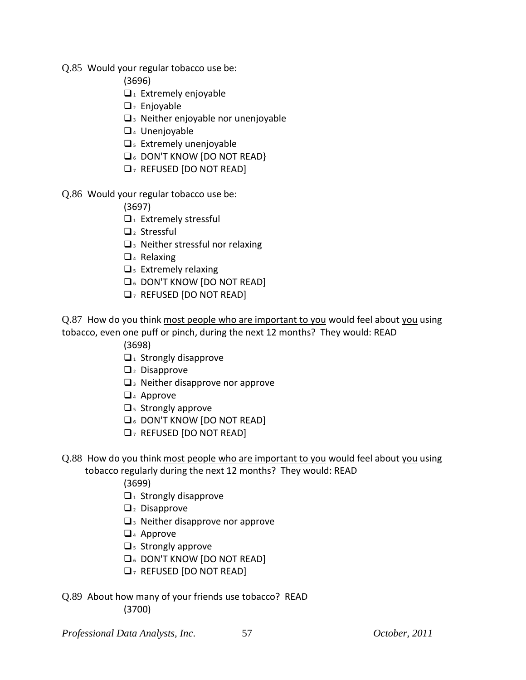- Q.85 Would your regular tobacco use be:
	- (3696)
	- $\Box$ <sub>1</sub> Extremely enjoyable
	- $\Box$ <sub>2</sub> Enjoyable
	- $\Box$ <sup>3</sup> Neither enjoyable nor unenjoyable
	- $\Box$ <sub>4</sub> Unenjoyable
	- $\square$ <sub>5</sub> Extremely unenjoyable
	- **Q<sub>6</sub>** DON'T KNOW [DO NOT READ}
	- $\Box$ , REFUSED [DO NOT READ]
- Q.86 Would your regular tobacco use be:
	- (3697)
	- $\Box$ <sub>1</sub> Extremely stressful
	- $\Box$ <sub>2</sub> Stressful
	- $\square$ <sub>3</sub> Neither stressful nor relaxing
	- $\Box$ <sub>4</sub> Relaxing
	- $\square$ <sub>5</sub> Extremely relaxing
	- **Q<sub>6</sub> DON'T KNOW [DO NOT READ]**
	- $\Box$ , REFUSED [DO NOT READ]
- Q.87 How do you think most people who are important to you would feel about you using tobacco, even one puff or pinch, during the next 12 months? They would: READ
	- (3698)
	- $\Box$ <sub>1</sub> Strongly disapprove
	- $\Box$ <sub>2</sub> Disapprove
	- $\Box$ <sub>3</sub> Neither disapprove nor approve
	- $\Box$ <sub>4</sub> Approve
	- $\square$ <sub>5</sub> Strongly approve
	- **Q<sub>6</sub>** DON'T KNOW [DO NOT READ]
	- $\Box$ , REFUSED [DO NOT READ]
- Q.88 How do you think most people who are important to you would feel about you using tobacco regularly during the next 12 months? They would: READ
	- (3699)
	- $\Box$ <sub>1</sub> Strongly disapprove
	- $\Box$ <sub>2</sub> Disapprove
	- $\Box$ <sub>3</sub> Neither disapprove nor approve
	- $\Box$ <sub>4</sub> Approve
	- $\Box$ <sub>5</sub> Strongly approve
	- **Q<sub>6</sub>** DON'T KNOW [DO NOT READ]
	- $\Box$ , REFUSED [DO NOT READ]
- Q.89 About how many of your friends use tobacco? READ (3700)

*Professional Data Analysts, Inc*. 57 *October, 2011*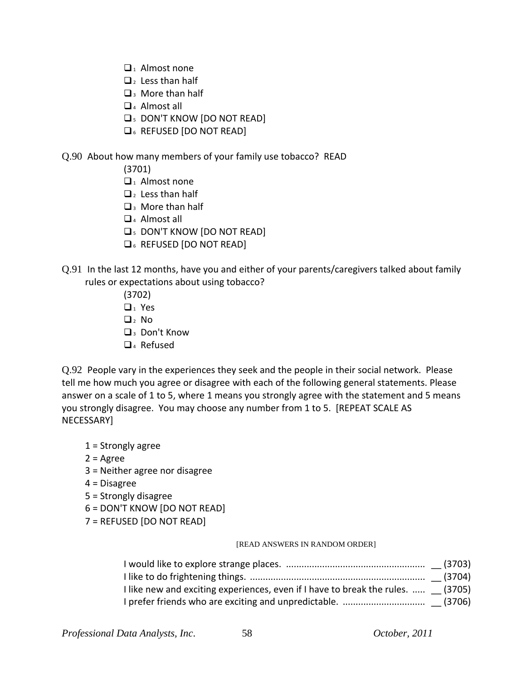- $\Box_1$  Almost none
- $\Box$ <sub>2</sub> Less than half
- $\Box$ <sup>3</sup> More than half
- $\Box$ <sub>4</sub> Almost all
- **Q<sub>5</sub> DON'T KNOW [DO NOT READ]**
- **Q**<sub>6</sub> REFUSED [DO NOT READ]

### Q.90 About how many members of your family use tobacco? READ

- (3701)
- $\Box$ <sub>1</sub> Almost none
- $\Box$ <sub>2</sub> Less than half
- $\Box$ <sup>3</sup> More than half
- $\Box$ <sub>4</sub> Almost all
- **Q<sub>5</sub> DON'T KNOW [DO NOT READ]**
- **Q**<sub>6</sub> REFUSED [DO NOT READ]
- Q.91 In the last 12 months, have you and either of your parents/caregivers talked about family rules or expectations about using tobacco?
	- (3702)
	- $\Box_1$  Yes
	- $\Box$ , No
	- $\Box$ <sub>3</sub> Don't Know
	- $\Box$ <sub>4</sub> Refused

Q.92 People vary in the experiences they seek and the people in their social network. Please tell me how much you agree or disagree with each of the following general statements. Please answer on a scale of 1 to 5, where 1 means you strongly agree with the statement and 5 means you strongly disagree. You may choose any number from 1 to 5. [REPEAT SCALE AS NECESSARY]

- 1 = Strongly agree
- $2 = \text{Agree}$
- 3 = Neither agree nor disagree
- 4 = Disagree
- 5 = Strongly disagree
- 6 = DON'T KNOW [DO NOT READ]
- 7 = REFUSED [DO NOT READ]

### [READ ANSWERS IN RANDOM ORDER]

| I like new and exciting experiences, even if I have to break the rules.  (3705) |  |
|---------------------------------------------------------------------------------|--|
|                                                                                 |  |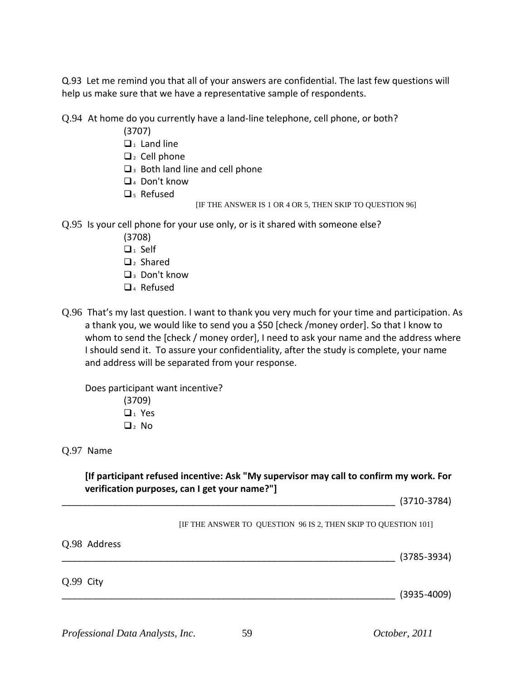Q.93 Let me remind you that all of your answers are confidential. The last few questions will help us make sure that we have a representative sample of respondents.

Q.94 At home do you currently have a land-line telephone, cell phone, or both?

- (3707)
- $\Box$ <sub>1</sub> Land line
- $\Box$ <sub>2</sub> Cell phone
- $\square$ <sub>3</sub> Both land line and cell phone
- $\Box$ <sub>4</sub> Don't know
- □<sub>5</sub> Refused
- [IF THE ANSWER IS 1 OR 4 OR 5, THEN SKIP TO QUESTION 96]

Q.95 Is your cell phone for your use only, or is it shared with someone else?

- (3708)
- $\Box_1$  Self
- $\Box$ <sub>2</sub> Shared
- $\Box$  Don't know
- $\Box$ <sub>4</sub> Refused
- Q.96 That's my last question. I want to thank you very much for your time and participation. As a thank you, we would like to send you a \$50 [check /money order]. So that I know to whom to send the [check / money order], I need to ask your name and the address where I should send it. To assure your confidentiality, after the study is complete, your name and address will be separated from your response.

Does participant want incentive?

(3709)  $\Box$ <sup>1</sup> Yes  $\Box$ <sub>2</sub> No

Q.97 Name

**[If participant refused incentive: Ask "My supervisor may call to confirm my work. For verification purposes, can I get your name?"]**

\_\_\_\_\_\_\_\_\_\_\_\_\_\_\_\_\_\_\_\_\_\_\_\_\_\_\_\_\_\_\_\_\_\_\_\_\_\_\_\_\_\_\_\_\_\_\_\_\_\_\_\_\_\_\_\_\_\_\_\_\_\_\_\_\_ (3710-3784)

[IF THE ANSWER TO QUESTION 96 IS 2, THEN SKIP TO QUESTION 101]

| Q.98 Address |                 |
|--------------|-----------------|
|              | $(3785 - 3934)$ |
| Q.99 City    |                 |
|              | $(3935 - 4009)$ |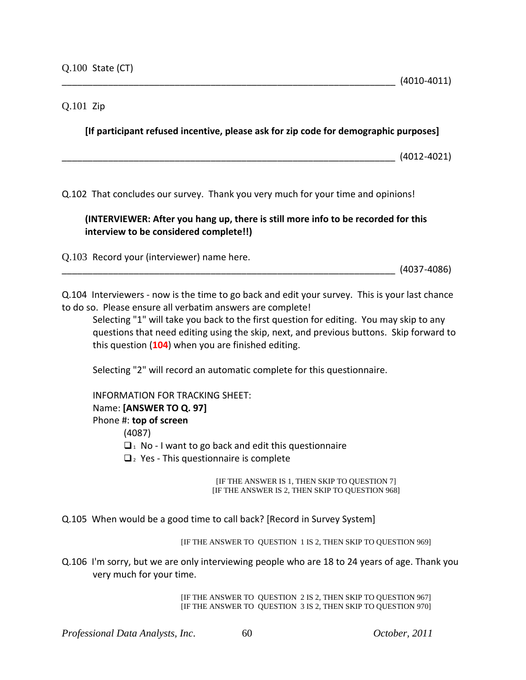### Q.101 Zip

**[If participant refused incentive, please ask for zip code for demographic purposes]**

\_\_\_\_\_\_\_\_\_\_\_\_\_\_\_\_\_\_\_\_\_\_\_\_\_\_\_\_\_\_\_\_\_\_\_\_\_\_\_\_\_\_\_\_\_\_\_\_\_\_\_\_\_\_\_\_\_\_\_\_\_\_\_\_\_ (4012-4021)

Q.102 That concludes our survey. Thank you very much for your time and opinions!

### **(INTERVIEWER: After you hang up, there is still more info to be recorded for this interview to be considered complete!!)**

Q.103 Record your (interviewer) name here.

\_\_\_\_\_\_\_\_\_\_\_\_\_\_\_\_\_\_\_\_\_\_\_\_\_\_\_\_\_\_\_\_\_\_\_\_\_\_\_\_\_\_\_\_\_\_\_\_\_\_\_\_\_\_\_\_\_\_\_\_\_\_\_\_\_ (4037-4086)

Q.104 Interviewers - now is the time to go back and edit your survey. This is your last chance to do so. Please ensure all verbatim answers are complete!

Selecting "1" will take you back to the first question for editing. You may skip to any questions that need editing using the skip, next, and previous buttons. Skip forward to this question (**104**) when you are finished editing.

Selecting "2" will record an automatic complete for this questionnaire.

INFORMATION FOR TRACKING SHEET: Name: **[ANSWER TO Q. 97]** Phone #: **top of screen**

(4087)

 $\Box$ <sub>1</sub> No - I want to go back and edit this questionnaire

 $\Box$  Yes - This questionnaire is complete

[IF THE ANSWER IS 1, THEN SKIP TO QUESTION 7] [IF THE ANSWER IS 2, THEN SKIP TO QUESTION 968]

Q.105 When would be a good time to call back? [Record in Survey System]

[IF THE ANSWER TO QUESTION 1 IS 2, THEN SKIP TO QUESTION 969]

Q.106 I'm sorry, but we are only interviewing people who are 18 to 24 years of age. Thank you very much for your time.

> [IF THE ANSWER TO QUESTION 2 IS 2, THEN SKIP TO QUESTION 967] [IF THE ANSWER TO QUESTION 3 IS 2, THEN SKIP TO QUESTION 970]

*Professional Data Analysts, Inc*. 60 *October, 2011*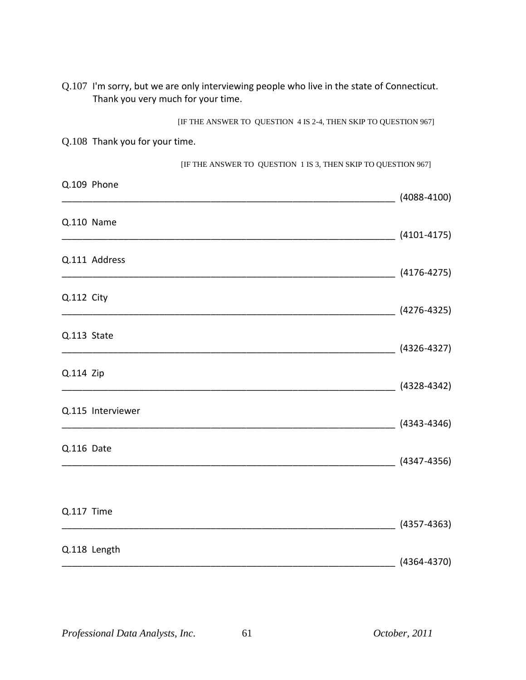|             | Q.107 I'm sorry, but we are only interviewing people who live in the state of Connecticut.<br>Thank you very much for your time. |                                    |
|-------------|----------------------------------------------------------------------------------------------------------------------------------|------------------------------------|
|             | [IF THE ANSWER TO QUESTION 4 IS 2-4, THEN SKIP TO QUESTION 967]                                                                  |                                    |
|             | Q.108 Thank you for your time.                                                                                                   |                                    |
|             | [IF THE ANSWER TO QUESTION 1 IS 3, THEN SKIP TO QUESTION 967]                                                                    |                                    |
|             | Q.109 Phone                                                                                                                      | $(4088 - 4100)$                    |
|             | Q.110 Name                                                                                                                       | $(4101 - 4175)$                    |
|             | Q.111 Address<br>$(4176-4275)$                                                                                                   |                                    |
| Q.112 City  |                                                                                                                                  | $(4276-4325)$                      |
| Q.113 State |                                                                                                                                  |                                    |
| Q.114 Zip   |                                                                                                                                  | $(4328 - 4342)$                    |
|             | Q.115 Interviewer                                                                                                                | $(4343 - 4346)$                    |
| Q.116 Date  |                                                                                                                                  | $(4347 - 4356)$                    |
| Q.117 Time  |                                                                                                                                  |                                    |
|             | Q.118 Length                                                                                                                     | $(4357 - 4363)$<br>$(4364 - 4370)$ |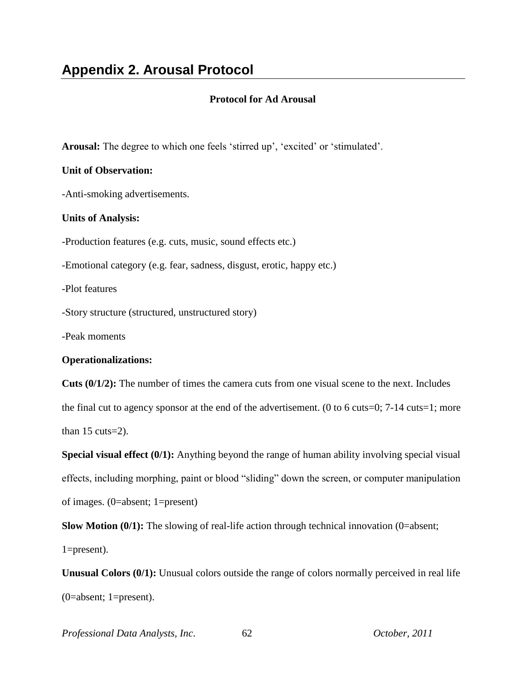### **Protocol for Ad Arousal**

**Arousal:** The degree to which one feels 'stirred up', 'excited' or 'stimulated'.

### **Unit of Observation:**

-Anti-smoking advertisements.

### **Units of Analysis:**

-Production features (e.g. cuts, music, sound effects etc.)

-Emotional category (e.g. fear, sadness, disgust, erotic, happy etc.)

-Plot features

-Story structure (structured, unstructured story)

-Peak moments

### **Operationalizations:**

**Cuts (0/1/2):** The number of times the camera cuts from one visual scene to the next. Includes the final cut to agency sponsor at the end of the advertisement. (0 to 6 cuts=0;  $7-14$  cuts=1; more than  $15 \text{ cuts} = 2$ ).

**Special visual effect (0/1):** Anything beyond the range of human ability involving special visual effects, including morphing, paint or blood "sliding" down the screen, or computer manipulation of images. (0=absent; 1=present)

**Slow Motion (0/1):** The slowing of real-life action through technical innovation (0=absent;

1=present).

**Unusual Colors (0/1):** Unusual colors outside the range of colors normally perceived in real life (0=absent; 1=present).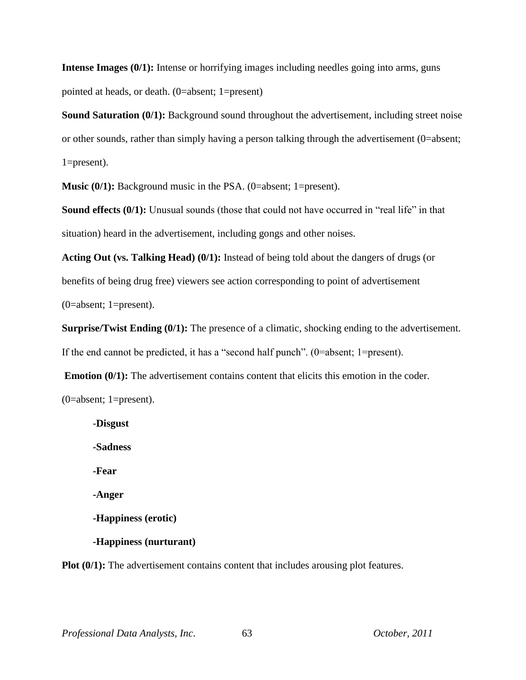**Intense Images (0/1):** Intense or horrifying images including needles going into arms, guns pointed at heads, or death. (0=absent; 1=present)

**Sound Saturation (0/1):** Background sound throughout the advertisement, including street noise or other sounds, rather than simply having a person talking through the advertisement (0=absent; 1=present).

**Music (0/1):** Background music in the PSA. (0=absent; 1=present).

**Sound effects (0/1):** Unusual sounds (those that could not have occurred in "real life" in that situation) heard in the advertisement, including gongs and other noises.

**Acting Out (vs. Talking Head) (0/1):** Instead of being told about the dangers of drugs (or benefits of being drug free) viewers see action corresponding to point of advertisement (0=absent; 1=present).

**Surprise/Twist Ending (0/1):** The presence of a climatic, shocking ending to the advertisement. If the end cannot be predicted, it has a "second half punch". (0=absent; 1=present).

**Emotion (0/1):** The advertisement contains content that elicits this emotion in the coder.

(0=absent; 1=present).

-**Disgust -Sadness -Fear -Anger -Happiness (erotic) -Happiness (nurturant)**

**Plot (0/1):** The advertisement contains content that includes arousing plot features.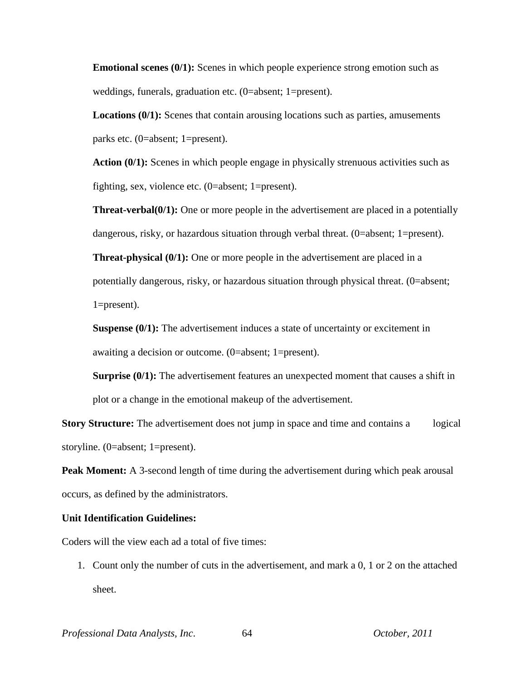**Emotional scenes (0/1):** Scenes in which people experience strong emotion such as weddings, funerals, graduation etc. (0=absent; 1=present).

**Locations (0/1):** Scenes that contain arousing locations such as parties, amusements parks etc. (0=absent; 1=present).

**Action (0/1):** Scenes in which people engage in physically strenuous activities such as fighting, sex, violence etc. (0=absent; 1=present).

**Threat-verbal(0/1):** One or more people in the advertisement are placed in a potentially dangerous, risky, or hazardous situation through verbal threat. (0=absent; 1=present).

**Threat-physical (0/1):** One or more people in the advertisement are placed in a potentially dangerous, risky, or hazardous situation through physical threat. (0=absent; 1=present).

**Suspense (0/1):** The advertisement induces a state of uncertainty or excitement in awaiting a decision or outcome. (0=absent; 1=present).

**Surprise (0/1):** The advertisement features an unexpected moment that causes a shift in plot or a change in the emotional makeup of the advertisement.

**Story Structure:** The advertisement does not jump in space and time and contains a logical storyline. (0=absent; 1=present).

**Peak Moment:** A 3-second length of time during the advertisement during which peak arousal occurs, as defined by the administrators.

#### **Unit Identification Guidelines:**

Coders will the view each ad a total of five times:

1. Count only the number of cuts in the advertisement, and mark a 0, 1 or 2 on the attached sheet.